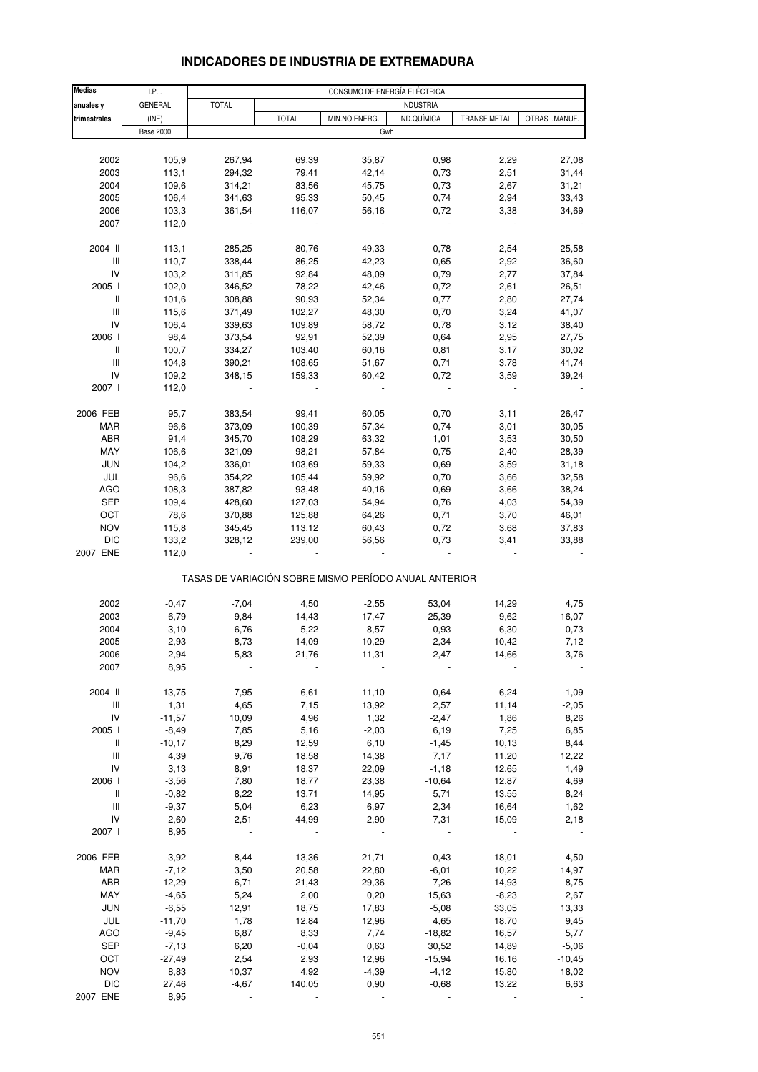# **INDICADORES DE INDUSTRIA DE EXTREMADURA**

| <b>Medias</b>                      | I.P.I.           | CONSUMO DE ENERGÍA ELÉCTRICA |                                                       |               |                  |              |                |  |
|------------------------------------|------------------|------------------------------|-------------------------------------------------------|---------------|------------------|--------------|----------------|--|
| anuales y                          | <b>GENERAL</b>   | <b>TOTAL</b>                 |                                                       |               | <b>INDUSTRIA</b> |              |                |  |
| trimestrales                       | (INE)            |                              | <b>TOTAL</b>                                          | MIN.NO ENERG. | IND.QUÍMICA      | TRANSF.METAL | OTRAS I.MANUF. |  |
|                                    | <b>Base 2000</b> |                              |                                                       | Gwh           |                  |              |                |  |
|                                    |                  |                              |                                                       |               |                  |              |                |  |
| 2002                               | 105,9            | 267,94                       | 69,39                                                 | 35,87         | 0,98             | 2,29         | 27,08          |  |
| 2003                               | 113,1            | 294,32                       | 79,41                                                 | 42,14         | 0,73             | 2,51         | 31,44          |  |
| 2004                               | 109,6            | 314,21                       | 83,56                                                 | 45,75         | 0,73             | 2,67         | 31,21          |  |
|                                    |                  |                              |                                                       |               | 0,74             |              |                |  |
| 2005                               | 106,4            | 341,63                       | 95,33                                                 | 50,45         |                  | 2,94         | 33,43          |  |
| 2006                               | 103,3            | 361,54                       | 116,07                                                | 56,16         | 0,72             | 3,38         | 34,69          |  |
| 2007                               | 112,0            |                              |                                                       |               |                  |              |                |  |
| 2004 II                            | 113,1            | 285,25                       | 80,76                                                 | 49,33         | 0,78             | 2,54         | 25,58          |  |
|                                    |                  |                              | 86,25                                                 | 42,23         |                  |              | 36,60          |  |
| Ш                                  | 110,7            | 338,44                       |                                                       |               | 0,65             | 2,92         |                |  |
| IV                                 | 103,2            | 311,85                       | 92,84                                                 | 48,09         | 0,79             | 2,77         | 37,84          |  |
| 2005 l                             | 102,0            | 346,52                       | 78,22                                                 | 42,46         | 0,72             | 2,61         | 26,51          |  |
| Ш                                  | 101,6            | 308,88                       | 90,93                                                 | 52,34         | 0,77             | 2,80         | 27,74          |  |
| Ш                                  | 115,6            | 371,49                       | 102,27                                                | 48,30         | 0,70             | 3,24         | 41,07          |  |
| IV                                 | 106,4            | 339,63                       | 109,89                                                | 58,72         | 0,78             | 3,12         | 38,40          |  |
| 2006                               | 98,4             | 373,54                       | 92,91                                                 | 52,39         | 0,64             | 2,95         | 27,75          |  |
| $\mathbf{II}$                      | 100,7            | 334,27                       | 103,40                                                | 60,16         | 0,81             | 3,17         | 30,02          |  |
| III                                | 104,8            | 390,21                       | 108,65                                                | 51,67         | 0,71             | 3,78         | 41,74          |  |
| IV                                 | 109,2            | 348,15                       | 159,33                                                | 60,42         | 0,72             | 3,59         | 39,24          |  |
| 2007 l                             | 112,0            |                              |                                                       |               |                  |              |                |  |
|                                    |                  |                              |                                                       |               |                  |              |                |  |
| 2006 FEB                           | 95,7             | 383,54                       | 99,41                                                 | 60,05         | 0,70             | 3,11         | 26,47          |  |
| <b>MAR</b>                         | 96,6             | 373,09                       | 100,39                                                | 57,34         | 0,74             | 3,01         | 30,05          |  |
| ABR                                | 91,4             | 345,70                       | 108,29                                                | 63,32         | 1,01             | 3,53         | 30,50          |  |
| MAY                                | 106,6            | 321,09                       | 98,21                                                 | 57,84         | 0,75             | 2,40         | 28,39          |  |
| <b>JUN</b>                         | 104,2            | 336,01                       | 103,69                                                | 59,33         | 0,69             | 3,59         | 31,18          |  |
| JUL                                | 96,6             | 354,22                       | 105,44                                                | 59,92         | 0,70             | 3,66         | 32,58          |  |
| AGO                                | 108,3            | 387,82                       | 93,48                                                 | 40,16         | 0,69             | 3,66         | 38,24          |  |
| <b>SEP</b>                         | 109,4            | 428,60                       | 127,03                                                | 54,94         | 0,76             | 4,03         | 54,39          |  |
|                                    |                  |                              |                                                       |               |                  |              |                |  |
| OCT                                | 78,6             | 370,88                       | 125,88                                                | 64,26         | 0,71             | 3,70         | 46,01          |  |
| <b>NOV</b>                         | 115,8            | 345,45                       | 113,12                                                | 60,43         | 0,72             | 3,68         | 37,83          |  |
| <b>DIC</b>                         | 133,2            | 328,12                       | 239,00                                                | 56,56         | 0,73             | 3,41         | 33,88          |  |
| 2007 ENE                           | 112,0            |                              |                                                       |               |                  |              |                |  |
|                                    |                  |                              | TASAS DE VARIACIÓN SOBRE MISMO PERÍODO ANUAL ANTERIOR |               |                  |              |                |  |
| 2002                               | $-0,47$          | $-7,04$                      | 4,50                                                  | $-2,55$       | 53,04            | 14,29        | 4,75           |  |
| 2003                               | 6,79             | 9,84                         | 14,43                                                 | 17,47         | $-25,39$         | 9,62         | 16,07          |  |
|                                    |                  |                              |                                                       |               |                  |              |                |  |
| 2004                               | $-3,10$          | 6,76                         | 5,22                                                  | 8,57          | $-0,93$          | 6,30         | $-0,73$        |  |
| 2005                               | $-2,93$          | 8,73                         | 14,09                                                 | 10,29         | 2,34             | 10,42        | 7,12           |  |
| 2006                               | $-2,94$          | 5,83                         | 21,76                                                 | 11,31         | $-2,47$          | 14,66        | 3,76           |  |
| 2007                               | 8,95             |                              |                                                       |               |                  |              |                |  |
|                                    |                  |                              |                                                       |               |                  |              |                |  |
| 2004 II                            | 13,75            | 7,95                         | 6,61                                                  | 11,10         | 0,64             | 6,24         | $-1,09$        |  |
| $\ensuremath{\mathsf{III}}\xspace$ | 1,31             | 4,65                         | 7,15                                                  | 13,92         | 2,57             | 11,14        | $-2,05$        |  |
| IV                                 | $-11,57$         | 10,09                        | 4,96                                                  | 1,32          | $-2,47$          | 1,86         | 8,26           |  |
| 2005 l                             | $-8,49$          | 7,85                         | 5,16                                                  | $-2,03$       | 6,19             | 7,25         | 6,85           |  |
| $\, \parallel$                     | $-10,17$         | 8,29                         | 12,59                                                 | 6,10          | $-1,45$          | 10, 13       | 8,44           |  |
| $\ensuremath{\mathsf{III}}\xspace$ | 4,39             | 9,76                         | 18,58                                                 | 14,38         | 7,17             | 11,20        | 12,22          |  |
| IV                                 | 3,13             | 8,91                         | 18,37                                                 | 22,09         | $-1,18$          | 12,65        | 1,49           |  |
| 2006                               | $-3,56$          | 7,80                         | 18,77                                                 | 23,38         | $-10,64$         | 12,87        | 4,69           |  |
| Ш                                  | $-0,82$          | 8,22                         | 13,71                                                 | 14,95         | 5,71             | 13,55        | 8,24           |  |
| Ш                                  | $-9,37$          | 5,04                         | 6,23                                                  | 6,97          | 2,34             | 16,64        | 1,62           |  |
| IV                                 | 2,60             | 2,51                         | 44,99                                                 | 2,90          | $-7,31$          | 15,09        | 2,18           |  |
| 2007 l                             | 8,95             |                              |                                                       |               |                  |              |                |  |
|                                    |                  |                              |                                                       |               |                  |              |                |  |
| 2006 FEB                           | $-3,92$          | 8,44                         | 13,36                                                 | 21,71         | $-0,43$          | 18,01        | $-4,50$        |  |
| <b>MAR</b>                         | $-7,12$          | 3,50                         | 20,58                                                 | 22,80         | $-6,01$          | 10,22        | 14,97          |  |
| ABR                                | 12,29            | 6,71                         | 21,43                                                 | 29,36         | 7,26             | 14,93        | 8,75           |  |
| MAY                                | $-4,65$          | 5,24                         | 2,00                                                  | 0,20          | 15,63            | $-8,23$      | 2,67           |  |
| <b>JUN</b>                         | $-6,55$          | 12,91                        | 18,75                                                 | 17,83         | $-5,08$          | 33,05        | 13,33          |  |
|                                    |                  |                              |                                                       |               |                  |              |                |  |
| JUL                                | $-11,70$         | 1,78                         | 12,84                                                 | 12,96         | 4,65             | 18,70        | 9,45           |  |
| AGO                                | $-9,45$          | 6,87                         | 8,33                                                  | 7,74          | $-18,82$         | 16,57        | 5,77           |  |
| <b>SEP</b>                         | $-7,13$          | 6,20                         | $-0,04$                                               | 0,63          | 30,52            | 14,89        | $-5,06$        |  |
| OCT                                | $-27,49$         | 2,54                         | 2,93                                                  | 12,96         | $-15,94$         | 16,16        | $-10,45$       |  |
| <b>NOV</b>                         | 8,83             | 10,37                        | 4,92                                                  | $-4,39$       | $-4, 12$         | 15,80        | 18,02          |  |
| <b>DIC</b>                         | 27,46            | $-4,67$                      | 140,05                                                | 0,90          | $-0,68$          | 13,22        | 6,63           |  |
| 2007 ENE                           | 8,95             |                              |                                                       |               |                  |              |                |  |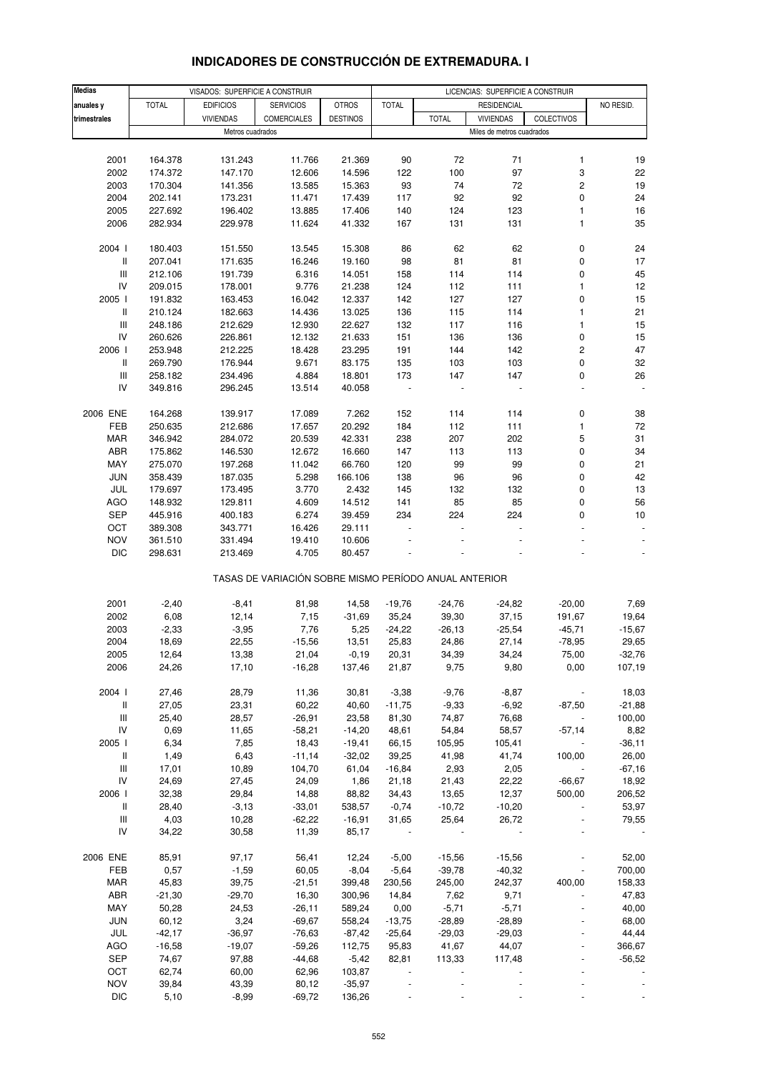# **INDICADORES DE CONSTRUCCIÓN DE EXTREMADURA. I**

| <b>Medias</b>                      |              | VISADOS: SUPERFICIE A CONSTRUIR |                                                       |                 |                          |              | LICENCIAS: SUPERFICIE A CONSTRUIR |            |           |
|------------------------------------|--------------|---------------------------------|-------------------------------------------------------|-----------------|--------------------------|--------------|-----------------------------------|------------|-----------|
|                                    |              |                                 |                                                       |                 |                          |              |                                   |            |           |
| anuales y                          | <b>TOTAL</b> | <b>EDIFICIOS</b>                | <b>SERVICIOS</b>                                      | <b>OTROS</b>    | <b>TOTAL</b>             |              | <b>RESIDENCIAL</b>                |            | NO RESID. |
| trimestrales                       |              | <b>VIVIENDAS</b>                | <b>COMERCIALES</b>                                    | <b>DESTINOS</b> |                          | <b>TOTAL</b> | <b>VIVIENDAS</b>                  | COLECTIVOS |           |
|                                    |              | Metros cuadrados                |                                                       |                 |                          |              | Miles de metros cuadrados         |            |           |
|                                    |              |                                 |                                                       |                 |                          |              |                                   |            |           |
| 2001                               | 164.378      | 131.243                         | 11.766                                                | 21.369          | 90                       | 72           | 71                                | 1          | 19        |
| 2002                               | 174.372      | 147.170                         | 12.606                                                | 14.596          | 122                      | 100          | 97                                | 3          | 22        |
| 2003                               | 170.304      | 141.356                         | 13.585                                                | 15.363          | 93                       | 74           | 72                                | 2          | 19        |
| 2004                               | 202.141      | 173.231                         | 11.471                                                | 17.439          | 117                      | 92           | 92                                | 0          | 24        |
| 2005                               | 227.692      | 196.402                         | 13.885                                                | 17.406          | 140                      | 124          | 123                               | 1          | 16        |
| 2006                               | 282.934      | 229.978                         | 11.624                                                | 41.332          | 167                      | 131          | 131                               | 1          | 35        |
|                                    |              |                                 |                                                       |                 |                          |              |                                   |            |           |
|                                    |              |                                 |                                                       |                 |                          |              |                                   |            |           |
| 2004 l                             | 180.403      | 151.550                         | 13.545                                                | 15.308          | 86                       | 62           | 62                                | 0          | 24        |
| Ш                                  | 207.041      | 171.635                         | 16.246                                                | 19.160          | 98                       | 81           | 81                                | 0          | 17        |
| $\ensuremath{\mathsf{III}}\xspace$ | 212.106      | 191.739                         | 6.316                                                 | 14.051          | 158                      | 114          | 114                               | 0          | 45        |
| IV                                 | 209.015      | 178.001                         | 9.776                                                 | 21.238          | 124                      | 112          | 111                               | 1          | 12        |
| 2005                               | 191.832      | 163.453                         | 16.042                                                | 12.337          | 142                      | 127          | 127                               | 0          | 15        |
| Ш                                  | 210.124      | 182.663                         | 14.436                                                | 13.025          | 136                      | 115          | 114                               | 1          | 21        |
| $\ensuremath{\mathsf{III}}\xspace$ | 248.186      | 212.629                         | 12.930                                                | 22.627          | 132                      | 117          | 116                               | 1          | 15        |
| IV                                 | 260.626      | 226.861                         | 12.132                                                | 21.633          | 151                      | 136          | 136                               | 0          | 15        |
| 2006                               | 253.948      | 212.225                         | 18.428                                                | 23.295          | 191                      | 144          | 142                               | 2          | 47        |
| Ш                                  | 269.790      | 176.944                         | 9.671                                                 | 83.175          | 135                      | 103          | 103                               | 0          | 32        |
| Ш                                  | 258.182      | 234.496                         | 4.884                                                 | 18.801          | 173                      | 147          | 147                               | 0          | 26        |
| IV                                 | 349.816      | 296.245                         | 13.514                                                | 40.058          |                          |              |                                   |            |           |
|                                    |              |                                 |                                                       |                 |                          |              |                                   |            |           |
|                                    |              |                                 |                                                       |                 |                          |              |                                   |            |           |
| 2006 ENE                           | 164.268      | 139.917                         | 17.089                                                | 7.262           | 152                      | 114          | 114                               | 0          | 38        |
| FEB                                | 250.635      | 212.686                         | 17.657                                                | 20.292          | 184                      | 112          | 111                               | 1          | 72        |
| MAR                                | 346.942      | 284.072                         | 20.539                                                | 42.331          | 238                      | 207          | 202                               | 5          | 31        |
| ABR                                | 175.862      | 146.530                         | 12.672                                                | 16.660          | 147                      | 113          | 113                               | 0          | 34        |
| MAY                                | 275.070      | 197.268                         | 11.042                                                | 66.760          | 120                      | 99           | 99                                | 0          | 21        |
| <b>JUN</b>                         | 358.439      | 187.035                         | 5.298                                                 | 166.106         | 138                      | 96           | 96                                | 0          | 42        |
| JUL                                | 179.697      | 173.495                         | 3.770                                                 | 2.432           | 145                      | 132          | 132                               | 0          | 13        |
| <b>AGO</b>                         | 148.932      | 129.811                         | 4.609                                                 | 14.512          | 141                      | 85           | 85                                | 0          | 56        |
| <b>SEP</b>                         | 445.916      | 400.183                         | 6.274                                                 | 39.459          | 234                      | 224          | 224                               | 0          | 10        |
| OCT                                | 389.308      | 343.771                         | 16.426                                                | 29.111          |                          |              |                                   |            |           |
| <b>NOV</b>                         | 361.510      | 331.494                         | 19.410                                                | 10.606          |                          |              |                                   |            |           |
| <b>DIC</b>                         |              | 213.469                         | 4.705                                                 | 80.457          |                          |              |                                   |            |           |
|                                    | 298.631      |                                 |                                                       |                 |                          |              |                                   |            |           |
|                                    |              |                                 | TASAS DE VARIACIÓN SOBRE MISMO PERÍODO ANUAL ANTERIOR |                 |                          |              |                                   |            |           |
|                                    |              |                                 |                                                       |                 |                          |              |                                   |            |           |
|                                    |              |                                 |                                                       |                 |                          |              |                                   |            |           |
| 2001                               | $-2,40$      | $-8,41$                         | 81,98                                                 | 14,58           | $-19,76$                 | $-24,76$     | $-24,82$                          | $-20,00$   | 7,69      |
| 2002                               | 6,08         | 12,14                           | 7,15                                                  | $-31,69$        | 35,24                    | 39,30        | 37,15                             | 191,67     | 19,64     |
| 2003                               | $-2,33$      | $-3,95$                         | 7,76                                                  | 5,25            | $-24,22$                 | $-26,13$     | $-25,54$                          | $-45,71$   | $-15,67$  |
| 2004                               | 18,69        | 22,55                           | $-15,56$                                              | 13,51           | 25,83                    | 24,86        | 27,14                             | $-78,95$   | 29,65     |
| 2005                               | 12,64        | 13,38                           | 21,04                                                 | $-0,19$         | 20,31                    | 34,39        | 34,24                             | 75,00      | $-32,76$  |
| 2006                               | 24,26        | 17,10                           | $-16,28$                                              | 137,46          | 21,87                    | 9,75         | 9,80                              | 0,00       | 107,19    |
|                                    |              |                                 |                                                       |                 |                          |              |                                   |            |           |
| 2004 l                             | 27,46        | 28,79                           | 11,36                                                 | 30,81           | $-3,38$                  | $-9,76$      | $-8,87$                           |            | 18,03     |
| Ш                                  | 27,05        | 23,31                           | 60,22                                                 | 40,60           | $-11,75$                 | $-9,33$      | $-6,92$                           | $-87,50$   | $-21,88$  |
| $\mathsf{III}$                     | 25,40        | 28,57                           | $-26,91$                                              | 23,58           | 81,30                    | 74,87        | 76,68                             |            | 100,00    |
| IV                                 | 0,69         | 11,65                           | $-58,21$                                              | $-14,20$        | 48,61                    | 54,84        | 58,57                             | $-57,14$   | 8,82      |
| 2005                               | 6,34         | 7,85                            | 18,43                                                 | $-19,41$        | 66,15                    | 105,95       | 105,41                            |            | $-36,11$  |
| Ш                                  | 1,49         | 6,43                            | $-11,14$                                              | $-32,02$        | 39,25                    | 41,98        | 41,74                             | 100,00     | 26,00     |
|                                    |              |                                 |                                                       |                 |                          |              |                                   |            |           |
| Ш                                  | 17,01        | 10,89                           | 104,70                                                | 61,04           | $-16,84$                 | 2,93         | 2,05                              |            | $-67,16$  |
| IV                                 | 24,69        | 27,45                           | 24,09                                                 | 1,86            | 21,18                    | 21,43        | 22,22                             | $-66,67$   | 18,92     |
| 2006                               | 32,38        | 29,84                           | 14,88                                                 | 88,82           | 34,43                    | 13,65        | 12,37                             | 500,00     | 206,52    |
| Ш                                  | 28,40        | $-3,13$                         | $-33,01$                                              | 538,57          | $-0,74$                  | $-10,72$     | $-10,20$                          |            | 53,97     |
| Ш                                  | 4,03         | 10,28                           | $-62,22$                                              | $-16,91$        | 31,65                    | 25,64        | 26,72                             |            | 79,55     |
| IV                                 | 34,22        | 30,58                           | 11,39                                                 | 85,17           |                          |              |                                   |            |           |
|                                    |              |                                 |                                                       |                 |                          |              |                                   |            |           |
| 2006 ENE                           | 85,91        | 97,17                           | 56,41                                                 | 12,24           | $-5,00$                  | $-15,56$     | $-15,56$                          |            | 52,00     |
| FEB                                | 0,57         | $-1,59$                         | 60,05                                                 | $-8,04$         | $-5,64$                  | $-39,78$     | $-40,32$                          |            | 700,00    |
| MAR                                | 45,83        | 39,75                           | $-21,51$                                              | 399,48          | 230,56                   | 245,00       | 242,37                            | 400,00     | 158,33    |
| ABR                                | $-21,30$     | $-29,70$                        | 16,30                                                 | 300,96          | 14,84                    | 7,62         | 9,71                              |            | 47,83     |
| MAY                                | 50,28        | 24,53                           | $-26,11$                                              | 589,24          | 0,00                     | $-5,71$      | $-5,71$                           |            | 40,00     |
|                                    |              |                                 |                                                       |                 |                          |              |                                   |            |           |
| JUN                                | 60,12        | 3,24                            | $-69,67$                                              | 558,24          | $-13,75$                 | $-28,89$     | $-28,89$                          |            | 68,00     |
| JUL                                | $-42,17$     | $-36,97$                        | $-76,63$                                              | $-87,42$        | $-25,64$                 | $-29,03$     | $-29,03$                          |            | 44,44     |
| AGO                                | $-16,58$     | $-19,07$                        | $-59,26$                                              | 112,75          | 95,83                    | 41,67        | 44,07                             |            | 366,67    |
| SEP                                | 74,67        | 97,88                           | $-44,68$                                              | $-5,42$         | 82,81                    | 113,33       | 117,48                            |            | $-56,52$  |
| OCT                                | 62,74        | 60,00                           | 62,96                                                 | 103,87          | $\overline{\phantom{a}}$ |              |                                   |            |           |
| <b>NOV</b>                         | 39,84        | 43,39                           | 80,12                                                 | $-35,97$        |                          |              |                                   |            |           |
| $DIC$                              | 5,10         | $-8,99$                         | $-69,72$                                              | 136,26          |                          |              |                                   |            |           |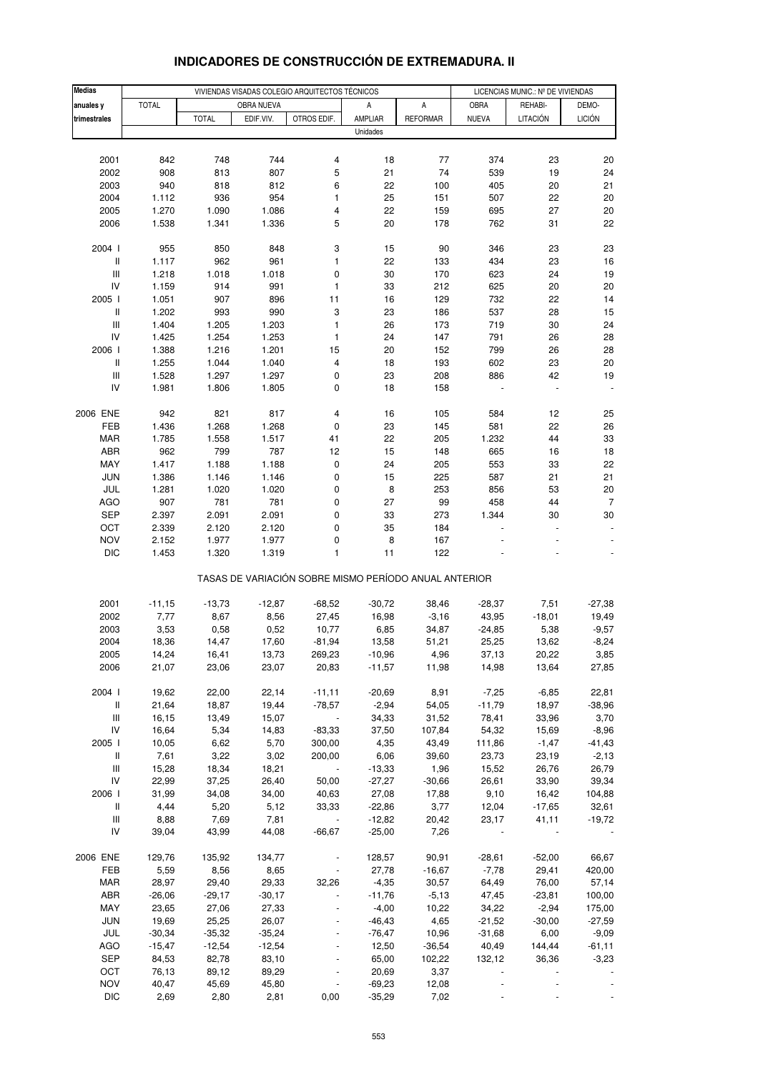| <b>Medias</b>                      |              |              | VIVIENDAS VISADAS COLEGIO ARQUITECTOS TÉCNICOS |                                                       | LICENCIAS MUNIC.: Nº DE VIVIENDAS |                 |              |          |                |
|------------------------------------|--------------|--------------|------------------------------------------------|-------------------------------------------------------|-----------------------------------|-----------------|--------------|----------|----------------|
| anuales y                          | <b>TOTAL</b> |              | OBRA NUEVA                                     |                                                       | Α                                 | А               | OBRA         | REHABI-  | DEMO-          |
| trimestrales                       |              | <b>TOTAL</b> | EDIF.VIV.                                      | OTROS EDIF.                                           | AMPLIAR                           | <b>REFORMAR</b> | <b>NUEVA</b> | LITACIÓN | <b>LICIÓN</b>  |
|                                    |              |              |                                                |                                                       | Unidades                          |                 |              |          |                |
|                                    |              |              |                                                |                                                       |                                   |                 |              |          |                |
|                                    |              |              |                                                |                                                       |                                   |                 |              |          |                |
| 2001                               | 842          | 748          | 744                                            | 4                                                     | 18                                | 77              | 374          | 23       | 20             |
| 2002                               | 908          | 813          | 807                                            | 5                                                     | 21                                | 74              | 539          | 19       | 24             |
| 2003                               | 940          | 818          | 812                                            | 6                                                     | 22                                | 100             | 405          | 20       | 21             |
| 2004                               | 1.112        | 936          | 954                                            | 1                                                     | 25                                | 151             | 507          | 22       | 20             |
| 2005                               | 1.270        | 1.090        | 1.086                                          | 4                                                     | 22                                | 159             | 695          | 27       | 20             |
| 2006                               | 1.538        | 1.341        | 1.336                                          | 5                                                     | 20                                | 178             | 762          | 31       | 22             |
| 2004 l                             | 955          | 850          | 848                                            | 3                                                     | 15                                | 90              | 346          | 23       | 23             |
| $\mathsf{I}$                       | 1.117        | 962          | 961                                            | $\mathbf{1}$                                          | 22                                | 133             | 434          | 23       | 16             |
| $\ensuremath{\mathsf{III}}\xspace$ | 1.218        | 1.018        | 1.018                                          | 0                                                     | 30                                | 170             | 623          | 24       | 19             |
| IV                                 | 1.159        | 914          | 991                                            | $\mathbf{1}$                                          | 33                                | 212             | 625          | 20       | 20             |
| 2005 l                             | 1.051        | 907          | 896                                            | 11                                                    | $16$                              | 129             | 732          | 22       | 14             |
| $\, \parallel$                     | 1.202        | 993          | 990                                            | 3                                                     | 23                                | 186             | 537          | 28       | 15             |
| $\ensuremath{\mathsf{III}}\xspace$ | 1.404        | 1.205        | 1.203                                          | $\mathbf{1}$                                          | 26                                | 173             | 719          | 30       | 24             |
| IV                                 | 1.425        | 1.254        | 1.253                                          | $\mathbf{1}$                                          | 24                                | 147             | 791          | 26       | 28             |
| 2006                               | 1.388        | 1.216        | 1.201                                          | 15                                                    | 20                                | 152             | 799          | 26       | 28             |
| $\, \parallel$                     | 1.255        | 1.044        | 1.040                                          | 4                                                     | 18                                | 193             | 602          | 23       | 20             |
| $\ensuremath{\mathsf{III}}\xspace$ | 1.528        | 1.297        | 1.297                                          | 0                                                     | 23                                | 208             | 886          | 42       | 19             |
| IV                                 | 1.981        | 1.806        | 1.805                                          | 0                                                     | 18                                | 158             |              |          |                |
|                                    |              |              |                                                |                                                       |                                   |                 |              |          |                |
| 2006 ENE                           | 942          | 821          | 817                                            | 4                                                     | 16                                | 105             | 584          | 12       | 25             |
| FEB                                | 1.436        | 1.268        | 1.268                                          | $\pmb{0}$                                             | 23                                | 145             | 581          | 22       | 26             |
| <b>MAR</b>                         | 1.785        | 1.558        | 1.517                                          | 41                                                    | 22                                | 205             | 1.232        | 44       | 33             |
| ABR                                | 962          | 799          | 787                                            | 12                                                    | 15                                | 148             | 665          | 16       | 18             |
| MAY                                | 1.417        | 1.188        | 1.188                                          | $\pmb{0}$                                             | 24                                | 205             | 553          | 33       | 22             |
| <b>JUN</b>                         | 1.386        | 1.146        | 1.146                                          | 0                                                     | 15                                | 225             | 587          | 21       | 21             |
| JUL                                | 1.281        | 1.020        | 1.020                                          | 0                                                     | 8                                 | 253             | 856          | 53       | 20             |
| <b>AGO</b>                         | 907          | 781          | 781                                            | 0                                                     | 27                                | 99              | 458          | 44       | $\overline{7}$ |
| <b>SEP</b>                         | 2.397        | 2.091        | 2.091                                          | 0                                                     | 33                                | 273             | 1.344        | 30       | 30             |
| OCT                                | 2.339        | 2.120        | 2.120                                          | $\pmb{0}$                                             | 35                                | 184             |              |          |                |
| <b>NOV</b>                         | 2.152        | 1.977        | 1.977                                          | 0                                                     | 8                                 | 167             |              |          |                |
| <b>DIC</b>                         | 1.453        | 1.320        | 1.319                                          | 1                                                     | 11                                | 122             |              |          |                |
|                                    |              |              |                                                | TASAS DE VARIACIÓN SOBRE MISMO PERÍODO ANUAL ANTERIOR |                                   |                 |              |          |                |
| 2001                               | $-11,15$     | $-13,73$     | $-12,87$                                       | $-68,52$                                              | $-30,72$                          | 38,46           | $-28,37$     | 7,51     | $-27,38$       |
| 2002                               | 7,77         | 8,67         | 8,56                                           | 27,45                                                 | 16,98                             | $-3,16$         | 43,95        | $-18,01$ | 19,49          |
| 2003                               | 3,53         | 0,58         | 0,52                                           | 10,77                                                 | 6,85                              | 34,87           | $-24,85$     | 5,38     | $-9,57$        |
| 2004                               | 18,36        | 14,47        | 17,60                                          | $-81,94$                                              | 13,58                             | 51,21           | 25,25        | 13,62    | $-8,24$        |
| 2005                               | 14,24        | 16,41        | 13,73                                          | 269,23                                                | $-10,96$                          | 4,96            | 37,13        | 20,22    | 3,85           |
| 2006                               | 21,07        | 23,06        | 23,07                                          | 20,83                                                 | $-11,57$                          | 11,98           | 14,98        | 13,64    | 27,85          |
|                                    |              |              |                                                |                                                       |                                   |                 |              |          |                |
| 2004 l                             | 19,62        | 22,00        | 22,14                                          | $-11,11$                                              | $-20,69$                          | 8,91            | $-7,25$      | $-6,85$  | 22,81          |
| $\, \parallel$                     | 21,64        | 18,87        | 19,44                                          | $-78,57$                                              | $-2,94$                           | 54,05           | $-11,79$     | 18,97    | $-38,96$       |
| $\ensuremath{\mathsf{III}}\xspace$ | 16,15        | 13,49        | 15,07                                          | $\mathcal{L}_{\mathcal{A}}$                           | 34,33                             | 31,52           | 78,41        | 33,96    | 3,70           |
| IV                                 | 16,64        | 5,34         | 14,83                                          | $-83,33$                                              | 37,50                             | 107,84          | 54,32        | 15,69    | $-8,96$        |
| 2005 l                             | 10,05        | 6,62         | 5,70                                           | 300,00                                                | 4,35                              | 43,49           | 111,86       | $-1,47$  | $-41,43$       |
| Ш                                  | 7,61         | 3,22         | 3,02                                           | 200,00                                                | 6,06                              | 39,60           | 23,73        | 23,19    | $-2,13$        |
| $\ensuremath{\mathsf{III}}\xspace$ | 15,28        | 18,34        | 18,21                                          |                                                       | $-13,33$                          | 1,96            | 15,52        | 26,76    | 26,79          |
| IV                                 | 22,99        | 37,25        | 26,40                                          | 50,00                                                 | $-27,27$                          | $-30,66$        | 26,61        | 33,90    | 39,34          |
| 2006                               | 31,99        | 34,08        | 34,00                                          | 40,63                                                 | 27,08                             | 17,88           | 9,10         | 16,42    | 104,88         |
| Ш                                  | 4,44         | 5,20         | 5,12                                           | 33,33                                                 | $-22,86$                          | 3,77            | 12,04        | $-17,65$ | 32,61          |
| $\ensuremath{\mathsf{III}}\xspace$ | 8,88         | 7,69         | 7,81                                           | $\overline{\phantom{a}}$                              | $-12,82$                          | 20,42           | 23,17        | 41,11    | $-19,72$       |
| IV                                 | 39,04        | 43,99        | 44,08                                          | $-66,67$                                              | $-25,00$                          | 7,26            |              |          |                |
| 2006 ENE                           | 129,76       | 135,92       | 134,77                                         |                                                       | 128,57                            | 90,91           | $-28,61$     | $-52,00$ | 66,67          |
| FEB                                | 5,59         | 8,56         | 8,65                                           |                                                       | 27,78                             | $-16,67$        | $-7,78$      | 29,41    | 420,00         |
| <b>MAR</b>                         | 28,97        | 29,40        | 29,33                                          | 32,26                                                 | $-4,35$                           | 30,57           | 64,49        | 76,00    | 57,14          |
| ABR                                | $-26,06$     | $-29,17$     | $-30,17$                                       |                                                       | $-11,76$                          | $-5,13$         | 47,45        | $-23,81$ | 100,00         |
| MAY                                | 23,65        | 27,06        | 27,33                                          |                                                       | $-4,00$                           | 10,22           | 34,22        | $-2,94$  | 175,00         |
| <b>JUN</b>                         | 19,69        | 25,25        | 26,07                                          |                                                       | $-46,43$                          | 4,65            | $-21,52$     | $-30,00$ | $-27,59$       |
| JUL                                | $-30,34$     | $-35,32$     | $-35,24$                                       |                                                       | $-76,47$                          | 10,96           | $-31,68$     | 6,00     | $-9,09$        |
| AGO                                | $-15,47$     | $-12,54$     | $-12,54$                                       | $\blacksquare$                                        | 12,50                             | $-36,54$        | 40,49        | 144,44   | $-61,11$       |
| <b>SEP</b>                         | 84,53        | 82,78        | 83,10                                          |                                                       | 65,00                             | 102,22          | 132,12       | 36,36    | $-3,23$        |
| OCT                                | 76,13        | 89,12        | 89,29                                          |                                                       | 20,69                             | 3,37            |              |          |                |
| <b>NOV</b>                         | 40,47        | 45,69        | 45,80                                          |                                                       | $-69,23$                          | 12,08           |              |          |                |
| <b>DIC</b>                         | 2,69         | 2,80         | 2,81                                           | 0,00                                                  | $-35,29$                          | 7,02            |              |          |                |

# **INDICADORES DE CONSTRUCCIÓN DE EXTREMADURA. II**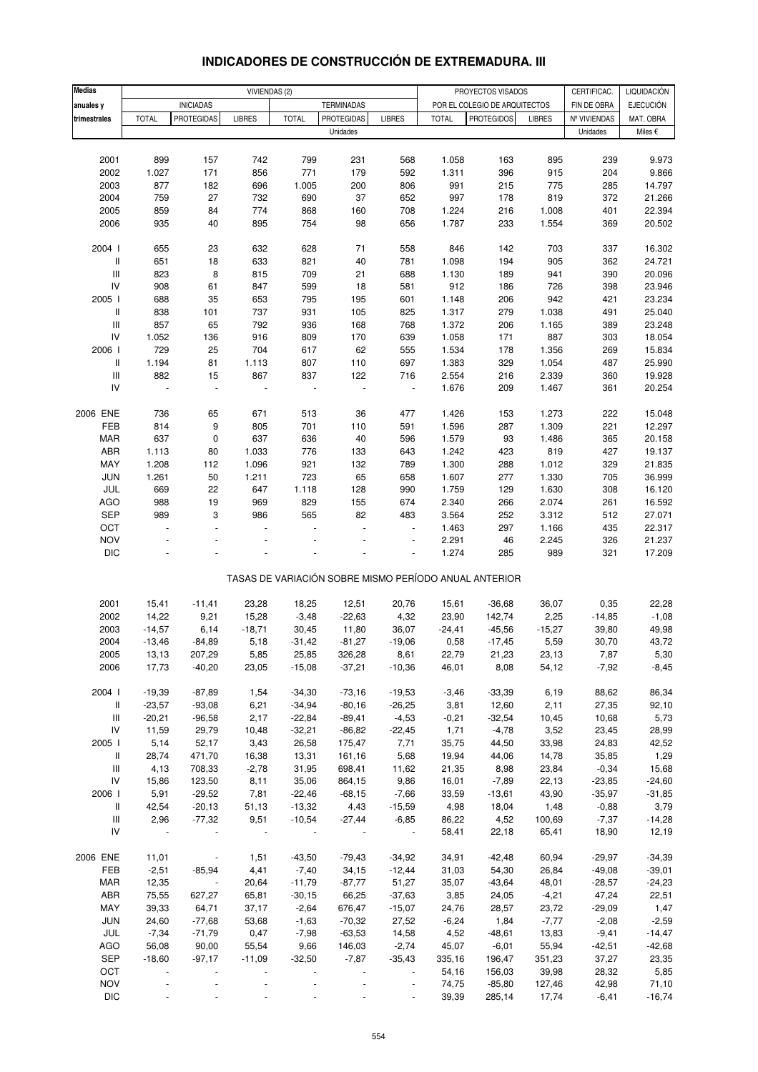| <b>Medias</b>                      |                       |                                       |               |               |                                        |                          |                | PROYECTOS VISADOS                                     |                |                             |                               |
|------------------------------------|-----------------------|---------------------------------------|---------------|---------------|----------------------------------------|--------------------------|----------------|-------------------------------------------------------|----------------|-----------------------------|-------------------------------|
|                                    |                       |                                       |               | VIVIENDAS (2) |                                        |                          |                |                                                       |                | CERTIFICAC.                 | LIQUIDACIÓN                   |
| anuales y<br>trimestrales          | <b>TOTAL</b>          | <b>INICIADAS</b><br><b>PROTEGIDAS</b> | <b>LIBRES</b> | <b>TOTAL</b>  | <b>TERMINADAS</b><br><b>PROTEGIDAS</b> | <b>LIBRES</b>            | <b>TOTAL</b>   | POR EL COLEGIO DE ARQUITECTOS<br><b>PROTEGIDOS</b>    | <b>LIBRES</b>  | FIN DE OBRA<br>Nº VIVIENDAS | <b>EJECUCIÓN</b><br>MAT. OBRA |
|                                    |                       |                                       |               |               | Unidades                               |                          |                |                                                       |                | Unidades                    | Miles €                       |
|                                    |                       |                                       |               |               |                                        |                          |                |                                                       |                |                             |                               |
|                                    |                       |                                       |               |               |                                        |                          |                |                                                       |                |                             |                               |
| 2001                               | 899                   | 157                                   | 742           | 799           | 231                                    | 568                      | 1.058          | 163                                                   | 895            | 239                         | 9.973                         |
| 2002                               | 1.027<br>877          | 171                                   | 856           | 771           | 179                                    | 592                      | 1.311          | 396                                                   | 915            | 204                         | 9.866                         |
| 2003                               |                       | 182                                   | 696           | 1.005         | 200                                    | 806                      | 991            | 215                                                   | 775            | 285                         | 14.797                        |
| 2004<br>2005                       | 759<br>859            | 27                                    | 732<br>774    | 690<br>868    | 37                                     | 652<br>708               | 997<br>1.224   | 178<br>216                                            | 819            | 372<br>401                  | 21.266<br>22.394              |
| 2006                               | 935                   | 84<br>40                              | 895           | 754           | 160<br>98                              |                          | 1.787          |                                                       | 1.008<br>1.554 |                             |                               |
|                                    |                       |                                       |               |               |                                        | 656                      |                | 233                                                   |                | 369                         | 20.502                        |
| 2004 l                             | 655                   | 23                                    | 632           | 628           | 71                                     | 558                      | 846            | 142                                                   | 703            | 337                         | 16.302                        |
| $\,$ $\,$ $\,$                     | 651                   | 18                                    | 633           | 821           | 40                                     | 781                      | 1.098          | 194                                                   | 905            | 362                         | 24.721                        |
| Ш                                  | 823                   | 8                                     | 815           | 709           | 21                                     | 688                      | 1.130          | 189                                                   | 941            | 390                         | 20.096                        |
| IV                                 | 908                   | 61                                    | 847           | 599           | 18                                     | 581                      | 912            | 186                                                   | 726            | 398                         | 23.946                        |
| 2005 l                             | 688                   | 35                                    | 653           | 795           | 195                                    | 601                      | 1.148          | 206                                                   | 942            | 421                         | 23.234                        |
| Ш                                  | 838                   | 101                                   | 737           | 931           | 105                                    | 825                      | 1.317          | 279                                                   | 1.038          | 491                         | 25.040                        |
| $\ensuremath{\mathsf{III}}\xspace$ | 857                   | 65                                    | 792           | 936           | 168                                    | 768                      | 1.372          | 206                                                   | 1.165          | 389                         | 23.248                        |
| IV                                 | 1.052                 | 136                                   | 916           | 809           | 170                                    | 639                      | 1.058          | 171                                                   | 887            | 303                         | 18.054                        |
| 2006                               | 729                   | 25                                    | 704           | 617           | 62                                     | 555                      | 1.534          | 178                                                   | 1.356          | 269                         | 15.834                        |
| Ш                                  | 1.194                 | 81                                    | 1.113         | 807           | 110                                    | 697                      | 1.383          | 329                                                   | 1.054          | 487                         | 25.990                        |
| $\ensuremath{\mathsf{III}}\xspace$ |                       |                                       | 867           |               |                                        | 716                      |                |                                                       |                |                             | 19.928                        |
| IV                                 | 882<br>$\overline{a}$ | 15                                    | $\bar{a}$     | 837           | 122                                    |                          | 2.554<br>1.676 | 216                                                   | 2.339<br>1.467 | 360                         |                               |
|                                    |                       | $\overline{\phantom{a}}$              |               |               | $\blacksquare$                         | $\blacksquare$           |                | 209                                                   |                | 361                         | 20.254                        |
|                                    |                       |                                       |               |               |                                        |                          |                |                                                       |                |                             |                               |
| 2006 ENE                           | 736                   | 65                                    | 671           | 513           | 36                                     | 477                      | 1.426          | 153                                                   | 1.273          | 222                         | 15.048                        |
| FEB                                | 814                   | 9                                     | 805           | 701           | 110                                    | 591                      | 1.596          | 287                                                   | 1.309          | 221                         | 12.297                        |
| <b>MAR</b>                         | 637                   | $\pmb{0}$                             | 637           | 636           | 40                                     | 596                      | 1.579          | 93                                                    | 1.486          | 365                         | 20.158                        |
| ABR                                | 1.113                 | 80                                    | 1.033         | 776           | 133                                    | 643                      | 1.242          | 423                                                   | 819            | 427                         | 19.137                        |
| MAY                                | 1.208                 | 112                                   | 1.096         | 921           | 132                                    | 789                      | 1.300          | 288                                                   | 1.012          | 329                         | 21.835                        |
| JUN                                | 1.261                 | 50                                    | 1.211         | 723           | 65                                     | 658                      | 1.607          | 277                                                   | 1.330          | 705                         | 36.999                        |
| JUL                                | 669                   | 22                                    | 647           | 1.118         | 128                                    | 990                      | 1.759          | 129                                                   | 1.630          | 308                         | 16.120                        |
| <b>AGO</b>                         | 988                   | 19                                    | 969           | 829           | 155                                    | 674                      | 2.340          | 266                                                   | 2.074          | 261                         | 16.592                        |
| <b>SEP</b>                         | 989                   | 3                                     | 986           | 565           | 82                                     | 483                      | 3.564          | 252                                                   | 3.312          | 512                         | 27.071                        |
| OCT                                | $\overline{a}$        | ÷,                                    |               |               | L.                                     | ä,                       | 1.463          | 297                                                   | 1.166          | 435                         | 22.317                        |
| <b>NOV</b>                         |                       |                                       |               |               |                                        | L,                       | 2.291          | 46                                                    | 2.245          | 326                         | 21.237                        |
| <b>DIC</b>                         |                       |                                       |               |               |                                        | ÷,                       | 1.274          | 285                                                   | 989            | 321                         | 17.209                        |
|                                    |                       |                                       |               |               |                                        |                          |                | TASAS DE VARIACIÓN SOBRE MISMO PERÍODO ANUAL ANTERIOR |                |                             |                               |
|                                    |                       |                                       |               |               |                                        |                          |                |                                                       |                |                             |                               |
| 2001                               | 15,41                 | $-11,41$                              | 23,28         | 18,25         | 12,51                                  | 20,76                    | 15,61          | $-36,68$                                              | 36,07          | 0,35                        | 22,28                         |
| 2002                               | 14,22                 | 9,21                                  | 15,28         | $-3,48$       | $-22,63$                               | 4,32                     | 23,90          | 142,74                                                | 2,25           | $-14,85$                    | $-1,08$                       |
| 2003                               | $-14,57$              | 6,14                                  | $-18,71$      | 30,45         | 11,80                                  | 36,07                    | $-24,41$       | $-45,56$                                              | $-15,27$       | 39,80                       | 49,98                         |
| 2004                               | $-13,46$              | $-84,89$                              | 5,18          | $-31,42$      | $-81,27$                               | $-19,06$                 | 0,58           | $-17,45$                                              | 5,59           | 30,70                       | 43,72                         |
| 2005                               | 13,13                 | 207,29                                | 5,85          | 25,85         | 326,28                                 | 8,61                     | 22,79          | 21,23                                                 | 23,13          | 7,87                        | 5,30                          |
| 2006                               | 17,73                 | $-40,20$                              | 23,05         | $-15,08$      | $-37,21$                               | $-10,36$                 | 46,01          | 8,08                                                  | 54,12          | $-7,92$                     | $-8,45$                       |
|                                    |                       |                                       |               |               |                                        |                          |                |                                                       |                |                             |                               |
| 2004 l                             | $-19,39$              | $-87,89$                              | 1,54          | $-34,30$      | $-73,16$                               | $-19,53$                 | $-3,46$        | $-33,39$                                              | 6,19           | 88,62                       | 86,34                         |
| Ш                                  | $-23,57$              | $-93,08$                              | 6,21          | $-34,94$      | $-80,16$                               | $-26,25$                 | 3,81           | 12,60                                                 | 2,11           | 27,35                       | 92,10                         |
| Ш                                  | $-20,21$              | $-96,58$                              | 2,17          | $-22,84$      | $-89,41$                               | $-4,53$                  | $-0,21$        | $-32,54$                                              | 10,45          | 10,68                       | 5,73                          |
| ${\sf IV}$                         | 11,59                 | 29,79                                 | 10,48         | $-32,21$      | $-86,82$                               | $-22,45$                 | 1,71           | $-4,78$                                               | 3,52           | 23,45                       | 28,99                         |
| 2005                               | 5,14                  | 52,17                                 | 3,43          | 26,58         | 175,47                                 | 7,71                     | 35,75          | 44,50                                                 | 33,98          | 24,83                       | 42,52                         |
| Ш                                  | 28,74                 | 471,70                                | 16,38         | 13,31         | 161,16                                 | 5,68                     | 19,94          | 44,06                                                 | 14,78          | 35,85                       | 1,29                          |
| Ш                                  | 4,13                  | 708,33                                | $-2,78$       | 31,95         | 698,41                                 | 11,62                    | 21,35          | 8,98                                                  | 23,84          | $-0,34$                     | 15,68                         |
| IV                                 | 15,86                 | 123,50                                | 8,11          | 35,06         | 864,15                                 | 9,86                     | 16,01          | $-7,89$                                               | 22,13          | $-23,85$                    | $-24,60$                      |
| 2006                               | 5,91                  | $-29,52$                              | 7,81          | $-22,46$      | $-68,15$                               | $-7,66$                  | 33,59          | $-13,61$                                              | 43,90          | $-35,97$                    | $-31,85$                      |
| Ш                                  | 42,54                 | $-20,13$                              | 51,13         | $-13,32$      | 4,43                                   | $-15,59$                 | 4,98           | 18,04                                                 | 1,48           | $-0,88$                     | 3,79                          |
| Ш                                  | 2,96                  | $-77,32$                              | 9,51          | $-10,54$      | $-27,44$                               | $-6,85$                  | 86,22          | 4,52                                                  | 100,69         | $-7,37$                     | $-14,28$                      |
| IV                                 |                       |                                       |               |               |                                        | $\overline{\phantom{a}}$ | 58,41          | 22,18                                                 | 65,41          | 18,90                       | 12,19                         |
| 2006 ENE                           | 11,01                 |                                       | 1,51          | $-43,50$      | $-79,43$                               | $-34,92$                 | 34,91          | $-42,48$                                              | 60,94          | $-29,97$                    | $-34,39$                      |
| FEB                                | $-2,51$               | $-85,94$                              | 4,41          | $-7,40$       | 34,15                                  | $-12,44$                 | 31,03          | 54,30                                                 | 26,84          | $-49,08$                    | $-39,01$                      |
| <b>MAR</b>                         | 12,35                 | $\overline{\phantom{a}}$              | 20,64         | $-11,79$      | $-87,77$                               | 51,27                    | 35,07          | $-43,64$                                              | 48,01          | $-28,57$                    | $-24,23$                      |
| ABR                                | 75,55                 | 627,27                                | 65,81         | $-30, 15$     | 66,25                                  | $-37,63$                 | 3,85           | 24,05                                                 | $-4,21$        | 47,24                       | 22,51                         |
| MAY                                | 39,33                 | 64,71                                 | 37,17         | $-2,64$       | 676,47                                 | $-15,07$                 | 24,76          | 28,57                                                 | 23,72          | $-29,09$                    | 1,47                          |
| JUN                                | 24,60                 | $-77,68$                              | 53,68         | $-1,63$       | $-70,32$                               | 27,52                    | $-6,24$        | 1,84                                                  | $-7,77$        | $-2,08$                     | $-2,59$                       |
|                                    |                       |                                       |               |               |                                        |                          |                |                                                       |                |                             |                               |
| JUL                                | $-7,34$               | $-71,79$                              | 0,47          | $-7,98$       | $-63,53$                               | 14,58                    | 4,52           | -48,61                                                | 13,83          | $-9,41$                     | $-14,47$                      |
| AGO                                | 56,08                 | 90,00                                 | 55,54         | 9,66          | 146,03                                 | $-2,74$                  | 45,07          | $-6,01$                                               | 55,94          | $-42,51$                    | $-42,68$                      |
| SEP                                | $-18,60$              | $-97,17$                              | $-11,09$      | $-32,50$      | $-7,87$                                | $-35,43$                 | 335,16         | 196,47                                                | 351,23         | 37,27                       | 23,35                         |
| OCT                                |                       |                                       |               |               |                                        | $\overline{\phantom{a}}$ | 54,16          | 156,03                                                | 39,98          | 28,32                       | 5,85                          |
| <b>NOV</b>                         |                       |                                       |               |               |                                        |                          | 74,75          | $-85,80$                                              | 127,46         | 42,98                       | 71,10                         |
| DIC                                |                       |                                       |               |               |                                        |                          | 39,39          | 285,14                                                | 17,74          | $-6,41$                     | $-16,74$                      |

# **INDICADORES DE CONSTRUCCIÓN DE EXTREMADURA. III**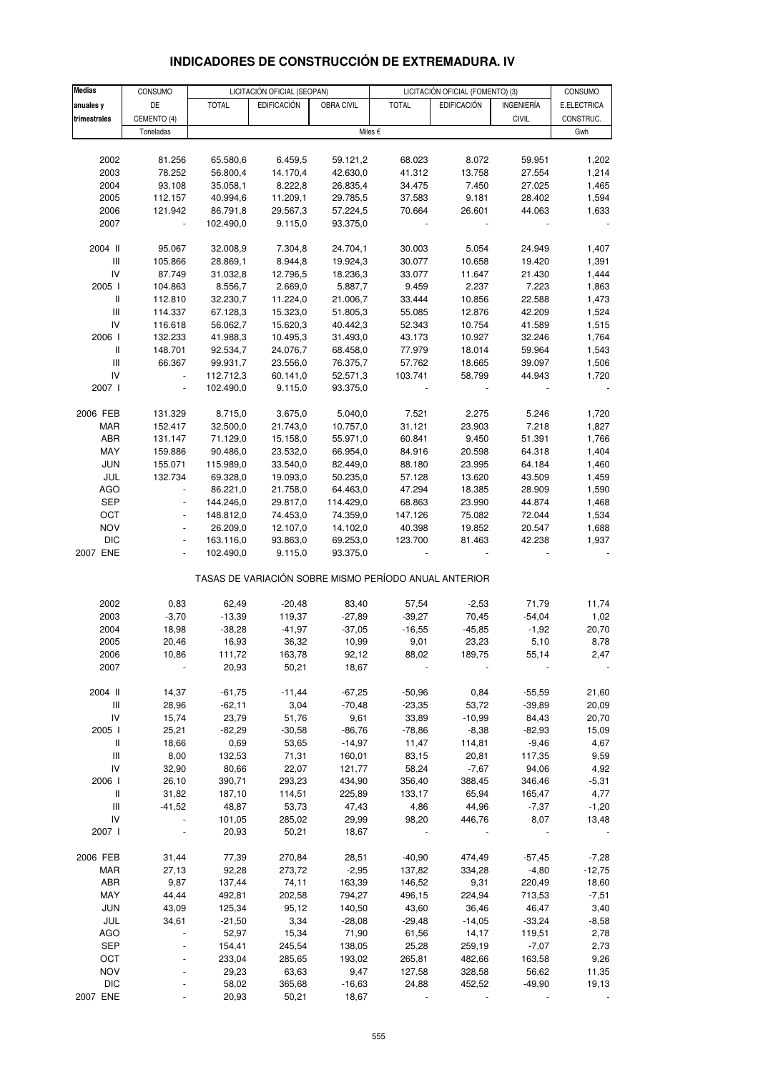| <b>Medias</b>                      | CONSUMO                  | LICITACIÓN OFICIAL (SEOPAN)<br>LICITACIÓN OFICIAL (FOMENTO) (3) |                    |            |                                                       |                    | CONSUMO           |             |
|------------------------------------|--------------------------|-----------------------------------------------------------------|--------------------|------------|-------------------------------------------------------|--------------------|-------------------|-------------|
| anuales y                          | DE                       | <b>TOTAL</b>                                                    | <b>EDIFICACIÓN</b> | OBRA CIVIL | <b>TOTAL</b>                                          | <b>EDIFICACIÓN</b> | <b>INGENIERÍA</b> | E.ELECTRICA |
|                                    |                          |                                                                 |                    |            |                                                       |                    |                   |             |
| trimestrales                       | CEMENTO (4)              |                                                                 |                    |            |                                                       |                    | <b>CIVIL</b>      | CONSTRUC.   |
|                                    | Toneladas                |                                                                 |                    |            | Miles €                                               |                    |                   | Gwh         |
|                                    |                          |                                                                 |                    |            |                                                       |                    |                   |             |
| 2002                               | 81.256                   | 65.580,6                                                        | 6.459,5            | 59.121,2   | 68.023                                                | 8.072              | 59.951            | 1,202       |
| 2003                               | 78.252                   | 56.800,4                                                        | 14.170,4           | 42.630,0   | 41.312                                                | 13.758             | 27.554            | 1,214       |
| 2004                               | 93.108                   | 35.058,1                                                        | 8.222,8            | 26.835,4   | 34.475                                                | 7.450              | 27.025            | 1,465       |
| 2005                               | 112.157                  | 40.994,6                                                        | 11.209,1           | 29.785,5   | 37.583                                                | 9.181              | 28.402            | 1,594       |
| 2006                               | 121.942                  | 86.791,8                                                        | 29.567,3           | 57.224,5   | 70.664                                                | 26.601             | 44.063            | 1,633       |
| 2007                               | $\blacksquare$           | 102.490,0                                                       | 9.115,0            | 93.375,0   |                                                       |                    |                   |             |
| 2004 II                            | 95.067                   | 32.008,9                                                        | 7.304,8            | 24.704,1   | 30.003                                                | 5.054              | 24.949            | 1,407       |
| Ш                                  | 105.866                  | 28.869,1                                                        | 8.944,8            | 19.924,3   | 30.077                                                | 10.658             | 19.420            | 1,391       |
| IV                                 | 87.749                   | 31.032,8                                                        | 12.796,5           | 18.236,3   | 33.077                                                | 11.647             | 21.430            | 1,444       |
| 2005 l                             | 104.863                  | 8.556,7                                                         | 2.669,0            | 5.887,7    | 9.459                                                 | 2.237              | 7.223             | 1,863       |
| $\, \parallel$                     |                          |                                                                 |                    |            |                                                       |                    |                   |             |
|                                    | 112.810                  | 32.230,7                                                        | 11.224,0           | 21.006,7   | 33.444                                                | 10.856             | 22.588            | 1,473       |
| $\mathsf{III}$                     | 114.337                  | 67.128,3                                                        | 15.323,0           | 51.805,3   | 55.085                                                | 12.876             | 42.209            | 1,524       |
| IV                                 | 116.618                  | 56.062,7                                                        | 15.620,3           | 40.442,3   | 52.343                                                | 10.754             | 41.589            | 1,515       |
| 2006                               | 132.233                  | 41.988,3                                                        | 10.495,3           | 31.493,0   | 43.173                                                | 10.927             | 32.246            | 1,764       |
| Ш                                  | 148.701                  | 92.534,7                                                        | 24.076,7           | 68.458,0   | 77.979                                                | 18.014             | 59.964            | 1,543       |
| $\mathbf{III}$                     | 66.367                   | 99.931,7                                                        | 23.556,0           | 76.375,7   | 57.762                                                | 18.665             | 39.097            | 1,506       |
| IV                                 | $\blacksquare$           | 112.712,3                                                       | 60.141,0           | 52.571,3   | 103.741                                               | 58.799             | 44.943            | 1,720       |
| 2007 l                             | $\blacksquare$           | 102.490,0                                                       | 9.115,0            | 93.375,0   |                                                       |                    |                   |             |
| 2006 FEB                           | 131.329                  | 8.715,0                                                         | 3.675,0            | 5.040,0    | 7.521                                                 | 2.275              | 5.246             | 1,720       |
| MAR                                | 152.417                  | 32.500,0                                                        | 21.743,0           | 10.757,0   | 31.121                                                | 23.903             | 7.218             | 1,827       |
| ABR                                | 131.147                  | 71.129,0                                                        | 15.158,0           | 55.971,0   | 60.841                                                | 9.450              | 51.391            | 1,766       |
|                                    |                          |                                                                 |                    |            |                                                       |                    |                   |             |
| MAY                                | 159.886                  | 90.486,0                                                        | 23.532,0           | 66.954,0   | 84.916                                                | 20.598             | 64.318            | 1,404       |
| <b>JUN</b>                         | 155.071                  | 115.989,0                                                       | 33.540,0           | 82.449,0   | 88.180                                                | 23.995             | 64.184            | 1,460       |
| JUL                                | 132.734                  | 69.328,0                                                        | 19.093,0           | 50.235,0   | 57.128                                                | 13.620             | 43.509            | 1,459       |
| <b>AGO</b>                         |                          | 86.221,0                                                        | 21.758,0           | 64.463,0   | 47.294                                                | 18.385             | 28.909            | 1,590       |
| <b>SEP</b>                         | $\blacksquare$           | 144.246,0                                                       | 29.817,0           | 114.429,0  | 68.863                                                | 23.990             | 44.874            | 1,468       |
| OCT                                | $\overline{\phantom{a}}$ | 148.812,0                                                       | 74.453,0           | 74.359,0   | 147.126                                               | 75.082             | 72.044            | 1,534       |
| <b>NOV</b>                         | $\bar{\phantom{a}}$      | 26.209,0                                                        | 12.107,0           | 14.102,0   | 40.398                                                | 19.852             | 20.547            | 1,688       |
| <b>DIC</b>                         | $\blacksquare$           | 163.116,0                                                       | 93.863,0           | 69.253,0   | 123.700                                               | 81.463             | 42.238            | 1,937       |
| 2007 ENE                           |                          | 102.490,0                                                       | 9.115,0            | 93.375,0   |                                                       |                    |                   |             |
|                                    |                          |                                                                 |                    |            | TASAS DE VARIACIÓN SOBRE MISMO PERÍODO ANUAL ANTERIOR |                    |                   |             |
|                                    |                          |                                                                 |                    |            |                                                       |                    |                   |             |
| 2002                               | 0,83                     | 62,49                                                           | $-20,48$           | 83,40      | 57,54                                                 | $-2,53$            | 71,79             | 11,74       |
| 2003                               | $-3,70$                  | $-13,39$                                                        | 119,37             | $-27,89$   | $-39,27$                                              | 70,45              | $-54,04$          | 1,02        |
| 2004                               | 18,98                    | $-38,28$                                                        | $-41,97$           | $-37,05$   | $-16,55$                                              | $-45,85$           | $-1,92$           | 20,70       |
| 2005                               | 20,46                    | 16,93                                                           | 36,32              | 10,99      | 9,01                                                  | 23,23              | 5,10              | 8,78        |
| 2006                               | 10,86                    | 111,72                                                          | 163,78             | 92,12      | 88,02                                                 | 189,75             | 55,14             | 2,47        |
| 2007                               |                          | 20,93                                                           | 50,21              | 18,67      |                                                       |                    |                   |             |
| 2004 II                            | 14,37                    | $-61,75$                                                        | $-11,44$           | $-67,25$   | $-50,96$                                              | 0,84               | $-55,59$          | 21,60       |
| $\ensuremath{\mathsf{III}}\xspace$ | 28,96                    | $-62,11$                                                        | 3,04               | $-70,48$   | $-23,35$                                              | 53,72              | $-39,89$          | 20,09       |
| IV                                 | 15,74                    | 23,79                                                           | 51,76              | 9,61       | 33,89                                                 | $-10,99$           | 84,43             | 20,70       |
| 2005                               | 25,21                    | $-82,29$                                                        | $-30,58$           | $-86,76$   | $-78,86$                                              | $-8,38$            | $-82,93$          | 15,09       |
| Ш                                  | 18,66                    | 0,69                                                            | 53,65              | $-14,97$   | 11,47                                                 | 114,81             | $-9,46$           | 4,67        |
| Ш                                  | 8,00                     | 132,53                                                          | 71,31              | 160,01     | 83,15                                                 | 20,81              | 117,35            | 9,59        |
|                                    |                          |                                                                 |                    |            |                                                       |                    |                   |             |
| IV                                 | 32,90                    | 80,66                                                           | 22,07              | 121,77     | 58,24                                                 | $-7,67$            | 94,06             | 4,92        |
| 2006                               | 26,10                    | 390,71                                                          | 293,23             | 434,90     | 356,40                                                | 388,45             | 346,46            | $-5,31$     |
| $\mathbf{II}$                      | 31,82                    | 187,10                                                          | 114,51             | 225,89     | 133,17                                                | 65,94              | 165,47            | 4,77        |
| Ш                                  | $-41,52$                 | 48,87                                                           | 53,73              | 47,43      | 4,86                                                  | 44,96              | $-7,37$           | $-1,20$     |
| IV                                 |                          | 101,05                                                          | 285,02             | 29,99      | 98,20                                                 | 446,76             | 8,07              | 13,48       |
| 2007 l                             |                          | 20,93                                                           | 50,21              | 18,67      |                                                       |                    |                   |             |
| 2006 FEB                           | 31,44                    | 77,39                                                           | 270,84             | 28,51      | $-40,90$                                              | 474,49             | $-57,45$          | $-7,28$     |
| <b>MAR</b>                         | 27,13                    | 92,28                                                           | 273,72             | $-2,95$    | 137,82                                                | 334,28             | $-4,80$           | $-12,75$    |
| ABR                                | 9,87                     | 137,44                                                          | 74,11              | 163,39     | 146,52                                                | 9,31               | 220,49            | 18,60       |
| MAY                                | 44,44                    | 492,81                                                          | 202,58             | 794,27     | 496,15                                                | 224,94             | 713,53            | $-7,51$     |
| <b>JUN</b>                         | 43,09                    | 125,34                                                          | 95,12              | 140,50     | 43,60                                                 | 36,46              | 46,47             | 3,40        |
| JUL                                |                          |                                                                 | 3,34               |            |                                                       |                    |                   |             |
|                                    | 34,61                    | $-21,50$                                                        |                    | $-28,08$   | $-29,48$                                              | $-14,05$           | $-33,24$          | $-8,58$     |
| <b>AGO</b>                         |                          | 52,97                                                           | 15,34              | 71,90      | 61,56                                                 | 14, 17             | 119,51            | 2,78        |
| SEP                                |                          | 154,41                                                          | 245,54             | 138,05     | 25,28                                                 | 259,19             | $-7,07$           | 2,73        |
| OCT                                |                          | 233,04                                                          | 285,65             | 193,02     | 265,81                                                | 482,66             | 163,58            | 9,26        |
| <b>NOV</b>                         |                          | 29,23                                                           | 63,63              | 9,47       | 127,58                                                | 328,58             | 56,62             | 11,35       |

### **INDICADORES DE CONSTRUCCIÓN DE EXTREMADURA. IV**

DIC - 58,02 365,68 -16,63 24,88 452,52 -49,90 19,13 2007 ENE - 20,93 50,21 18,67 - - - -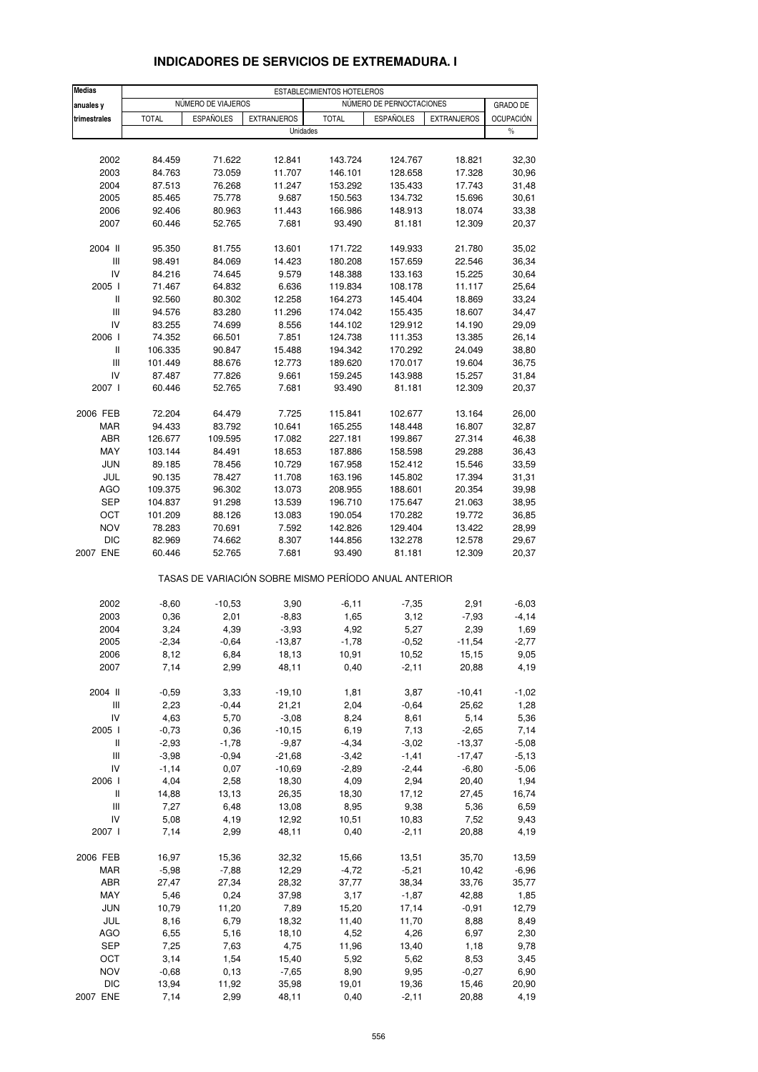| <b>Medias</b>                      |              |                    |                                                       | ESTABLECIMIENTOS HOTELEROS |                          |                    |                          |
|------------------------------------|--------------|--------------------|-------------------------------------------------------|----------------------------|--------------------------|--------------------|--------------------------|
| anuales y                          |              | NÚMERO DE VIAJEROS |                                                       |                            | NÚMERO DE PERNOCTACIONES |                    | <b>GRADO DE</b>          |
| trimestrales                       | <b>TOTAL</b> | <b>ESPAÑOLES</b>   | <b>EXTRANJEROS</b><br>Unidades                        | <b>TOTAL</b>               | <b>ESPAÑOLES</b>         | <b>EXTRANJEROS</b> | <b>OCUPACIÓN</b><br>$\%$ |
|                                    |              |                    |                                                       |                            |                          |                    |                          |
| 2002                               | 84.459       | 71.622             | 12.841                                                | 143.724                    | 124.767                  | 18.821             | 32,30                    |
| 2003                               | 84.763       | 73.059             | 11.707                                                | 146.101                    | 128.658                  | 17.328             | 30,96                    |
| 2004                               | 87.513       | 76.268             | 11.247                                                | 153.292                    | 135.433                  | 17.743             | 31,48                    |
| 2005                               | 85.465       | 75.778             | 9.687                                                 | 150.563                    | 134.732                  | 15.696             | 30,61                    |
| 2006                               | 92.406       | 80.963             | 11.443                                                | 166.986                    | 148.913                  | 18.074             | 33,38                    |
| 2007                               | 60.446       | 52.765             | 7.681                                                 | 93.490                     | 81.181                   | 12.309             | 20,37                    |
| 2004 II                            | 95.350       | 81.755             | 13.601                                                | 171.722                    | 149.933                  | 21.780             | 35,02                    |
| Ш                                  | 98.491       | 84.069             | 14.423                                                | 180.208                    | 157.659                  | 22.546             | 36,34                    |
| IV                                 | 84.216       | 74.645             | 9.579                                                 | 148.388                    | 133.163                  | 15.225             | 30,64                    |
| 2005 l                             | 71.467       | 64.832             | 6.636                                                 | 119.834                    | 108.178                  | 11.117             | 25,64                    |
| Ш                                  | 92.560       | 80.302             | 12.258                                                | 164.273                    | 145.404                  | 18.869             | 33,24                    |
| Ш                                  | 94.576       | 83.280             | 11.296                                                | 174.042                    | 155.435                  | 18.607             | 34,47                    |
| IV                                 | 83.255       | 74.699             | 8.556                                                 | 144.102                    | 129.912                  | 14.190             | 29,09                    |
| 2006                               | 74.352       | 66.501             | 7.851                                                 | 124.738                    | 111.353                  | 13.385             | 26,14                    |
| Ш                                  | 106.335      | 90.847             | 15.488                                                | 194.342                    | 170.292                  | 24.049             | 38,80                    |
| Ш                                  | 101.449      | 88.676             | 12.773                                                | 189.620                    | 170.017                  | 19.604             | 36,75                    |
| IV                                 | 87.487       | 77.826             | 9.661                                                 | 159.245                    | 143.988                  | 15.257             | 31,84                    |
| 2007 l                             | 60.446       | 52.765             | 7.681                                                 | 93.490                     | 81.181                   | 12.309             | 20,37                    |
| 2006 FEB                           | 72.204       | 64.479             | 7.725                                                 | 115.841                    | 102.677                  | 13.164             | 26,00                    |
| MAR                                | 94.433       | 83.792             | 10.641                                                | 165.255                    | 148.448                  | 16.807             | 32,87                    |
| ABR                                | 126.677      | 109.595            | 17.082                                                | 227.181                    | 199.867                  | 27.314             | 46,38                    |
| MAY                                | 103.144      | 84.491             | 18.653                                                | 187.886                    | 158.598                  | 29.288             | 36,43                    |
| <b>JUN</b>                         | 89.185       | 78.456             | 10.729                                                | 167.958                    | 152.412                  | 15.546             | 33,59                    |
| JUL                                | 90.135       | 78.427             | 11.708                                                | 163.196                    | 145.802                  | 17.394             | 31,31                    |
| AGO                                | 109.375      | 96.302             | 13.073                                                | 208.955                    | 188.601                  | 20.354             | 39,98                    |
| <b>SEP</b>                         | 104.837      | 91.298             | 13.539                                                | 196.710                    | 175.647                  | 21.063             | 38,95                    |
| OCT                                | 101.209      | 88.126             | 13.083                                                | 190.054                    | 170.282                  | 19.772             | 36,85                    |
| <b>NOV</b>                         | 78.283       | 70.691             | 7.592                                                 | 142.826                    | 129.404                  | 13.422             | 28,99                    |
| <b>DIC</b>                         | 82.969       | 74.662             | 8.307                                                 | 144.856                    | 132.278                  | 12.578             | 29,67                    |
| 2007 ENE                           | 60.446       | 52.765             | 7.681                                                 | 93.490                     | 81.181                   | 12.309             | 20,37                    |
|                                    |              |                    | TASAS DE VARIACIÓN SOBRE MISMO PERÍODO ANUAL ANTERIOR |                            |                          |                    |                          |
| 2002                               | $-8,60$      | $-10,53$           | 3,90                                                  | $-6,11$                    | $-7,35$                  | 2,91               | $-6,03$                  |
| 2003                               | 0,36         | 2,01               | $-8,83$                                               | 1,65                       | 3,12                     | $-7,93$            | $-4, 14$                 |
| 2004                               | 3,24         | 4,39               | $-3,93$                                               | 4,92                       | 5,27                     | 2,39               | 1,69                     |
| 2005                               | $-2,34$      | $-0,64$            | $-13,87$                                              | $-1,78$                    | $-0,52$                  | $-11,54$           | $-2,77$                  |
| 2006                               | 8,12         | 6,84               | 18,13                                                 | 10,91                      | 10,52                    | 15,15              | 9,05                     |
| 2007                               | 7,14         | 2,99               | 48,11                                                 | 0,40                       | $-2,11$                  | 20,88              | 4,19                     |
| 2004 II                            | $-0,59$      | 3,33               | $-19,10$                                              | 1,81                       | 3,87                     | $-10,41$           | $-1,02$                  |
| $\ensuremath{\mathsf{III}}\xspace$ | 2,23         | $-0,44$            | 21,21                                                 | 2,04                       | $-0,64$                  | 25,62              | 1,28                     |
| IV                                 | 4,63         | 5,70               | $-3,08$                                               | 8,24                       | 8,61                     | 5,14               | 5,36                     |
| 2005 l                             | $-0,73$      | 0,36               | $-10, 15$                                             | 6,19                       | 7,13                     | $-2,65$            | 7,14                     |
| Ш                                  | $-2,93$      | $-1,78$            | $-9,87$                                               | $-4,34$                    | $-3,02$                  | $-13,37$           | $-5,08$                  |
| $\ensuremath{\mathsf{III}}\xspace$ | $-3,98$      | $-0,94$            | $-21,68$                                              | $-3,42$                    | $-1,41$                  | $-17,47$           | $-5,13$                  |
| IV                                 | $-1,14$      | 0,07               | $-10,69$                                              | $-2,89$                    | $-2,44$                  | $-6,80$            | $-5,06$                  |
| 2006                               | 4,04         | 2,58               | 18,30                                                 | 4,09                       | 2,94                     | 20,40              | 1,94                     |
| Ш                                  | 14,88        | 13,13              | 26,35                                                 | 18,30                      | 17,12                    | 27,45              | 16,74                    |
| Ш                                  | 7,27         | 6,48               | 13,08                                                 | 8,95                       | 9,38                     | 5,36               | 6,59                     |
| IV                                 | 5,08         | 4,19               | 12,92                                                 | 10,51                      | 10,83                    | 7,52               | 9,43                     |
| 2007 l                             | 7,14         | 2,99               | 48,11                                                 | 0,40                       | $-2,11$                  | 20,88              | 4,19                     |
|                                    |              |                    |                                                       |                            |                          |                    |                          |
| 2006 FEB                           | 16,97        | 15,36              | 32,32                                                 | 15,66                      | 13,51                    | 35,70              | 13,59                    |
| <b>MAR</b>                         | $-5,98$      | $-7,88$            | 12,29                                                 | $-4,72$                    | $-5,21$                  | 10,42              | $-6,96$                  |
| ABR                                | 27,47        | 27,34              | 28,32                                                 | 37,77                      | 38,34                    | 33,76              | 35,77                    |
| MAY                                | 5,46         | 0,24               | 37,98                                                 | 3,17                       | $-1,87$                  | 42,88              | 1,85                     |
| <b>JUN</b>                         | 10,79        | 11,20              | 7,89                                                  | 15,20                      | 17,14                    | $-0,91$            | 12,79                    |
| JUL                                | 8,16         | 6,79               | 18,32                                                 | 11,40                      | 11,70                    | 8,88               | 8,49                     |
| <b>AGO</b>                         | 6,55         | 5,16               | 18,10                                                 | 4,52                       | 4,26                     | 6,97               | 2,30                     |
| <b>SEP</b>                         | 7,25         | 7,63               | 4,75                                                  | 11,96                      | 13,40                    | 1,18               | 9,78                     |
| OCT                                | 3,14         | 1,54               | 15,40                                                 | 5,92                       | 5,62                     | 8,53               | 3,45                     |
| <b>NOV</b>                         | $-0,68$      | 0, 13              | $-7,65$                                               | 8,90                       | 9,95                     | $-0,27$            | 6,90                     |
| <b>DIC</b>                         | 13,94        | 11,92              | 35,98                                                 | 19,01                      | 19,36                    | 15,46              | 20,90                    |
| 2007 ENE                           | 7,14         | 2,99               | 48,11                                                 | 0,40                       | $-2,11$                  | 20,88              | 4,19                     |

### **INDICADORES DE SERVICIOS DE EXTREMADURA. I**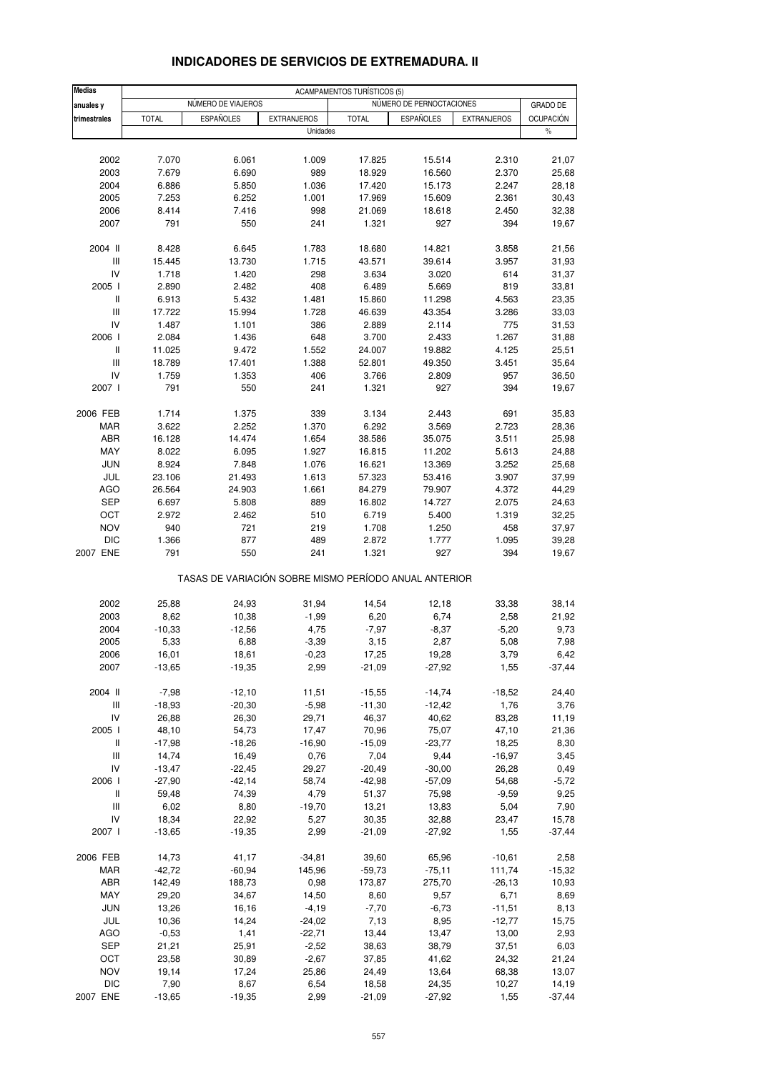#### **Medias** ACAMPAMENTOS TURÍSTICOS (5)<br>
MALIARES VIENTES DE VIAJEROS **NO ENCALADADE DE VIAJEROS anuales verbee anual community of the VIAJEROS NUMERO DE PERIOCTACIONES GRADO DE trimestrales |** TOTAL | ESPAÑOLES | EXTRANJEROS | TOTAL | ESPAÑOLES | EXTRANJEROS | OCUPACIÓN Unidades and the set of the set of the set of the set of the set of the set of the set of the set of the set of the set of the set of the set of the set of the set of the set of the set of the set of the set of the set of 2002 7.070 6.061 1.009 17.825 15.514 2.310 21,07 2003 7.679 6.690 989 18.929 16.560 2.370 25,68 2004 6.886 5.850 1.036 17.420 15.173 2.247 28,18 2005 7.253 6.252 1.001 17.969 15.609 2.361 30,43 2006 8.414 7.416 998 21.069 18.618 2.450 32,38 2007 791 550 241 1.321 927 394 19,67 2004 II 8.428 6.645 1.783 18.680 14.821 3.858 21,56 III 15.445 13.730 1.715 43.571 39.614 3.957 31,93 IV 1.718 1.420 298 3.634 3.020 614 31,37 2005 I 2.890 2.482 408 6.489 5.669 819 33,81 II 6.913 5.432 1.481 15.860 11.298 4.563 23,35 III 17.722 15.994 1.728 46.639 43.354 3.286 33,03 IV 1.487 1.101 386 2.889 2.114 775 31,53 2006 I 2.084 1.436 648 3.700 2.433 1.267 31,88 II 11.025 9.472 1.552 24.007 19.882 4.125 25,51 III 18.789 17.401 1.388 52.801 49.350 3.451 35,64 IV 1.759 1.353 406 3.766 2.809 957 36,50 2007 I 791 550 241 1.321 927 394 19,67 2006 FEB 1.714 1.375 339 3.134 2.443 691 35,83 MAR 3.622 2.252 1.370 6.292 3.569 2.723 28,36 ABR 16.128 14.474 1.654 38.586 35.075 3.511 25,98 MAY 8.022 6.095 1.927 16.815 11.202 5.613 24,88 JUN 8.924 7.848 1.076 16.621 13.369 3.252 25,68 JUL 23.106 21.493 1.613 57.323 53.416 3.907 37,99 AGO 26.564 24.903 1.661 84.279 79.907 4.372 44,29 SEP 6.697 5.808 889 16.802 14.727 2.075 24,63 OCT 2.972 2.462 510 6.719 5.400 1.319 32,25 NOV 940 721 219 1.708 1.250 458 37,97 DIC 1.366 877 489 2.872 1.777 1.095 39,28 2007 ENE 791 550 241 1.321 927 394 19,67 TASAS DE VARIACIÓN SOBRE MISMO PERÍODO ANUAL ANTERIOR 2002 25,88 24,93 31,94 14,54 12,18 33,38 38,14 2003 8,62 10,38 -1,99 6,20 6,74 2,58 21,92 2004 -10,33 -12,56 4,75 -7,97 -8,37 -5,20 9,73 2005 5,33 6,88 -3,39 3,15 2,87 5,08 7,98 2006 16,01 18,61 -0,23 17,25 19,28 3,79 6,42 2007 -13,65 -19,35 2,99 -21,09 -27,92 1,55 -37,44 2004 II -7,98 -12,10 11,51 -15,55 -14,74 -18,52 24,40 III -18,93 -20,30 -5,98 -11,30 -12,42 1,76 3,76 IV 26,88 26,30 29,71 46,37 40,62 83,28 11,19 2005 I 48,10 54,73 17,47 70,96 75,07 47,10 21,36 II -17,98 -18,26 -16,90 -15,09 -23,77 18,25 8,30 III 14,74 16,49 0,76 7,04 9,44 -16,97 3,45 IV -13,47 -22,45 29,27 -20,49 -30,00 26,28 0,49 2006 I -27,90 -42,14 58,74 -42,98 -57,09 54,68 -5,72 II 59,48 74,39 4,79 51,37 75,98 -9,59 9,25 III 6,02 8,80 -19,70 13,21 13,83 5,04 7,90 IV 18,34 22,92 5,27 30,35 32,88 23,47 15,78 2007 I -13,65 -19,35 2,99 -21,09 -27,92 1,55 -37,44 2006 FEB 14,73 41,17 -34,81 39,60 65,96 -10,61 2,58 MAR -42,72 -60,94 145,96 -59,73 -75,11 111,74 -15,32 ABR 142,49 188,73 0,98 173,87 275,70 -26,13 10,93 MAY 29,20 34,67 14,50 8,60 9,57 6,71 8,69 JUN 13,26 16,16 -4,19 -7,70 -6,73 -11,51 8,13 JUL 10,36 14,24 -24,02 7,13 8,95 -12,77 15,75 AGO -0,53 1,41 -22,71 13,44 13,47 13,00 2,93 SEP 21,21 25,91 -2,52 38,63 38,79 37,51 6,03 OCT 23,58 30,89 -2,67 37,85 41,62 24,32 21,24 NOV 19,14 17,24 25,86 24,49 13,64 68,38 13,07

#### **INDICADORES DE SERVICIOS DE EXTREMADURA. II**

DIC 7,90 8,67 6,54 18,58 24,35 10,27 14,19 2007 ENE -13,65 -19,35 2,99 -21,09 -27,92 1,55 -37,44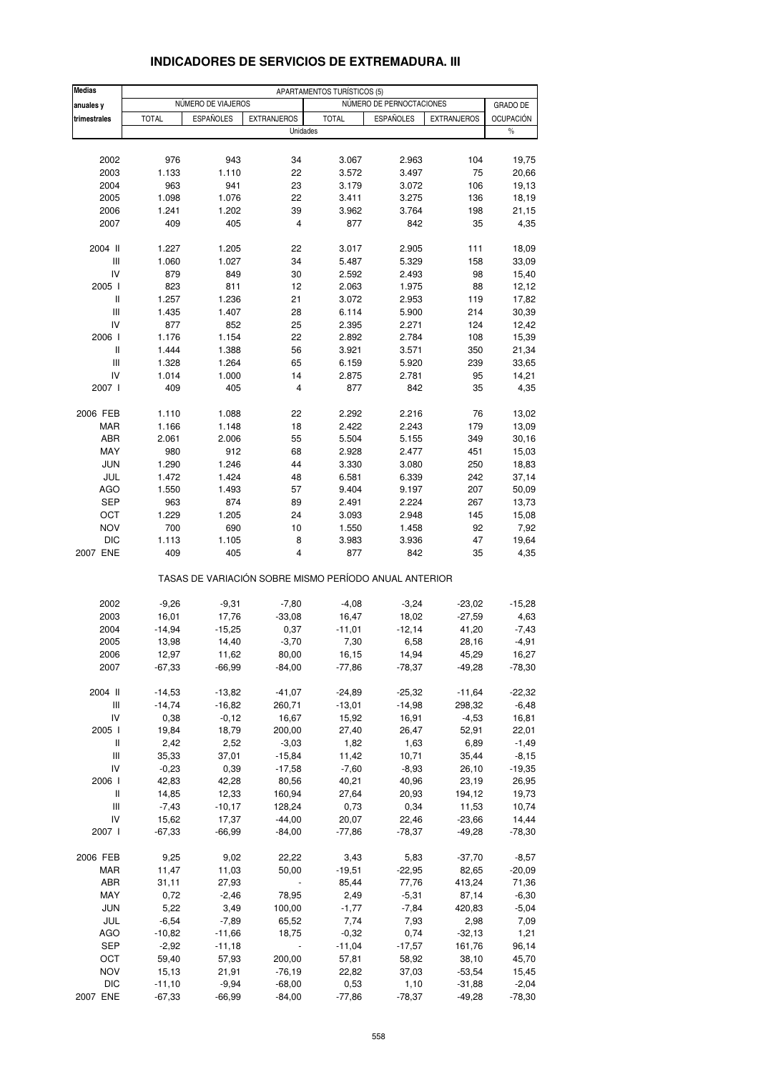| <b>Medias</b>                      |                |                    |                                                       | APARTAMENTOS TURÍSTICOS (5) |                          |                    |                  |
|------------------------------------|----------------|--------------------|-------------------------------------------------------|-----------------------------|--------------------------|--------------------|------------------|
| anuales y                          |                | NÚMERO DE VIAJEROS |                                                       |                             | NÚMERO DE PERNOCTACIONES |                    | <b>GRADO DE</b>  |
| trimestrales                       | <b>TOTAL</b>   | <b>ESPAÑOLES</b>   | <b>EXTRANJEROS</b>                                    | <b>TOTAL</b>                | <b>ESPAÑOLES</b>         | <b>EXTRANJEROS</b> | <b>OCUPACIÓN</b> |
|                                    |                |                    | Unidades                                              |                             |                          |                    | $\%$             |
|                                    |                |                    |                                                       |                             |                          |                    |                  |
| 2002                               | 976            | 943                | 34                                                    | 3.067                       | 2.963                    | 104                | 19,75            |
| 2003                               | 1.133          | 1.110              | 22                                                    | 3.572                       | 3.497                    | 75                 | 20,66            |
| 2004                               | 963            | 941                | 23                                                    | 3.179                       | 3.072                    | 106                | 19,13            |
| 2005<br>2006                       | 1.098<br>1.241 | 1.076<br>1.202     | 22<br>39                                              | 3.411<br>3.962              | 3.275<br>3.764           | 136<br>198         | 18,19            |
| 2007                               | 409            | 405                | 4                                                     | 877                         | 842                      | 35                 | 21,15<br>4,35    |
|                                    |                |                    |                                                       |                             |                          |                    |                  |
| 2004 II                            | 1.227          | 1.205              | 22                                                    | 3.017                       | 2.905                    | 111                | 18,09            |
| Ш                                  | 1.060          | 1.027              | 34                                                    | 5.487                       | 5.329                    | 158                | 33,09            |
| IV                                 | 879            | 849                | 30                                                    | 2.592                       | 2.493                    | 98                 | 15,40            |
| 2005 l<br>Ш                        | 823<br>1.257   | 811<br>1.236       | 12<br>21                                              | 2.063<br>3.072              | 1.975<br>2.953           | 88<br>119          | 12,12<br>17,82   |
| Ш                                  | 1.435          | 1.407              | 28                                                    | 6.114                       | 5.900                    | 214                | 30,39            |
| IV                                 | 877            | 852                | 25                                                    | 2.395                       | 2.271                    | 124                | 12,42            |
| 2006                               | 1.176          | 1.154              | 22                                                    | 2.892                       | 2.784                    | 108                | 15,39            |
| $\mathsf{I}$                       | 1.444          | 1.388              | 56                                                    | 3.921                       | 3.571                    | 350                | 21,34            |
| Ш                                  | 1.328          | 1.264              | 65                                                    | 6.159                       | 5.920                    | 239                | 33,65            |
| IV                                 | 1.014          | 1.000              | 14                                                    | 2.875                       | 2.781                    | 95                 | 14,21            |
| 2007 l                             | 409            | 405                | 4                                                     | 877                         | 842                      | 35                 | 4,35             |
|                                    |                |                    |                                                       |                             |                          |                    |                  |
| 2006 FEB                           | 1.110          | 1.088              | 22                                                    | 2.292                       | 2.216                    | 76                 | 13,02            |
| MAR                                | 1.166          | 1.148              | 18                                                    | 2.422                       | 2.243                    | 179                | 13,09            |
| ABR                                | 2.061          | 2.006              | 55                                                    | 5.504                       | 5.155                    | 349                | 30, 16           |
| MAY                                | 980            | 912                | 68                                                    | 2.928                       | 2.477                    | 451                | 15,03            |
| <b>JUN</b>                         | 1.290          | 1.246              | 44                                                    | 3.330                       | 3.080                    | 250                | 18,83            |
| JUL                                | 1.472          | 1.424              | 48                                                    | 6.581                       | 6.339                    | 242                | 37,14            |
| <b>AGO</b>                         | 1.550          | 1.493              | 57                                                    | 9.404                       | 9.197                    | 207                | 50,09            |
| <b>SEP</b><br>OCT                  | 963<br>1.229   | 874<br>1.205       | 89<br>24                                              | 2.491<br>3.093              | 2.224<br>2.948           | 267<br>145         | 13,73<br>15,08   |
| <b>NOV</b>                         | 700            | 690                | 10                                                    | 1.550                       | 1.458                    | 92                 | 7,92             |
| <b>DIC</b>                         | 1.113          | 1.105              | 8                                                     | 3.983                       | 3.936                    | 47                 | 19,64            |
| 2007 ENE                           | 409            | 405                | 4                                                     | 877                         | 842                      | 35                 | 4,35             |
|                                    |                |                    | TASAS DE VARIACIÓN SOBRE MISMO PERÍODO ANUAL ANTERIOR |                             |                          |                    |                  |
| 2002                               | $-9,26$        | $-9,31$            | $-7,80$                                               | $-4,08$                     | $-3,24$                  | $-23,02$           | $-15,28$         |
| 2003                               | 16,01          | 17,76              | $-33,08$                                              | 16,47                       | 18,02                    | $-27,59$           | 4,63             |
| 2004                               | $-14,94$       | $-15,25$           | 0,37                                                  | $-11,01$                    | $-12,14$                 | 41,20              | $-7,43$          |
| 2005                               | 13,98          | 14,40              | $-3,70$                                               | 7,30                        | 6,58                     | 28,16              | $-4,91$          |
| 2006                               | 12,97          | 11,62              | 80,00                                                 | 16,15                       | 14,94                    | 45,29              | 16,27            |
| 2007                               | $-67,33$       | $-66,99$           | $-84,00$                                              | $-77,86$                    | $-78,37$                 | $-49,28$           | $-78,30$         |
| 2004 II                            | $-14,53$       | $-13,82$           | $-41,07$                                              | $-24,89$                    | $-25,32$                 | $-11,64$           | $-22,32$         |
| $\ensuremath{\mathsf{III}}\xspace$ | $-14,74$       | $-16,82$           | 260,71                                                | $-13,01$                    | $-14,98$                 | 298,32             | $-6,48$          |
| IV                                 | 0,38           | $-0,12$            | 16,67                                                 | 15,92                       | 16,91                    | $-4,53$            | 16,81            |
| 2005 l                             | 19,84          | 18,79              | 200,00                                                | 27,40                       | 26,47                    | 52,91              | 22,01            |
| Ш                                  | 2,42           | 2,52               | $-3,03$                                               | 1,82                        | 1,63                     | 6,89               | $-1,49$          |
| Ш                                  | 35,33          | 37,01              | $-15.84$                                              | 11,42                       | 10,71                    | 35,44              | $-8,15$          |
| IV                                 | $-0,23$        | 0,39               | $-17,58$                                              | $-7,60$                     | $-8,93$                  | 26,10              | $-19,35$         |
| 2006                               | 42,83          | 42,28              | 80,56                                                 | 40,21                       | 40,96                    | 23,19              | 26,95            |
| Ш                                  | 14,85          | 12,33              | 160,94                                                | 27,64                       | 20,93                    | 194,12             | 19,73            |
| Ш                                  | $-7,43$        | $-10,17$           | 128,24                                                | 0,73                        | 0,34                     | 11,53              | 10,74            |
| IV                                 | 15,62          | 17,37              | $-44,00$                                              | 20,07                       | 22,46                    | $-23,66$           | 14,44            |
| 2007                               | $-67,33$       | $-66,99$           | $-84,00$                                              | $-77,86$                    | $-78,37$                 | $-49,28$           | $-78,30$         |
| 2006 FEB                           | 9,25           | 9,02               | 22,22                                                 | 3,43                        | 5,83                     | $-37,70$           | $-8,57$          |
| <b>MAR</b>                         | 11,47          | 11,03              | 50,00                                                 | $-19,51$                    | $-22,95$                 | 82,65              | $-20,09$         |
| ABR                                | 31,11          | 27,93              |                                                       | 85,44                       | 77,76                    | 413,24             | 71,36            |
| MAY                                | 0,72           | $-2,46$            | 78,95                                                 | 2,49                        | $-5,31$                  | 87,14              | $-6,30$          |
| <b>JUN</b>                         | 5,22           | 3,49               | 100,00                                                | $-1,77$                     | $-7,84$                  | 420,83             | $-5,04$          |
| JUL                                | $-6,54$        | $-7,89$            | 65,52                                                 | 7,74                        | 7,93                     | 2,98               | 7,09             |
| <b>AGO</b>                         | $-10,82$       | $-11,66$           | 18,75                                                 | $-0,32$                     | 0,74                     | $-32,13$           | 1,21             |
| <b>SEP</b>                         | $-2,92$        | $-11,18$           |                                                       | $-11,04$                    | $-17,57$                 | 161,76             | 96,14            |
| OCT                                | 59,40          | 57,93              | 200,00                                                | 57,81                       | 58,92                    | 38,10              | 45,70            |
| <b>NOV</b>                         | 15,13          | 21,91              | $-76,19$                                              | 22,82                       | 37,03                    | $-53,54$           | 15,45            |
| DIC                                | $-11,10$       | $-9,94$            | $-68,00$                                              | 0,53                        | 1,10                     | $-31,88$           | $-2,04$          |
| 2007 ENE                           | $-67,33$       | $-66,99$           | $-84,00$                                              | $-77,86$                    | $-78,37$                 | $-49,28$           | $-78,30$         |

### **INDICADORES DE SERVICIOS DE EXTREMADURA. III**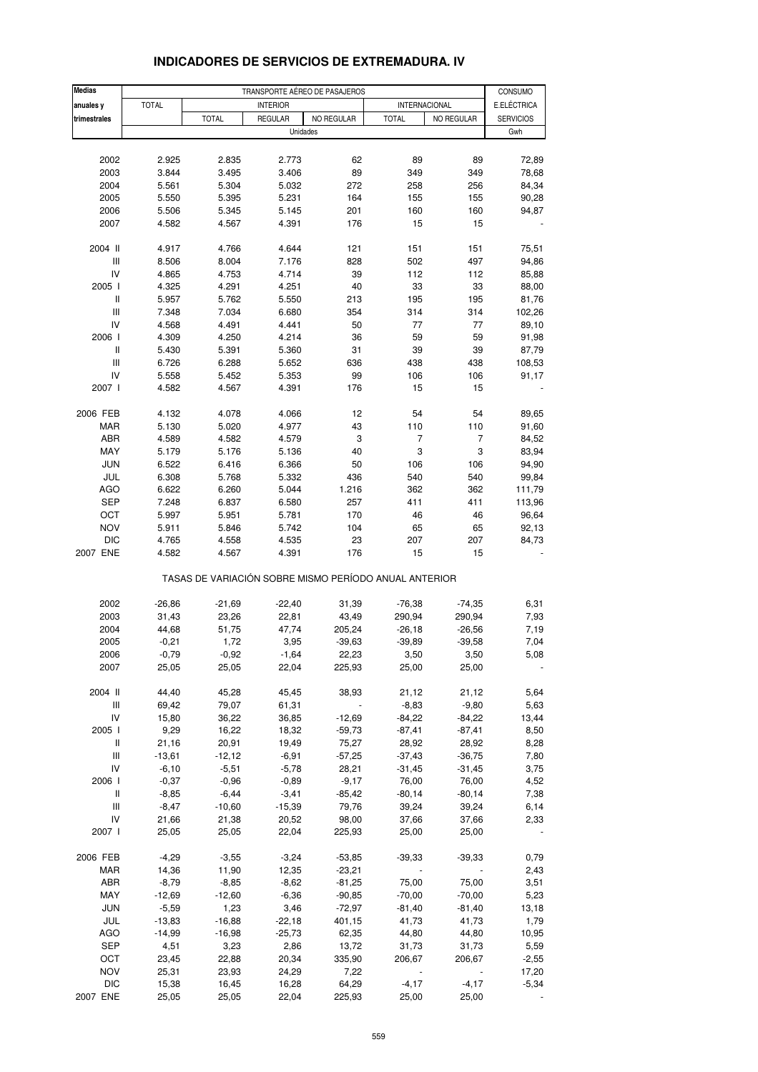| <b>Medias</b>            |                  |                                                       |                  | TRANSPORTE AÉREO DE PASAJEROS |                                     |                   | CONSUMO          |
|--------------------------|------------------|-------------------------------------------------------|------------------|-------------------------------|-------------------------------------|-------------------|------------------|
| anuales y                | <b>TOTAL</b>     |                                                       | <b>INTERIOR</b>  |                               | INTERNACIONAL                       |                   | E.ELÉCTRICA      |
| trimestrales             |                  | <b>TOTAL</b>                                          | <b>REGULAR</b>   | NO REGULAR                    | <b>TOTAL</b>                        | NO REGULAR        | <b>SERVICIOS</b> |
|                          |                  |                                                       | Unidades         |                               |                                     |                   | Gwh              |
|                          |                  |                                                       |                  |                               |                                     |                   |                  |
| 2002                     | 2.925            | 2.835                                                 | 2.773            | 62                            | 89                                  | 89                | 72,89            |
| 2003                     | 3.844            | 3.495                                                 | 3.406            | 89                            | 349                                 | 349               | 78,68            |
| 2004                     | 5.561            | 5.304                                                 | 5.032            | 272                           | 258                                 | 256               | 84,34            |
| 2005                     | 5.550            | 5.395                                                 | 5.231            | 164                           | 155                                 | 155               | 90,28            |
| 2006                     | 5.506            | 5.345                                                 | 5.145            | 201                           | 160                                 | 160               | 94,87            |
| 2007                     | 4.582            | 4.567                                                 | 4.391            | 176                           | 15                                  | 15                |                  |
| 2004 II                  | 4.917            | 4.766                                                 | 4.644            | 121                           | 151                                 | 151               | 75,51            |
| Ш                        | 8.506            | 8.004                                                 | 7.176            | 828                           | 502                                 | 497               | 94,86            |
| IV                       | 4.865            | 4.753                                                 | 4.714            | 39                            | 112                                 | 112               | 85,88            |
| 2005 l                   | 4.325            | 4.291                                                 | 4.251            | 40                            | 33                                  | 33                | 88,00            |
| $\mathsf{I}$             | 5.957            | 5.762                                                 | 5.550            | 213                           | 195                                 | 195               | 81,76            |
| Ш                        | 7.348            | 7.034                                                 | 6.680            | 354                           | 314                                 | 314               | 102,26           |
| IV<br>2006 l             | 4.568            | 4.491<br>4.250                                        | 4.441            | 50                            | 77                                  | 77                | 89,10            |
| Ш                        | 4.309<br>5.430   | 5.391                                                 | 4.214<br>5.360   | 36<br>31                      | 59<br>39                            | 59<br>39          | 91,98<br>87,79   |
| $\mathsf{III}$           | 6.726            | 6.288                                                 | 5.652            | 636                           | 438                                 | 438               | 108,53           |
| IV                       | 5.558            | 5.452                                                 | 5.353            | 99                            | 106                                 | 106               | 91,17            |
| 2007 l                   | 4.582            | 4.567                                                 | 4.391            | 176                           | 15                                  | 15                |                  |
| 2006 FEB                 | 4.132            | 4.078                                                 | 4.066            | 12                            | 54                                  | 54                | 89,65            |
| <b>MAR</b>               | 5.130            | 5.020                                                 | 4.977            | 43                            | 110                                 | 110               | 91,60            |
| ABR                      | 4.589            | 4.582                                                 | 4.579            | 3                             | $\overline{7}$                      | $\overline{7}$    | 84,52            |
| MAY                      | 5.179            | 5.176                                                 | 5.136            | 40                            | 3                                   | 3                 | 83,94            |
| <b>JUN</b>               | 6.522            | 6.416                                                 | 6.366            | 50                            | 106                                 | 106               | 94,90            |
| JUL                      | 6.308            | 5.768                                                 | 5.332            | 436                           | 540                                 | 540               | 99,84            |
| <b>AGO</b>               | 6.622            | 6.260                                                 | 5.044            | 1.216                         | 362                                 | 362               | 111,79           |
| <b>SEP</b>               | 7.248            | 6.837                                                 | 6.580            | 257                           | 411                                 | 411               | 113,96           |
| OCT                      | 5.997            | 5.951                                                 | 5.781            | 170                           | 46                                  | 46                | 96,64            |
| <b>NOV</b>               | 5.911            | 5.846                                                 | 5.742            | 104                           | 65                                  | 65                | 92,13            |
| <b>DIC</b>               | 4.765            | 4.558                                                 | 4.535            | 23                            | 207                                 | 207               | 84,73            |
| 2007 ENE                 | 4.582            | 4.567                                                 | 4.391            | 176                           | 15                                  | 15                |                  |
|                          |                  | TASAS DE VARIACIÓN SOBRE MISMO PERÍODO ANUAL ANTERIOR |                  |                               |                                     |                   |                  |
| 2002                     | $-26,86$         | $-21,69$                                              | $-22,40$         | 31,39                         | $-76,38$                            | $-74,35$          | 6,31             |
| 2003                     | 31,43            | 23,26                                                 | 22,81            | 43,49                         | 290,94                              | 290,94            | 7,93             |
| 2004                     | 44,68            | 51,75                                                 | 47,74            | 205,24                        | $-26,18$                            | $-26,56$          | 7,19             |
| 2005                     | $-0,21$          | 1,72                                                  | 3,95             | $-39,63$                      | $-39,89$                            | $-39,58$          | 7,04             |
| 2006<br>2007             | $-0,79$<br>25,05 | $-0,92$<br>25,05                                      | $-1,64$<br>22,04 | 22,23<br>225,93               | 3,50<br>25,00                       | 3,50<br>25,00     | 5,08             |
|                          |                  |                                                       |                  |                               |                                     |                   |                  |
| 2004 II                  | 44,40            | 45,28                                                 | 45,45            | 38,93                         | 21,12                               | 21,12             | 5,64             |
| Ш                        | 69,42            | 79,07                                                 | 61,31            |                               | $-8,83$                             | $-9,80$           | 5,63             |
| IV                       | 15,80            | 36,22                                                 | 36,85            | $-12,69$                      | $-84,22$                            | $-84,22$          | 13,44            |
| 2005 l<br>Ш              | 9,29<br>21,16    | 16,22<br>20,91                                        | 18,32<br>19,49   | $-59,73$<br>75,27             | $-87,41$<br>28,92                   | $-87,41$<br>28,92 | 8,50<br>8,28     |
| Ш                        | $-13,61$         | $-12,12$                                              | $-6,91$          | $-57,25$                      | $-37,43$                            | $-36,75$          | 7,80             |
| IV                       | $-6,10$          | $-5,51$                                               | $-5,78$          | 28,21                         | $-31,45$                            | $-31,45$          | 3,75             |
| 2006                     | $-0,37$          | $-0,96$                                               | $-0,89$          | $-9,17$                       | 76,00                               | 76,00             | 4,52             |
| Ш                        | $-8,85$          | $-6,44$                                               | $-3,41$          | $-85,42$                      | $-80,14$                            | $-80,14$          | 7,38             |
| Ш                        | $-8,47$          | $-10,60$                                              | $-15,39$         | 79,76                         | 39,24                               | 39,24             | 6,14             |
| IV                       | 21,66            | 21,38                                                 | 20,52            | 98,00                         | 37,66                               | 37,66             | 2,33             |
| 2007 l                   | 25,05            | 25,05                                                 | 22,04            | 225,93                        | 25,00                               | 25,00             |                  |
| 2006 FEB                 | $-4,29$          | $-3,55$                                               | $-3,24$          | $-53,85$                      | $-39,33$                            | $-39,33$          | 0,79             |
| MAR                      | 14,36            | 11,90                                                 | 12,35            | $-23,21$                      |                                     |                   | 2,43             |
| ABR                      | $-8,79$          | $-8,85$                                               | $-8,62$          | $-81,25$                      | 75,00                               | 75,00             | 3,51             |
| MAY                      | $-12,69$         | $-12,60$                                              | $-6,36$          | $-90,85$                      | $-70,00$                            | $-70,00$          | 5,23             |
| <b>JUN</b>               | $-5,59$          | 1,23                                                  | 3,46             | $-72,97$                      | $-81,40$                            | $-81,40$          | 13,18            |
| JUL                      | $-13,83$         | $-16,88$                                              | $-22,18$         | 401,15                        | 41,73                               | 41,73             | 1,79             |
| <b>AGO</b>               | $-14,99$         | $-16,98$                                              | $-25,73$         | 62,35                         | 44,80                               | 44,80             | 10,95            |
| SEP                      | 4,51             | 3,23                                                  | 2,86             | 13,72                         | 31,73                               | 31,73             | 5,59             |
| OCT                      | 23,45            | 22,88                                                 | 20,34            | 335,90                        | 206,67                              | 206,67            | $-2,55$          |
| <b>NOV</b><br><b>DIC</b> | 25,31<br>15,38   | 23,93<br>16,45                                        | 24,29<br>16,28   | 7,22<br>64,29                 | $\overline{\phantom{a}}$<br>$-4,17$ | $-4,17$           | 17,20<br>$-5,34$ |
| 2007 ENE                 | 25,05            | 25,05                                                 | 22,04            | 225,93                        | 25,00                               | 25,00             |                  |
|                          |                  |                                                       |                  |                               |                                     |                   |                  |

# **INDICADORES DE SERVICIOS DE EXTREMADURA. IV**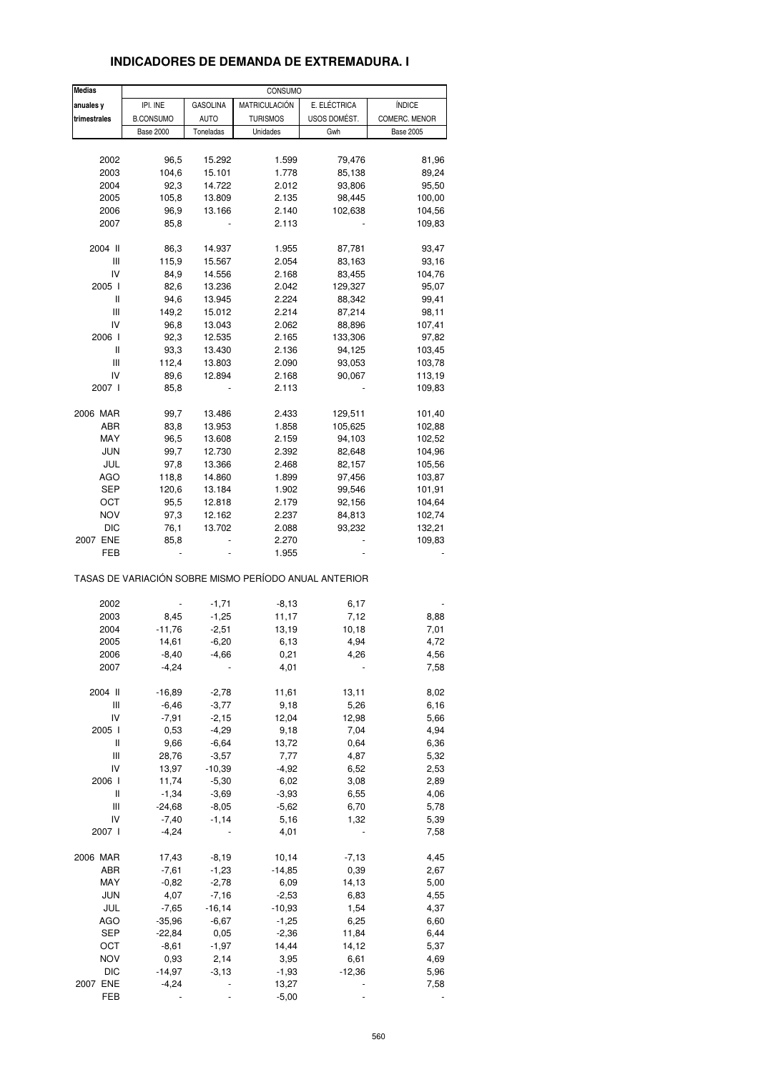| <b>Medias</b> |                  |                 | CONSUMO         |                                                       |                  |
|---------------|------------------|-----------------|-----------------|-------------------------------------------------------|------------------|
| anuales y     | IPI. INE         | <b>GASOLINA</b> | MATRICULACIÓN   | E. ELÉCTRICA                                          | <b>ÍNDICE</b>    |
| trimestrales  | <b>B.CONSUMO</b> | <b>AUTO</b>     | <b>TURISMOS</b> | USOS DOMÉST.                                          | COMERC. MENOR    |
|               | <b>Base 2000</b> | Toneladas       | Unidades        | Gwh                                                   | <b>Base 2005</b> |
|               |                  |                 |                 |                                                       |                  |
| 2002          | 96,5             | 15.292          | 1.599           | 79,476                                                | 81,96            |
| 2003          | 104,6            | 15.101          | 1.778           | 85,138                                                | 89,24            |
| 2004          | 92,3             | 14.722          | 2.012           | 93,806                                                | 95,50            |
| 2005          | 105,8            | 13.809          | 2.135           | 98,445                                                | 100,00           |
| 2006          | 96,9             | 13.166          | 2.140           | 102,638                                               | 104,56           |
| 2007          | 85,8             |                 | 2.113           |                                                       | 109,83           |
| 2004 II       | 86,3             | 14.937          | 1.955           | 87,781                                                | 93,47            |
| Ш             | 115,9            | 15.567          | 2.054           | 83,163                                                | 93,16            |
| IV            | 84,9             | 14.556          | 2.168           | 83,455                                                | 104,76           |
| 2005 l        | 82,6             | 13.236          | 2.042           | 129,327                                               | 95,07            |
| Ш             | 94,6             | 13.945          | 2.224           | 88,342                                                | 99,41            |
| Ш             | 149,2            | 15.012          | 2.214           | 87,214                                                | 98,11            |
| IV            | 96,8             | 13.043          | 2.062           | 88,896                                                | 107,41           |
| 2006          | 92,3             | 12.535          | 2.165           | 133,306                                               | 97,82            |
| Ш             | 93,3             | 13.430          | 2.136           | 94,125                                                | 103,45           |
| Ш             | 112,4            | 13.803          | 2.090           | 93,053                                                | 103,78           |
| IV            | 89,6             | 12.894          | 2.168           | 90,067                                                | 113,19           |
| 2007 l        | 85,8             |                 | 2.113           |                                                       | 109,83           |
| 2006 MAR      | 99,7             | 13.486          | 2.433           | 129,511                                               | 101,40           |
| ABR           | 83,8             | 13.953          | 1.858           | 105,625                                               | 102,88           |
| MAY           | 96,5             | 13.608          | 2.159           | 94,103                                                | 102,52           |
| <b>JUN</b>    | 99,7             | 12.730          | 2.392           | 82,648                                                | 104,96           |
| JUL           | 97,8             | 13.366          | 2.468           | 82,157                                                | 105,56           |
| AGO           | 118,8            | 14.860          | 1.899           | 97,456                                                | 103,87           |
| <b>SEP</b>    | 120,6            | 13.184          | 1.902           | 99,546                                                | 101,91           |
| OCT           | 95,5             | 12.818          | 2.179           | 92,156                                                | 104,64           |
| <b>NOV</b>    | 97,3             | 12.162          | 2.237           | 84,813                                                | 102,74           |
| DIC           | 76,1             | 13.702          | 2.088           | 93,232                                                | 132,21           |
| 2007 ENE      | 85,8             |                 | 2.270           |                                                       | 109,83           |
| FEB           |                  |                 | 1.955           |                                                       |                  |
|               |                  |                 |                 | TASAS DE VARIACIÓN SOBRE MISMO PERÍODO ANUAL ANTERIOR |                  |
|               |                  |                 |                 |                                                       |                  |
| 2002          |                  | $-1,71$         | $-8,13$         | 6,17                                                  |                  |
| 2003          | 8,45             | $-1,25$         | 11,17           | 7,12                                                  | 8,88             |
| 2004          | $-11,76$         | $-2,51$         | 13,19           | 10,18                                                 | 7,01             |
| 2005          | 14,61            | $-6,20$         | 6,13            | 4,94                                                  | 4,72             |
| 2006          | $-8,40$          | $-4,66$         | 0,21            | 4,26                                                  | 4,56             |
| 2007          | $-4,24$          |                 | 4,01            |                                                       | 7,58             |
| 2004 II       | $-16,89$         | $-2,78$         | 11,61           | 13,11                                                 | 8,02             |
| Ш             | $-6,46$          | $-3,77$         | 9,18            | 5,26                                                  | 6,16             |
| IV            | $-7,91$          | $-2,15$         | 12,04           | 12,98                                                 | 5,66             |
| 2005 l        | 0,53             | $-4,29$         | 9,18            | 7,04                                                  | 4,94             |
| Ш             | 9,66             | $-6,64$         | 13,72           | 0,64                                                  | 6,36             |
| Ш             | 28,76            | $-3,57$         | 7,77            | 4,87                                                  | 5,32             |
| IV            | 13,97            | $-10,39$        | $-4,92$         | 6,52                                                  | 2,53             |
| 2006          | 11,74            | $-5,30$         | 6,02            | 3,08                                                  | 2,89             |
| Ш             | $-1,34$          | $-3,69$         | $-3,93$         | 6,55                                                  | 4,06             |
| Ш             | $-24,68$         | $-8,05$         | $-5,62$         | 6,70                                                  | 5,78             |
| IV            | $-7,40$          | $-1,14$         | 5,16            | 1,32                                                  | 5,39             |
| 2007 l        | $-4,24$          |                 | 4,01            |                                                       | 7,58             |
| 2006 MAR      | 17,43            | $-8,19$         | 10,14           | $-7,13$                                               | 4,45             |
| ABR           | $-7,61$          | $-1,23$         | $-14,85$        | 0,39                                                  | 2,67             |
| MAY           | $-0,82$          | $-2,78$         | 6,09            | 14,13                                                 | 5,00             |
| <b>JUN</b>    | 4,07             | $-7,16$         | $-2,53$         | 6,83                                                  | 4,55             |
| JUL           | $-7,65$          | $-16, 14$       | $-10,93$        | 1,54                                                  | 4,37             |
| <b>AGO</b>    | $-35,96$         | $-6,67$         | $-1,25$         | 6,25                                                  | 6,60             |
| <b>SEP</b>    | $-22,84$         | 0,05            | $-2,36$         | 11,84                                                 | 6,44             |
| OCT           | $-8,61$          | $-1,97$         | 14,44           | 14,12                                                 | 5,37             |
| NOV           | 0,93             | 2,14            | 3,95            | 6,61                                                  | 4,69             |
| <b>DIC</b>    | $-14,97$         | $-3,13$         | $-1,93$         | $-12,36$                                              | 5,96             |
| 2007 ENE      | $-4,24$          |                 | 13,27           |                                                       | 7,58             |

FEB - - - - - 5,00 - - - - -

### **INDICADORES DE DEMANDA DE EXTREMADURA. I**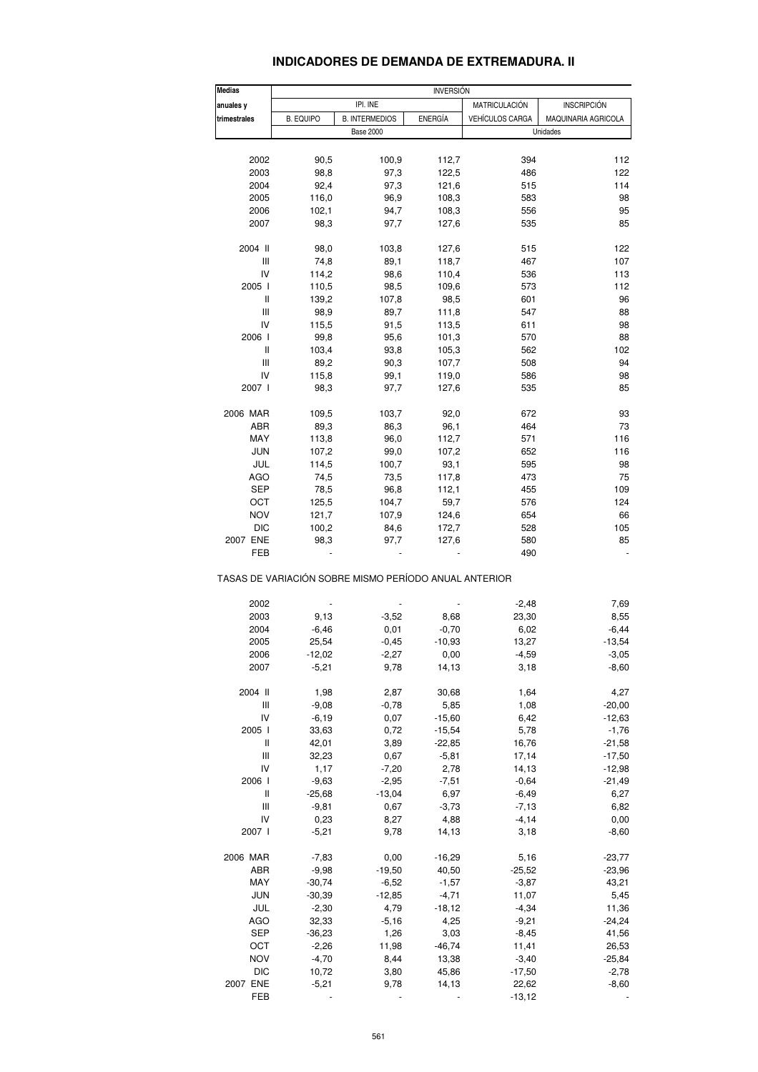### **INDICADORES DE DEMANDA DE EXTREMADURA. II**

| <b>Medias</b><br><b>INVERSION</b> |                  |                                                       |                          |                        |                     |
|-----------------------------------|------------------|-------------------------------------------------------|--------------------------|------------------------|---------------------|
| anuales y                         |                  | IPI. INE                                              |                          | MATRICULACIÓN          | <b>INSCRIPCIÓN</b>  |
| trimestrales                      | <b>B. EQUIPO</b> | <b>B. INTERMEDIOS</b>                                 | <b>ENERGÍA</b>           | <b>VEHÍCULOS CARGA</b> | MAQUINARIA AGRICOLA |
|                                   |                  | <b>Base 2000</b>                                      |                          |                        | Unidades            |
| 2002                              | 90,5             | 100,9                                                 | 112,7                    | 394                    | 112                 |
| 2003                              | 98,8             | 97,3                                                  | 122,5                    | 486                    | 122                 |
|                                   |                  |                                                       |                          |                        |                     |
| 2004                              | 92,4             | 97,3                                                  | 121,6                    | 515                    | 114                 |
| 2005                              | 116,0            | 96,9                                                  | 108,3                    | 583                    | 98                  |
| 2006                              | 102,1            | 94,7                                                  | 108,3                    | 556                    | 95                  |
| 2007                              | 98,3             | 97,7                                                  | 127,6                    | 535                    | 85                  |
| 2004 II                           | 98,0             | 103,8                                                 | 127,6                    | 515                    | 122                 |
| Ш                                 | 74,8             | 89,1                                                  | 118,7                    | 467                    | 107                 |
| IV                                | 114,2            | 98,6                                                  | 110,4                    | 536                    | 113                 |
| 2005 l                            | 110,5            | 98,5                                                  | 109,6                    | 573                    | 112                 |
| Ш                                 | 139,2            | 107,8                                                 | 98,5                     | 601                    | 96                  |
| Ш                                 | 98,9             | 89,7                                                  | 111,8                    | 547                    | 88                  |
| IV                                | 115,5            | 91,5                                                  | 113,5                    | 611                    | 98                  |
| 2006                              | 99,8             | 95,6                                                  | 101,3                    | 570                    | 88                  |
| Ш                                 | 103,4            | 93,8                                                  | 105,3                    | 562                    | 102                 |
| Ш                                 | 89,2             | 90,3                                                  | 107,7                    | 508                    | 94                  |
|                                   |                  |                                                       |                          |                        |                     |
| IV                                | 115,8            | 99,1                                                  | 119,0                    | 586                    | 98                  |
| 2007 l                            | 98,3             | 97,7                                                  | 127,6                    | 535                    | 85                  |
| 2006 MAR                          | 109,5            | 103,7                                                 | 92,0                     | 672                    | 93                  |
| ABR                               | 89,3             | 86,3                                                  | 96,1                     | 464                    | 73                  |
| MAY                               | 113,8            | 96,0                                                  | 112,7                    | 571                    | 116                 |
| <b>JUN</b>                        | 107,2            | 99,0                                                  | 107,2                    | 652                    | 116                 |
| JUL                               | 114,5            | 100,7                                                 | 93,1                     | 595                    | 98                  |
| <b>AGO</b>                        | 74,5             | 73,5                                                  | 117,8                    | 473                    | 75                  |
| SEP                               | 78,5             | 96,8                                                  | 112,1                    | 455                    | 109                 |
| OCT                               | 125,5            | 104,7                                                 | 59,7                     | 576                    | 124                 |
| <b>NOV</b>                        | 121,7            | 107,9                                                 | 124,6                    | 654                    | 66                  |
| <b>DIC</b>                        |                  |                                                       |                          | 528                    | 105                 |
|                                   | 100,2            | 84,6                                                  | 172,7                    |                        |                     |
| 2007 ENE<br>FEB                   | 98,3             | 97,7                                                  | 127,6                    | 580<br>490             | 85                  |
|                                   |                  | TASAS DE VARIACIÓN SOBRE MISMO PERÍODO ANUAL ANTERIOR |                          |                        |                     |
| 2002                              |                  | ÷,                                                    |                          | $-2,48$                | 7,69                |
| 2003                              | 9,13             | $-3,52$                                               | 8,68                     | 23,30                  | 8,55                |
| 2004                              | $-6,46$          | 0,01                                                  | $-0,70$                  | 6,02                   | $-6,44$             |
| 2005                              | 25,54            | $-0,45$                                               | $-10,93$                 | 13,27                  | $-13,54$            |
| 2006                              | $-12,02$         | $-2,27$                                               | 0,00                     | $-4,59$                | $-3,05$             |
| 2007                              | $-5,21$          | 9,78                                                  | 14,13                    | 3,18                   | $-8,60$             |
| 2004 II                           | 1,98             | 2,87                                                  | 30,68                    | 1,64                   | 4,27                |
| Ш                                 | $-9,08$          | $-0,78$                                               | 5,85                     | 1,08                   | $-20,00$            |
| IV                                | $-6,19$          | 0,07                                                  | $-15,60$                 | 6,42                   | $-12,63$            |
| 2005 l                            | 33,63            | 0,72                                                  | $-15,54$                 | 5,78                   | $-1,76$             |
| Ш                                 | 42,01            | 3,89                                                  | $-22,85$                 | 16,76                  | $-21,58$            |
| Ш                                 | 32,23            | 0,67                                                  | $-5,81$                  | 17,14                  | $-17,50$            |
| IV                                | 1,17             | $-7,20$                                               | 2,78                     | 14,13                  | $-12,98$            |
|                                   |                  |                                                       |                          |                        |                     |
| 2006                              | $-9,63$          | $-2,95$                                               | $-7,51$                  | $-0,64$                | $-21,49$            |
| Ш                                 | $-25,68$         | $-13,04$                                              | 6,97                     | $-6,49$                | 6,27                |
| Ш                                 | $-9,81$          | 0,67                                                  | $-3,73$                  | $-7,13$                | 6,82                |
| IV                                | 0,23             | 8,27                                                  | 4,88                     | $-4, 14$               | 0,00                |
| 2007 l                            | $-5,21$          | 9,78                                                  | 14,13                    | 3,18                   | $-8,60$             |
| 2006 MAR                          | $-7,83$          | 0,00                                                  | $-16,29$                 | 5,16                   | $-23,77$            |
| ABR                               | $-9,98$          | $-19,50$                                              | 40,50                    | $-25,52$               | $-23,96$            |
| MAY                               | $-30,74$         | $-6,52$                                               | $-1,57$                  | $-3,87$                | 43,21               |
| JUN                               | $-30,39$         | $-12,85$                                              | $-4,71$                  | 11,07                  | 5,45                |
| JUL                               | $-2,30$          | 4,79                                                  | $-18,12$                 | $-4,34$                | 11,36               |
| AGO                               | 32,33            | $-5,16$                                               | 4,25                     | $-9,21$                | $-24,24$            |
| <b>SEP</b>                        |                  |                                                       |                          |                        |                     |
|                                   | $-36,23$         | 1,26                                                  | 3,03                     | $-8,45$                | 41,56               |
| OCT                               | $-2,26$          | 11,98                                                 | $-46,74$                 | 11,41                  | 26,53               |
| <b>NOV</b>                        | $-4,70$          | 8,44                                                  | 13,38                    | $-3,40$                | $-25,84$            |
| <b>DIC</b>                        | 10,72            | 3,80                                                  | 45,86                    | $-17,50$               | $-2,78$             |
| 2007 ENE                          | $-5,21$          | 9,78                                                  | 14,13                    | 22,62                  | $-8,60$             |
| FEB                               |                  |                                                       | $\overline{\phantom{a}}$ | $-13,12$               |                     |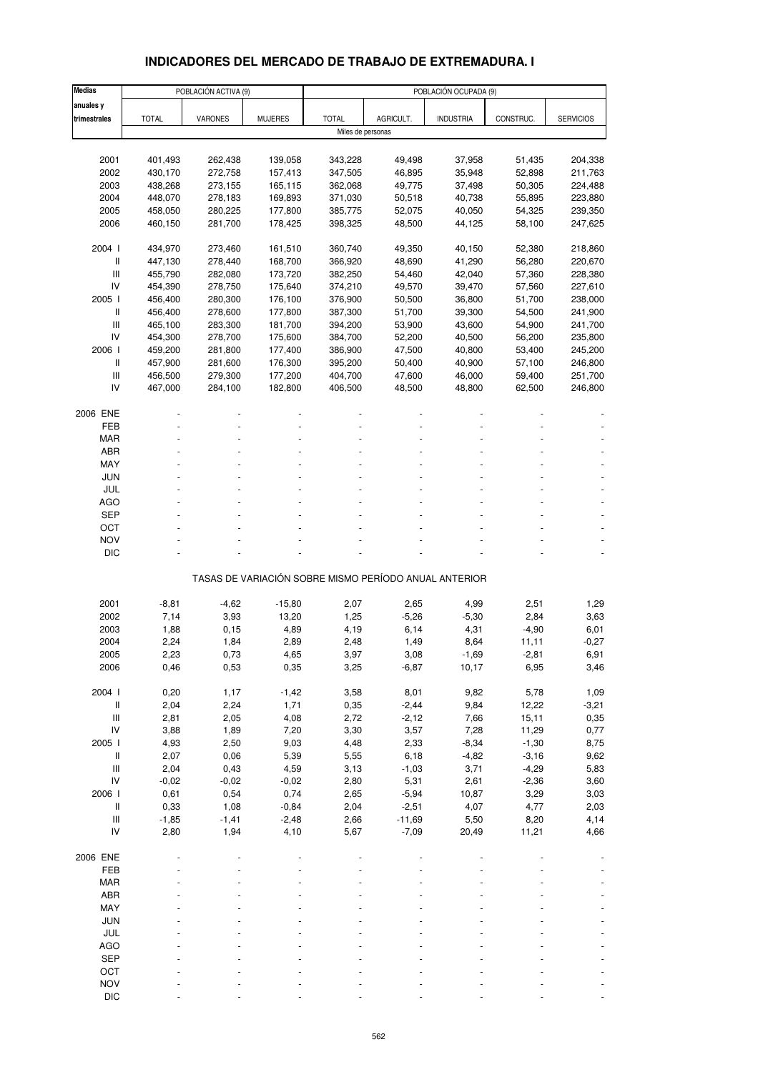# **INDICADORES DEL MERCADO DE TRABAJO DE EXTREMADURA. I**

| <b>Medias</b>                      |                    | POBLACIÓN ACTIVA (9) |                | POBLACIÓN OCUPADA (9) |                                                       |                  |                  |                    |  |  |  |
|------------------------------------|--------------------|----------------------|----------------|-----------------------|-------------------------------------------------------|------------------|------------------|--------------------|--|--|--|
| anuales y                          |                    |                      |                |                       |                                                       |                  |                  |                    |  |  |  |
| trimestrales                       | <b>TOTAL</b>       | VARONES              | <b>MUJERES</b> | <b>TOTAL</b>          | AGRICULT.                                             | <b>INDUSTRIA</b> | CONSTRUC.        | <b>SERVICIOS</b>   |  |  |  |
|                                    |                    |                      |                | Miles de personas     |                                                       |                  |                  |                    |  |  |  |
|                                    |                    |                      |                |                       |                                                       |                  |                  |                    |  |  |  |
| 2001                               | 401,493            | 262,438              | 139,058        | 343,228               | 49,498                                                | 37,958           | 51,435           | 204,338            |  |  |  |
| 2002                               | 430,170            | 272,758              | 157,413        | 347,505               | 46,895                                                | 35,948           | 52,898           | 211,763            |  |  |  |
| 2003                               | 438,268            | 273,155              | 165,115        | 362,068               | 49,775                                                | 37,498           | 50,305           | 224,488            |  |  |  |
| 2004                               | 448,070            | 278,183              | 169,893        | 371,030               | 50,518                                                | 40,738           | 55,895           | 223,880            |  |  |  |
| 2005                               | 458,050            | 280,225              | 177,800        | 385,775               | 52,075                                                | 40,050           | 54,325           | 239,350            |  |  |  |
| 2006                               | 460,150            | 281,700              | 178,425        | 398,325               | 48,500                                                | 44,125           | 58,100           | 247,625            |  |  |  |
| 2004 l                             |                    | 273,460              | 161,510        | 360,740               |                                                       |                  |                  |                    |  |  |  |
| Ш                                  | 434,970<br>447,130 | 278,440              | 168,700        | 366,920               | 49,350<br>48,690                                      | 40,150<br>41,290 | 52,380<br>56,280 | 218,860<br>220,670 |  |  |  |
| Ш                                  | 455,790            | 282,080              | 173,720        | 382,250               | 54,460                                                | 42,040           | 57,360           | 228,380            |  |  |  |
| IV                                 | 454,390            | 278,750              | 175,640        | 374,210               | 49,570                                                | 39,470           | 57,560           | 227,610            |  |  |  |
| 2005 l                             | 456,400            | 280,300              | 176,100        | 376,900               | 50,500                                                | 36,800           | 51,700           | 238,000            |  |  |  |
| Ш                                  | 456,400            | 278,600              | 177,800        | 387,300               | 51,700                                                | 39,300           | 54,500           | 241,900            |  |  |  |
| $\mathsf{III}$                     | 465,100            | 283,300              | 181,700        | 394,200               | 53,900                                                | 43,600           | 54,900           | 241,700            |  |  |  |
| IV                                 | 454,300            | 278,700              | 175,600        | 384,700               | 52,200                                                | 40,500           | 56,200           | 235,800            |  |  |  |
| 2006                               | 459,200            | 281,800              | 177,400        | 386,900               | 47,500                                                | 40,800           | 53,400           | 245,200            |  |  |  |
| Ш                                  | 457,900            | 281,600              | 176,300        | 395,200               | 50,400                                                | 40,900           | 57,100           | 246,800            |  |  |  |
| Ш                                  | 456,500            | 279,300              | 177,200        | 404,700               | 47,600                                                | 46,000           | 59,400           | 251,700            |  |  |  |
| IV                                 | 467,000            | 284,100              | 182,800        | 406,500               | 48,500                                                | 48,800           | 62,500           | 246,800            |  |  |  |
|                                    |                    |                      |                |                       |                                                       |                  |                  |                    |  |  |  |
| 2006 ENE                           |                    |                      |                |                       |                                                       |                  |                  |                    |  |  |  |
| FEB                                |                    |                      |                |                       |                                                       |                  |                  |                    |  |  |  |
| MAR<br><b>ABR</b>                  |                    |                      |                |                       |                                                       |                  |                  |                    |  |  |  |
| MAY                                |                    |                      |                |                       |                                                       |                  |                  |                    |  |  |  |
| <b>JUN</b>                         |                    |                      |                |                       |                                                       |                  |                  |                    |  |  |  |
| JUL                                |                    |                      |                |                       |                                                       |                  |                  |                    |  |  |  |
| <b>AGO</b>                         |                    |                      |                |                       |                                                       |                  |                  |                    |  |  |  |
| <b>SEP</b>                         |                    |                      |                |                       |                                                       |                  |                  |                    |  |  |  |
| OCT                                |                    |                      |                |                       |                                                       |                  |                  |                    |  |  |  |
| <b>NOV</b>                         |                    |                      |                |                       |                                                       |                  |                  |                    |  |  |  |
| <b>DIC</b>                         |                    |                      |                |                       |                                                       |                  |                  |                    |  |  |  |
|                                    |                    |                      |                |                       |                                                       |                  |                  |                    |  |  |  |
|                                    |                    |                      |                |                       | TASAS DE VARIACIÓN SOBRE MISMO PERÍODO ANUAL ANTERIOR |                  |                  |                    |  |  |  |
|                                    |                    |                      |                |                       |                                                       |                  |                  |                    |  |  |  |
| 2001                               | $-8,81$            | $-4,62$              | $-15,80$       | 2,07                  | 2,65                                                  | 4,99             | 2,51             | 1,29               |  |  |  |
| 2002                               | 7,14               | 3,93                 | 13,20          | 1,25                  | $-5,26$                                               | $-5,30$          | 2,84             | 3,63               |  |  |  |
| 2003                               | 1,88               | 0, 15                | 4,89           | 4,19                  | 6,14                                                  | 4,31             | $-4,90$          | 6,01               |  |  |  |
| 2004                               | 2,24               | 1,84                 | 2,89           | 2,48                  | 1,49                                                  | 8,64             | 11,11            | $-0,27$            |  |  |  |
| 2005                               | 2,23<br>0,46       | 0,73                 | 4,65           | 3,97                  | 3,08                                                  | -1,69            | -2,81            | 6,91               |  |  |  |
| 2006                               |                    | 0,53                 | 0,35           | 3,25                  | $-6,87$                                               | 10,17            | 6,95             | 3,46               |  |  |  |
| 2004 l                             | 0,20               | 1,17                 | $-1,42$        | 3,58                  | 8,01                                                  | 9,82             | 5,78             | 1,09               |  |  |  |
| $\, \parallel$                     | 2,04               | 2,24                 | 1,71           | 0,35                  | $-2,44$                                               | 9,84             | 12,22            | $-3,21$            |  |  |  |
| Ш                                  | 2,81               | 2,05                 | 4,08           | 2,72                  | $-2,12$                                               | 7,66             | 15, 11           | 0,35               |  |  |  |
| ${\sf IV}$                         | 3,88               | 1,89                 | 7,20           | 3,30                  | 3,57                                                  | 7,28             | 11,29            | 0,77               |  |  |  |
| 2005 l                             | 4,93               | 2,50                 | 9,03           | 4,48                  | 2,33                                                  | $-8,34$          | $-1,30$          | 8,75               |  |  |  |
| Ш                                  | 2,07               | 0,06                 | 5,39           | 5,55                  | 6,18                                                  | $-4,82$          | $-3,16$          | 9,62               |  |  |  |
| $\ensuremath{\mathsf{III}}\xspace$ | 2,04               | 0,43                 | 4,59           | 3,13                  | $-1,03$                                               | 3,71             | $-4,29$          | 5,83               |  |  |  |
| IV                                 | $-0,02$            | $-0,02$              | $-0,02$        | 2,80                  | 5,31                                                  | 2,61             | $-2,36$          | 3,60               |  |  |  |
| 2006                               | 0,61               | 0,54                 | 0,74           | 2,65                  | $-5,94$                                               | 10,87            | 3,29             | 3,03               |  |  |  |
| $\, \parallel$                     | 0,33               | 1,08                 | $-0,84$        | 2,04                  | $-2,51$                                               | 4,07             | 4,77             | 2,03               |  |  |  |
| $\ensuremath{\mathsf{III}}\xspace$ | $-1,85$            | $-1,41$              | $-2,48$        | 2,66                  | $-11,69$                                              | 5,50             | 8,20             | 4,14               |  |  |  |
| IV                                 | 2,80               | 1,94                 | 4,10           | 5,67                  | $-7,09$                                               | 20,49            | 11,21            | 4,66               |  |  |  |
|                                    |                    |                      |                |                       |                                                       |                  |                  |                    |  |  |  |
| 2006 ENE                           |                    |                      |                |                       |                                                       |                  |                  |                    |  |  |  |
| FEB                                |                    |                      |                |                       |                                                       |                  |                  |                    |  |  |  |
| MAR                                |                    |                      |                |                       |                                                       |                  |                  |                    |  |  |  |
| ABR                                |                    |                      |                |                       |                                                       |                  |                  |                    |  |  |  |
| MAY                                |                    |                      |                |                       |                                                       |                  |                  |                    |  |  |  |
| <b>JUN</b>                         |                    |                      |                |                       |                                                       |                  |                  |                    |  |  |  |
| JUL<br><b>AGO</b>                  |                    |                      |                |                       |                                                       |                  |                  |                    |  |  |  |
| <b>SEP</b>                         |                    |                      |                |                       |                                                       |                  |                  |                    |  |  |  |
| OCT                                |                    |                      |                |                       |                                                       |                  |                  |                    |  |  |  |
| <b>NOV</b>                         |                    |                      |                |                       |                                                       |                  |                  |                    |  |  |  |
| <b>DIC</b>                         |                    |                      |                |                       |                                                       |                  |                  |                    |  |  |  |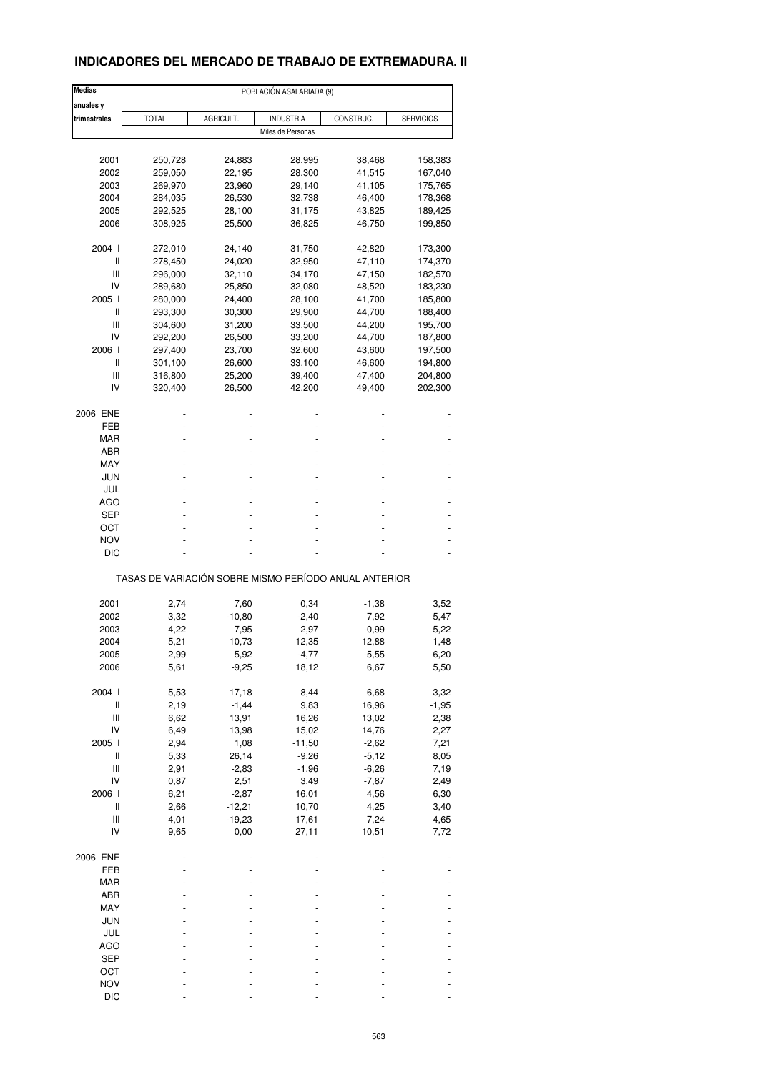# **INDICADORES DEL MERCADO DE TRABAJO DE EXTREMADURA. II**

| <b>Medias</b>                      |                                                       |           | POBLACIÓN ASALARIADA (9) |           |                  |
|------------------------------------|-------------------------------------------------------|-----------|--------------------------|-----------|------------------|
| anuales y                          |                                                       |           |                          |           |                  |
| trimestrales                       | <b>TOTAL</b>                                          | AGRICULT. | <b>INDUSTRIA</b>         | CONSTRUC. | <b>SERVICIOS</b> |
|                                    |                                                       |           | Miles de Personas        |           |                  |
|                                    |                                                       |           |                          |           |                  |
| 2001                               | 250,728                                               | 24,883    | 28,995                   | 38,468    | 158,383          |
| 2002                               | 259,050                                               | 22,195    | 28,300                   | 41,515    | 167,040          |
| 2003                               | 269,970                                               | 23,960    | 29,140                   | 41,105    | 175,765          |
| 2004                               | 284,035                                               | 26,530    | 32,738                   | 46,400    | 178,368          |
| 2005                               |                                                       |           |                          |           |                  |
|                                    | 292,525                                               | 28,100    | 31,175                   | 43,825    | 189,425          |
| 2006                               | 308,925                                               | 25,500    | 36,825                   | 46,750    | 199,850          |
| 2004 l                             | 272,010                                               | 24,140    | 31,750                   | 42,820    | 173,300          |
| Ш                                  | 278,450                                               | 24,020    | 32,950                   | 47,110    | 174,370          |
| Ш                                  | 296,000                                               | 32,110    | 34,170                   | 47,150    | 182,570          |
| IV                                 | 289,680                                               | 25,850    | 32,080                   | 48,520    | 183,230          |
|                                    |                                                       |           |                          |           |                  |
| 2005 l                             | 280,000                                               | 24,400    | 28,100                   | 41,700    | 185,800          |
| Ш                                  | 293,300                                               | 30,300    | 29,900                   | 44,700    | 188,400          |
| Ш                                  | 304,600                                               | 31,200    | 33,500                   | 44,200    | 195,700          |
| IV                                 | 292,200                                               | 26,500    | 33,200                   | 44,700    | 187,800          |
| 2006                               | 297,400                                               | 23,700    | 32,600                   | 43,600    | 197,500          |
| Ш                                  | 301,100                                               | 26,600    | 33,100                   | 46,600    | 194,800          |
|                                    |                                                       |           |                          |           |                  |
| Ш                                  | 316,800                                               | 25,200    | 39,400                   | 47,400    | 204,800          |
| IV                                 | 320,400                                               | 26,500    | 42,200                   | 49,400    | 202,300          |
| 2006 ENE                           |                                                       |           |                          |           |                  |
| FEB                                |                                                       |           |                          |           |                  |
|                                    |                                                       |           |                          |           |                  |
| MAR                                |                                                       |           |                          |           |                  |
| ABR                                |                                                       |           |                          |           |                  |
| MAY                                |                                                       |           |                          |           |                  |
| JUN                                |                                                       |           |                          |           |                  |
| JUL                                |                                                       |           |                          |           |                  |
| <b>AGO</b>                         |                                                       |           |                          |           |                  |
|                                    |                                                       |           |                          |           |                  |
| SEP                                |                                                       |           |                          |           |                  |
| ост                                |                                                       |           |                          |           |                  |
| NOV                                |                                                       |           |                          |           |                  |
| DIC                                |                                                       |           |                          |           |                  |
|                                    | TASAS DE VARIACIÓN SOBRE MISMO PERÍODO ANUAL ANTERIOR |           |                          |           |                  |
|                                    |                                                       |           |                          |           |                  |
| 2001                               | 2,74                                                  | 7,60      | 0,34                     | -1,38     | 3,52             |
| 2002                               | 3,32                                                  | $-10,80$  | $-2,40$                  | 7,92      | 5,47             |
| 2003                               | 4,22                                                  | 7,95      | 2,97                     | $-0,99$   | 5,22             |
| 2004                               | 5,21                                                  | 10,73     | 12,35                    | 12,88     | 1,48             |
| 2005                               | 2,99                                                  | 5,92      | $-4,77$                  | $-5,55$   | 6,20             |
| 2006                               |                                                       |           |                          |           |                  |
|                                    | 5,61                                                  | $-9,25$   | 18,12                    | 6,67      | 5,50             |
| 2004 l                             | 5,53                                                  | 17,18     | 8,44                     | 6,68      | 3,32             |
| $\sf II$                           | 2,19                                                  | $-1,44$   | 9,83                     | 16,96     | $-1,95$          |
| $\ensuremath{\mathsf{III}}\xspace$ | 6,62                                                  | 13,91     | 16,26                    | 13,02     | 2,38             |
| IV                                 |                                                       |           |                          |           |                  |
|                                    | 6,49                                                  | 13,98     | 15,02                    | 14,76     | 2,27             |
| 2005 l                             | 2,94                                                  | 1,08      | $-11,50$                 | $-2,62$   | 7,21             |
| $\sf II$                           | 5,33                                                  | 26,14     | $-9,26$                  | $-5,12$   | 8,05             |
| $\ensuremath{\mathsf{III}}\xspace$ | 2,91                                                  | $-2,83$   | $-1,96$                  | $-6,26$   | 7,19             |
| IV                                 | 0,87                                                  | 2,51      | 3,49                     | $-7,87$   | 2,49             |
| 2006                               | 6,21                                                  | $-2,87$   | 16,01                    | 4,56      | 6,30             |
|                                    |                                                       |           |                          |           |                  |
| $\,$ $\,$ $\,$ $\,$                | 2,66                                                  | $-12,21$  | 10,70                    | 4,25      | 3,40             |
| Ш                                  | 4,01                                                  | $-19,23$  | 17,61                    | 7,24      | 4,65             |
| IV                                 | 9,65                                                  | 0,00      | 27,11                    | 10,51     | 7,72             |
| 2006 ENE                           |                                                       |           |                          |           |                  |
| FEB                                |                                                       |           |                          |           |                  |
|                                    |                                                       |           |                          |           |                  |
| MAR                                |                                                       |           |                          |           |                  |
| ABR                                |                                                       |           |                          |           |                  |
| MAY                                |                                                       |           |                          |           |                  |
| JUN                                |                                                       |           |                          |           |                  |
| JUL                                |                                                       |           |                          |           |                  |
|                                    |                                                       |           |                          |           |                  |
| AGO                                |                                                       |           |                          |           |                  |
| <b>SEP</b>                         |                                                       |           |                          |           |                  |
| OCT                                |                                                       |           |                          |           |                  |
| <b>NOV</b>                         |                                                       |           |                          |           |                  |
| DIC                                |                                                       |           |                          |           |                  |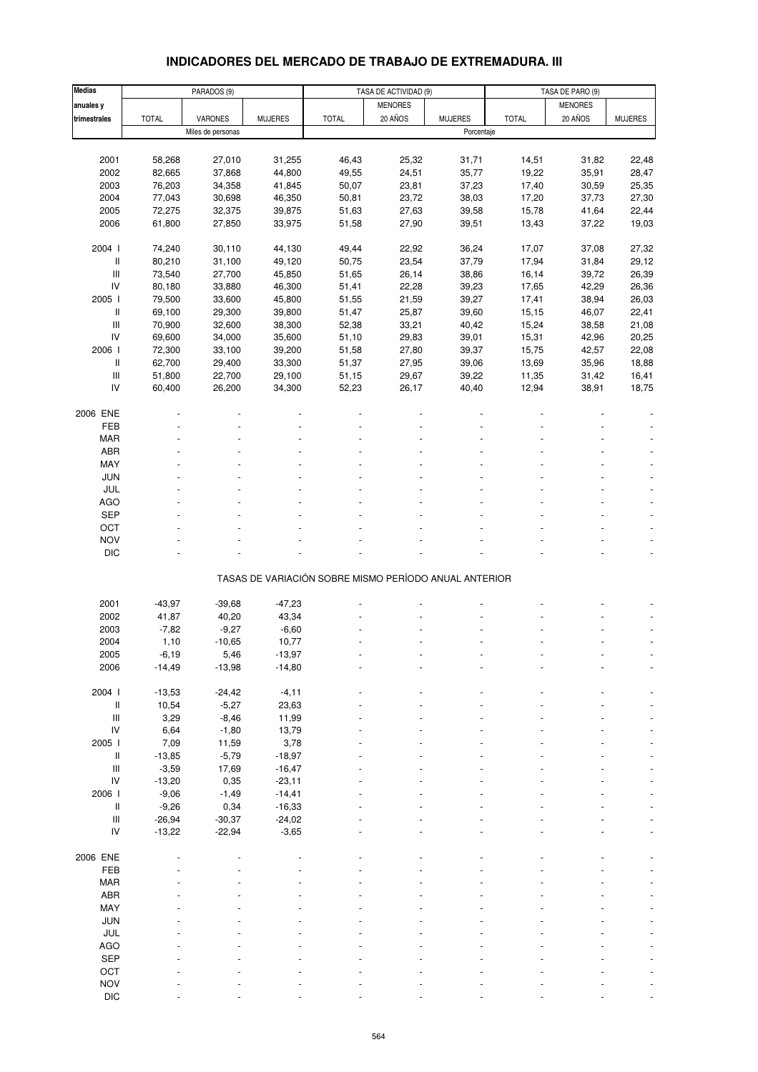# **INDICADORES DEL MERCADO DE TRABAJO DE EXTREMADURA. III**

| <b>Medias</b>                      | PARADOS (9)  |                   |                | TASA DE ACTIVIDAD (9)                                 |                |                | TASA DE PARO (9) |                |                |
|------------------------------------|--------------|-------------------|----------------|-------------------------------------------------------|----------------|----------------|------------------|----------------|----------------|
| anuales y                          |              |                   |                |                                                       | <b>MENORES</b> |                |                  | <b>MENORES</b> |                |
| trimestrales                       | <b>TOTAL</b> | VARONES           | <b>MUJERES</b> | <b>TOTAL</b>                                          | 20 AÑOS        | <b>MUJERES</b> | <b>TOTAL</b>     | 20 AÑOS        | <b>MUJERES</b> |
|                                    |              | Miles de personas |                |                                                       |                | Porcentaje     |                  |                |                |
|                                    |              |                   |                |                                                       |                |                |                  |                |                |
| 2001                               | 58,268       | 27,010            | 31,255         | 46,43                                                 | 25,32          | 31,71          | 14,51            | 31,82          | 22,48          |
| 2002                               | 82,665       | 37,868            | 44,800         | 49,55                                                 | 24,51          | 35,77          | 19,22            | 35,91          | 28,47          |
| 2003                               |              |                   |                |                                                       |                |                |                  |                |                |
|                                    | 76,203       | 34,358            | 41,845         | 50,07                                                 | 23,81          | 37,23          | 17,40            | 30,59          | 25,35          |
| 2004                               | 77,043       | 30,698            | 46,350         | 50,81                                                 | 23,72          | 38,03          | 17,20            | 37,73          | 27,30          |
| 2005                               | 72,275       | 32,375            | 39,875         | 51,63                                                 | 27,63          | 39,58          | 15,78            | 41,64          | 22,44          |
| 2006                               | 61,800       | 27,850            | 33,975         | 51,58                                                 | 27,90          | 39,51          | 13,43            | 37,22          | 19,03          |
|                                    |              |                   |                |                                                       |                |                |                  |                |                |
| 2004 l                             | 74,240       | 30,110            | 44,130         | 49,44                                                 | 22,92          | 36,24          | 17,07            | 37,08          | 27,32          |
| Ш                                  | 80,210       | 31,100            | 49,120         | 50,75                                                 | 23,54          | 37,79          | 17,94            | 31,84          | 29,12          |
| $\ensuremath{\mathsf{III}}\xspace$ | 73,540       | 27,700            | 45,850         | 51,65                                                 | 26,14          | 38,86          | 16,14            | 39,72          | 26,39          |
| IV                                 | 80,180       | 33,880            | 46,300         | 51,41                                                 | 22,28          | 39,23          | 17,65            | 42,29          | 26,36          |
| 2005 l                             | 79,500       | 33,600            | 45,800         | 51,55                                                 | 21,59          | 39,27          | 17,41            | 38,94          | 26,03          |
| Ш                                  | 69,100       | 29,300            | 39,800         | 51,47                                                 | 25,87          | 39,60          | 15,15            | 46,07          | 22,41          |
| $\ensuremath{\mathsf{III}}\xspace$ | 70,900       | 32,600            | 38,300         | 52,38                                                 | 33,21          | 40,42          | 15,24            | 38,58          | 21,08          |
| IV                                 | 69,600       | 34,000            | 35,600         | 51,10                                                 | 29,83          | 39,01          | 15,31            | 42,96          | 20,25          |
| 2006                               | 72,300       | 33,100            | 39,200         | 51,58                                                 | 27,80          | 39,37          | 15,75            | 42,57          | 22,08          |
| Ш                                  | 62,700       | 29,400            | 33,300         | 51,37                                                 | 27,95          | 39,06          | 13,69            | 35,96          | 18,88          |
| $\ensuremath{\mathsf{III}}\xspace$ | 51,800       | 22,700            | 29,100         | 51,15                                                 | 29,67          | 39,22          | 11,35            | 31,42          | 16,41          |
| IV                                 | 60,400       | 26,200            | 34,300         | 52,23                                                 | 26,17          | 40,40          | 12,94            | 38,91          | 18,75          |
|                                    |              |                   |                |                                                       |                |                |                  |                |                |
| 2006 ENE                           |              |                   |                |                                                       |                |                |                  |                |                |
| FEB                                |              |                   |                |                                                       |                |                |                  |                |                |
| <b>MAR</b>                         |              |                   |                |                                                       |                |                |                  |                |                |
| ABR                                |              |                   |                |                                                       |                |                |                  |                |                |
| MAY                                |              |                   |                |                                                       |                |                |                  |                |                |
| <b>JUN</b>                         |              |                   |                |                                                       |                |                |                  |                |                |
| JUL                                |              |                   |                |                                                       |                |                |                  |                |                |
| <b>AGO</b>                         |              |                   |                |                                                       |                |                |                  |                |                |
| <b>SEP</b>                         |              |                   |                |                                                       |                |                |                  |                |                |
|                                    |              |                   |                |                                                       |                |                |                  |                |                |
| OCT                                |              |                   |                |                                                       |                |                |                  |                |                |
| <b>NOV</b>                         |              |                   |                |                                                       |                |                |                  |                |                |
| <b>DIC</b>                         |              |                   |                |                                                       |                |                |                  |                |                |
|                                    |              |                   |                | TASAS DE VARIACIÓN SOBRE MISMO PERÍODO ANUAL ANTERIOR |                |                |                  |                |                |
|                                    |              |                   |                |                                                       |                |                |                  |                |                |
| 2001                               | $-43,97$     | $-39,68$          | $-47,23$       |                                                       |                |                |                  |                |                |
| 2002                               | 41,87        | 40,20             | 43,34          |                                                       |                |                |                  |                |                |
|                                    |              |                   |                |                                                       |                |                |                  |                |                |
| 2003                               | $-7,82$      | $-9,27$           | $-6,60$        |                                                       |                |                |                  |                |                |
| 2004                               | 1,10         | $-10,65$          | 10,77          |                                                       |                |                |                  |                |                |
| 2005                               | -6,19        | 5,46              | $-13,97$       |                                                       |                |                |                  |                |                |
| 2006                               | $-14,49$     | $-13,98$          | $-14,80$       |                                                       |                |                |                  |                |                |
|                                    |              |                   |                |                                                       |                |                |                  |                |                |
| 2004 l                             | $-13,53$     | $-24,42$          | $-4, 11$       |                                                       |                |                |                  |                |                |
| Ш                                  | 10,54        | $-5,27$           | 23,63          |                                                       |                |                |                  |                |                |
| $\ensuremath{\mathsf{III}}\xspace$ | 3,29         | $-8,46$           | 11,99          |                                                       |                |                |                  |                |                |
| IV                                 | 6,64         | $-1,80$           | 13,79          |                                                       |                |                |                  |                |                |
| 2005 l                             | 7,09         | 11,59             | 3,78           |                                                       |                |                |                  |                |                |
| Ш                                  | $-13,85$     | $-5,79$           | $-18,97$       |                                                       |                |                |                  |                |                |
| $\ensuremath{\mathsf{III}}\xspace$ | $-3,59$      | 17,69             | $-16,47$       |                                                       |                |                |                  |                |                |
| IV                                 | $-13,20$     | 0,35              | $-23,11$       |                                                       |                |                |                  |                |                |
| 2006 l                             | $-9,06$      | $-1,49$           | $-14,41$       |                                                       |                |                |                  |                |                |
| $\, \parallel$                     | $-9,26$      | 0,34              | $-16,33$       |                                                       |                |                |                  |                |                |
| $\ensuremath{\mathsf{III}}\xspace$ | $-26,94$     | $-30,37$          | $-24,02$       |                                                       |                |                |                  |                |                |
| IV                                 | $-13,22$     | $-22,94$          | $-3,65$        |                                                       |                |                |                  |                |                |
|                                    |              |                   |                |                                                       |                |                |                  |                |                |
| 2006 ENE                           |              |                   |                |                                                       |                |                |                  |                |                |
| FEB                                |              |                   |                |                                                       |                |                |                  |                |                |
| <b>MAR</b>                         |              |                   |                |                                                       |                |                |                  |                |                |
| ABR                                |              |                   |                |                                                       |                |                |                  |                |                |
| MAY                                |              |                   |                |                                                       |                |                |                  |                |                |
| JUN                                |              |                   |                |                                                       |                |                |                  |                |                |
| JUL                                |              |                   |                |                                                       |                |                |                  |                |                |
| AGO                                |              |                   |                |                                                       |                |                |                  |                |                |
| SEP                                |              |                   |                |                                                       |                |                |                  |                |                |
| OCT                                |              |                   |                |                                                       |                |                |                  |                |                |
| <b>NOV</b>                         |              |                   |                |                                                       |                |                |                  |                |                |
| $\mathsf{DIC}$                     |              |                   |                |                                                       |                |                |                  |                |                |
|                                    |              |                   |                |                                                       |                |                |                  |                |                |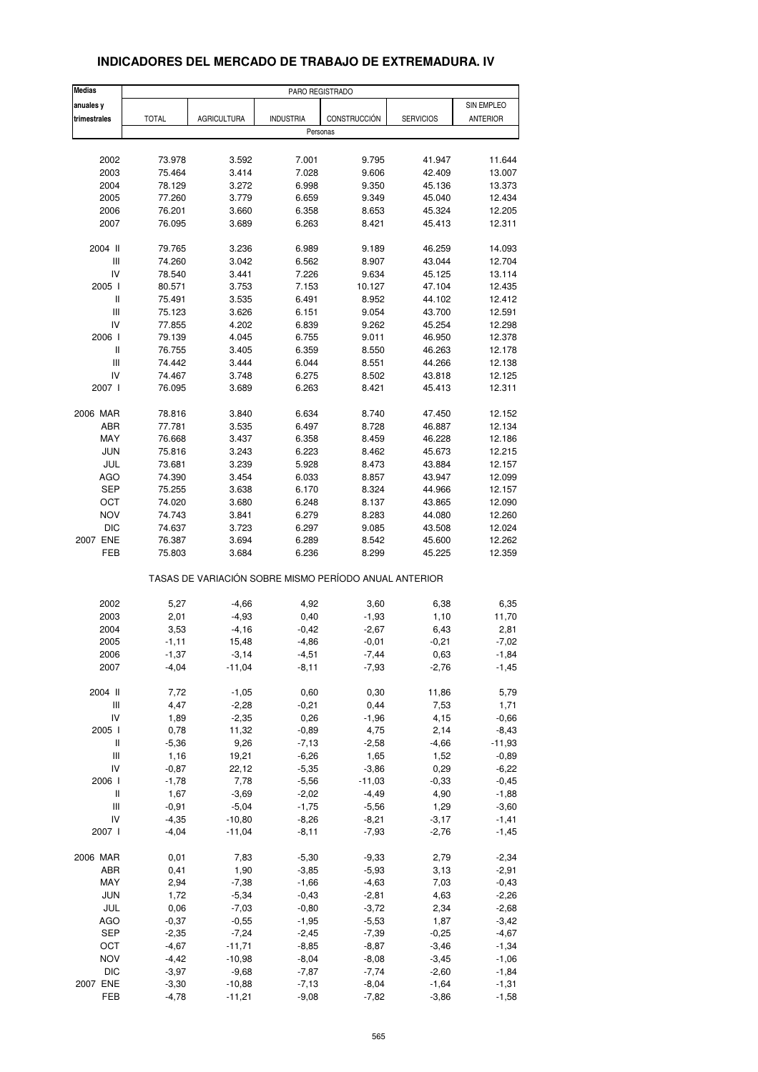| <b>Medias</b>                      |              |                    | PARO REGISTRADO                                       |              |                  |                 |
|------------------------------------|--------------|--------------------|-------------------------------------------------------|--------------|------------------|-----------------|
| anuales y                          |              |                    |                                                       |              |                  | SIN EMPLEO      |
| trimestrales                       | <b>TOTAL</b> | <b>AGRICULTURA</b> | <b>INDUSTRIA</b>                                      | CONSTRUCCIÓN | <b>SERVICIOS</b> | <b>ANTERIOR</b> |
|                                    |              |                    | Personas                                              |              |                  |                 |
|                                    |              |                    |                                                       |              |                  |                 |
| 2002                               | 73.978       | 3.592              | 7.001                                                 | 9.795        | 41.947           | 11.644          |
| 2003                               | 75.464       | 3.414              | 7.028                                                 | 9.606        | 42.409           | 13.007          |
| 2004                               | 78.129       | 3.272              | 6.998                                                 | 9.350        | 45.136           | 13.373          |
| 2005                               | 77.260       | 3.779              | 6.659                                                 | 9.349        | 45.040           | 12.434          |
| 2006                               | 76.201       | 3.660              | 6.358                                                 | 8.653        | 45.324           | 12.205          |
| 2007                               | 76.095       | 3.689              | 6.263                                                 | 8.421        | 45.413           | 12.311          |
| 2004 II                            | 79.765       | 3.236              | 6.989                                                 | 9.189        | 46.259           | 14.093          |
| $\ensuremath{\mathsf{III}}\xspace$ | 74.260       | 3.042              | 6.562                                                 | 8.907        | 43.044           | 12.704          |
| IV                                 | 78.540       | 3.441              | 7.226                                                 | 9.634        | 45.125           | 13.114          |
| 2005 l                             | 80.571       | 3.753              | 7.153                                                 | 10.127       | 47.104           | 12.435          |
| $\,$ $\,$ $\,$ $\,$                | 75.491       | 3.535              | 6.491                                                 | 8.952        | 44.102           | 12.412          |
| $\mathbf{III}$                     |              | 3.626              |                                                       | 9.054        |                  |                 |
|                                    | 75.123       |                    | 6.151                                                 |              | 43.700           | 12.591          |
| IV                                 | 77.855       | 4.202              | 6.839                                                 | 9.262        | 45.254           | 12.298          |
| 2006                               | 79.139       | 4.045              | 6.755                                                 | 9.011        | 46.950           | 12.378          |
| $\,$ $\,$ $\,$ $\,$                | 76.755       | 3.405              | 6.359                                                 | 8.550        | 46.263           | 12.178          |
| Ш                                  | 74.442       | 3.444              | 6.044                                                 | 8.551        | 44.266           | 12.138          |
| IV                                 | 74.467       | 3.748              | 6.275                                                 | 8.502        | 43.818           | 12.125          |
| 2007 l                             | 76.095       | 3.689              | 6.263                                                 | 8.421        | 45.413           | 12.311          |
| 2006 MAR                           | 78.816       | 3.840              | 6.634                                                 | 8.740        | 47.450           | 12.152          |
| ABR                                | 77.781       | 3.535              | 6.497                                                 | 8.728        | 46.887           | 12.134          |
| MAY                                | 76.668       | 3.437              | 6.358                                                 | 8.459        | 46.228           | 12.186          |
| <b>JUN</b>                         | 75.816       | 3.243              | 6.223                                                 | 8.462        | 45.673           | 12.215          |
|                                    |              |                    |                                                       |              |                  |                 |
| JUL                                | 73.681       | 3.239              | 5.928                                                 | 8.473        | 43.884           | 12.157          |
| <b>AGO</b>                         | 74.390       | 3.454              | 6.033                                                 | 8.857        | 43.947           | 12.099          |
| <b>SEP</b>                         | 75.255       | 3.638              | 6.170                                                 | 8.324        | 44.966           | 12.157          |
| ОСТ                                | 74.020       | 3.680              | 6.248                                                 | 8.137        | 43.865           | 12.090          |
| <b>NOV</b>                         | 74.743       | 3.841              | 6.279                                                 | 8.283        | 44.080           | 12.260          |
| <b>DIC</b>                         | 74.637       | 3.723              | 6.297                                                 | 9.085        | 43.508           | 12.024          |
| 2007 ENE                           | 76.387       | 3.694              | 6.289                                                 | 8.542        | 45.600           | 12.262          |
| FEB                                | 75.803       | 3.684              | 6.236                                                 | 8.299        | 45.225           | 12.359          |
|                                    |              |                    | TASAS DE VARIACIÓN SOBRE MISMO PERÍODO ANUAL ANTERIOR |              |                  |                 |
| 2002                               | 5,27         | $-4,66$            | 4,92                                                  | 3,60         | 6,38             | 6,35            |
| 2003                               | 2,01         | $-4,93$            | 0,40                                                  | $-1,93$      | 1,10             | 11,70           |
| 2004                               | 3,53         | $-4,16$            | $-0,42$                                               | $-2,67$      | 6,43             | 2,81            |
|                                    |              |                    |                                                       |              |                  |                 |
| 2005                               | $-1, 11$     | 15,48              | $-4,86$                                               | $-0,01$      | $-0,21$          | $-7,02$         |
| 2006                               | -1,37        | $-3,14$            | $-4,51$                                               | $-7,44$      | 0,63             | $-1,84$         |
| 2007                               | $-4,04$      | $-11,04$           | $-8,11$                                               | $-7,93$      | $-2,76$          | $-1,45$         |
| 2004 II                            | 7,72         | $-1,05$            | 0,60                                                  | 0,30         | 11,86            | 5,79            |
| Ш                                  | 4,47         | $-2,28$            | $-0,21$                                               | 0,44         | 7,53             | 1,71            |
| IV                                 | 1,89         | $-2,35$            | 0,26                                                  | $-1,96$      | 4,15             | $-0,66$         |
| 2005 l                             | 0,78         | 11,32              | $-0,89$                                               | 4,75         | 2,14             | $-8,43$         |
| $\,$ $\,$ $\,$ $\,$                | $-5,36$      | 9,26               | $-7,13$                                               | $-2,58$      | $-4,66$          | $-11,93$        |
| Ш                                  | 1,16         | 19,21              | $-6,26$                                               | 1,65         | 1,52             | $-0,89$         |
| IV                                 | $-0,87$      | 22,12              | $-5,35$                                               | $-3,86$      | 0,29             | $-6,22$         |
| 2006 l                             | $-1,78$      | 7,78               | $-5,56$                                               | $-11,03$     | $-0,33$          | $-0,45$         |
| Ш                                  | 1,67         | $-3,69$            | $-2,02$                                               | $-4,49$      | 4,90             | $-1,88$         |
| $\ensuremath{\mathsf{III}}\xspace$ | $-0,91$      | $-5,04$            | $-1,75$                                               | $-5,56$      | 1,29             |                 |
|                                    |              |                    |                                                       |              |                  | $-3,60$         |
| IV                                 | $-4,35$      | $-10,80$           | $-8,26$                                               | $-8,21$      | $-3,17$          | $-1,41$         |
| 2007 l                             | $-4,04$      | $-11,04$           | $-8,11$                                               | $-7,93$      | $-2,76$          | $-1,45$         |
| 2006 MAR                           | 0,01         | 7,83               | $-5,30$                                               | $-9,33$      | 2,79             | $-2,34$         |
| ABR                                | 0,41         | 1,90               | $-3,85$                                               | $-5,93$      | 3,13             | $-2,91$         |
| MAY                                | 2,94         | $-7,38$            | $-1,66$                                               | $-4,63$      | 7,03             | $-0,43$         |
| JUN                                | 1,72         | $-5,34$            | $-0,43$                                               | $-2,81$      | 4,63             | $-2,26$         |
| JUL                                | 0,06         | $-7,03$            | $-0,80$                                               | $-3,72$      | 2,34             | $-2,68$         |
| AGO                                | $-0,37$      | $-0,55$            | $-1,95$                                               | $-5,53$      | 1,87             | $-3,42$         |
| <b>SEP</b>                         | $-2,35$      | $-7,24$            | $-2,45$                                               | $-7,39$      | $-0,25$          | $-4,67$         |
| OCT                                | $-4,67$      | $-11,71$           | $-8,85$                                               | $-8,87$      | $-3,46$          | $-1,34$         |
| <b>NOV</b>                         | $-4,42$      | $-10,98$           | $-8,04$                                               |              |                  |                 |
|                                    |              |                    |                                                       | $-8,08$      | $-3,45$          | $-1,06$         |
| <b>DIC</b>                         | $-3,97$      | $-9,68$            | $-7,87$                                               | $-7,74$      | $-2,60$          | $-1,84$         |
| 2007 ENE                           | $-3,30$      | $-10,88$           | $-7,13$                                               | $-8,04$      | $-1,64$          | $-1,31$         |
| FEB                                | $-4,78$      | $-11,21$           | $-9,08$                                               | $-7,82$      | $-3,86$          | $-1,58$         |

# **INDICADORES DEL MERCADO DE TRABAJO DE EXTREMADURA. IV**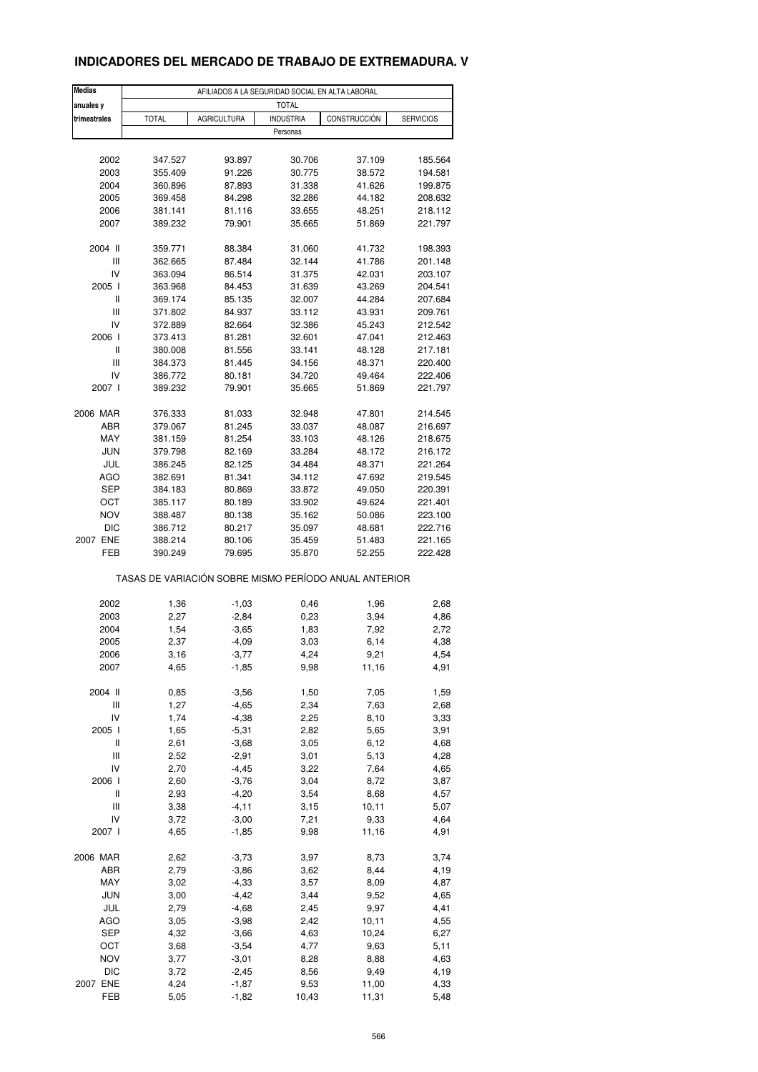# **INDICADORES DEL MERCADO DE TRABAJO DE EXTREMADURA. V**

| Medias       |              |             |                                                       |              |                  |
|--------------|--------------|-------------|-------------------------------------------------------|--------------|------------------|
| anuales y    |              |             | <b>TOTAL</b>                                          |              |                  |
| trimestrales | <b>TOTAL</b> | AGRICULTURA | <b>INDUSTRIA</b><br>Personas                          | CONSTRUCCIÓN | <b>SERVICIOS</b> |
|              |              |             |                                                       |              |                  |
| 2002         | 347.527      | 93.897      | 30.706                                                | 37.109       | 185.564          |
| 2003         | 355.409      | 91.226      | 30.775                                                | 38.572       | 194.581          |
| 2004         | 360.896      | 87.893      | 31.338                                                | 41.626       | 199.875          |
| 2005         | 369.458      | 84.298      | 32.286                                                | 44.182       | 208.632          |
|              |              |             |                                                       |              |                  |
| 2006         | 381.141      | 81.116      | 33.655                                                | 48.251       | 218.112          |
| 2007         | 389.232      | 79.901      | 35.665                                                | 51.869       | 221.797          |
| 2004 II      | 359.771      | 88.384      | 31.060                                                | 41.732       | 198.393          |
| Ш            | 362.665      | 87.484      | 32.144                                                | 41.786       | 201.148          |
| IV           | 363.094      | 86.514      | 31.375                                                | 42.031       | 203.107          |
| 2005 l       | 363.968      | 84.453      | 31.639                                                | 43.269       | 204.541          |
| Ш            | 369.174      | 85.135      | 32.007                                                | 44.284       | 207.684          |
| Ш            | 371.802      | 84.937      | 33.112                                                | 43.931       | 209.761          |
| IV           | 372.889      | 82.664      | 32.386                                                | 45.243       | 212.542          |
| 2006         | 373.413      | 81.281      | 32.601                                                | 47.041       | 212.463          |
| Ш            |              |             | 33.141                                                | 48.128       | 217.181          |
| Ш            | 380.008      | 81.556      |                                                       | 48.371       |                  |
|              | 384.373      | 81.445      | 34.156                                                |              | 220.400          |
| IV           | 386.772      | 80.181      | 34.720                                                | 49.464       | 222.406          |
| 2007 l       | 389.232      | 79.901      | 35.665                                                | 51.869       | 221.797          |
| 2006 MAR     | 376.333      | 81.033      | 32.948                                                | 47.801       | 214.545          |
| ABR          | 379.067      | 81.245      | 33.037                                                | 48.087       | 216.697          |
| MAY          | 381.159      | 81.254      | 33.103                                                | 48.126       | 218.675          |
| <b>JUN</b>   | 379.798      | 82.169      | 33.284                                                | 48.172       | 216.172          |
| JUL          | 386.245      |             | 34.484                                                | 48.371       | 221.264          |
|              |              | 82.125      |                                                       |              |                  |
| AGO          | 382.691      | 81.341      | 34.112                                                | 47.692       | 219.545          |
| <b>SEP</b>   | 384.183      | 80.869      | 33.872                                                | 49.050       | 220.391          |
| OCT          | 385.117      | 80.189      | 33.902                                                | 49.624       | 221.401          |
| <b>NOV</b>   | 388.487      | 80.138      | 35.162                                                | 50.086       | 223.100          |
| DIC          | 386.712      | 80.217      | 35.097                                                | 48.681       | 222.716          |
| 2007 ENE     | 388.214      | 80.106      | 35.459                                                | 51.483       | 221.165          |
| FEB          | 390.249      | 79.695      | 35.870                                                | 52.255       | 222.428          |
|              |              |             | TASAS DE VARIACIÓN SOBRE MISMO PERÍODO ANUAL ANTERIOR |              |                  |
| 2002         | 1,36         | $-1,03$     | 0,46                                                  | 1,96         | 2,68             |
| 2003         | 2,27         | $-2,84$     | 0,23                                                  | 3,94         | 4,86             |
| 2004         | 1,54         | $-3,65$     | 1,83                                                  | 7,92         | 2,72             |
| 2005         | 2,37         | $-4,09$     |                                                       | 6,14         |                  |
|              |              |             | 3,03                                                  |              | 4,38             |
| 2006         | 3,16         | $-3,77$     | 4,24                                                  | 9,21         | 4,54             |
| 2007         | 4,65         | $-1,85$     | 9,98                                                  | 11,16        | 4,91             |
| 2004 II      | 0,85         | $-3,56$     | 1,50                                                  | 7,05         | 1,59             |
| Ш            | 1,27         | $-4,65$     | 2,34                                                  | 7,63         | 2,68             |
| IV           | 1,74         | $-4,38$     | 2,25                                                  | 8,10         | 3,33             |
| 2005 l       | 1,65         | $-5,31$     | 2,82                                                  | 5,65         | 3,91             |
| Ш            | 2,61         | $-3,68$     | 3,05                                                  | 6,12         | 4,68             |
| Ш            | 2,52         | $-2,91$     | 3,01                                                  | 5,13         | 4,28             |
| IV           | 2,70         | $-4,45$     | 3,22                                                  | 7,64         | 4,65             |
| 2006         | 2,60         | $-3,76$     |                                                       | 8,72         |                  |
|              |              |             | 3,04                                                  |              | 3,87             |
| Ш            | 2,93         | $-4,20$     | 3,54                                                  | 8,68         | 4,57             |
| Ш            | 3,38         | $-4, 11$    | 3,15                                                  | 10,11        | 5,07             |
| IV           | 3,72         | $-3,00$     | 7,21                                                  | 9,33         | 4,64             |
| 2007 l       | 4,65         | $-1,85$     | 9,98                                                  | 11,16        | 4,91             |
| 2006 MAR     | 2,62         | $-3,73$     | 3,97                                                  | 8,73         | 3,74             |
| ABR          | 2,79         | $-3,86$     | 3,62                                                  | 8,44         | 4,19             |
| MAY          | 3,02         | $-4,33$     | 3,57                                                  | 8,09         | 4,87             |
| <b>JUN</b>   | 3,00         | $-4,42$     | 3,44                                                  | 9,52         | 4,65             |
| JUL          | 2,79         | $-4,68$     | 2,45                                                  | 9,97         | 4,41             |
|              |              |             |                                                       |              |                  |
| <b>AGO</b>   | 3,05         | $-3,98$     | 2,42                                                  | 10,11        | 4,55             |
| SEP          | 4,32         | $-3,66$     | 4,63                                                  | 10,24        | 6,27             |
| OCT          | 3,68         | $-3,54$     | 4,77                                                  | 9,63         | 5,11             |
| <b>NOV</b>   | 3,77         | $-3,01$     | 8,28                                                  | 8,88         | 4,63             |
| <b>DIC</b>   | 3,72         | $-2,45$     | 8,56                                                  | 9,49         | 4,19             |
| 2007 ENE     | 4,24         | $-1,87$     | 9,53                                                  | 11,00        | 4,33             |
| FEB          | 5,05         | $-1,82$     | 10,43                                                 | 11,31        | 5,48             |
|              |              |             |                                                       |              |                  |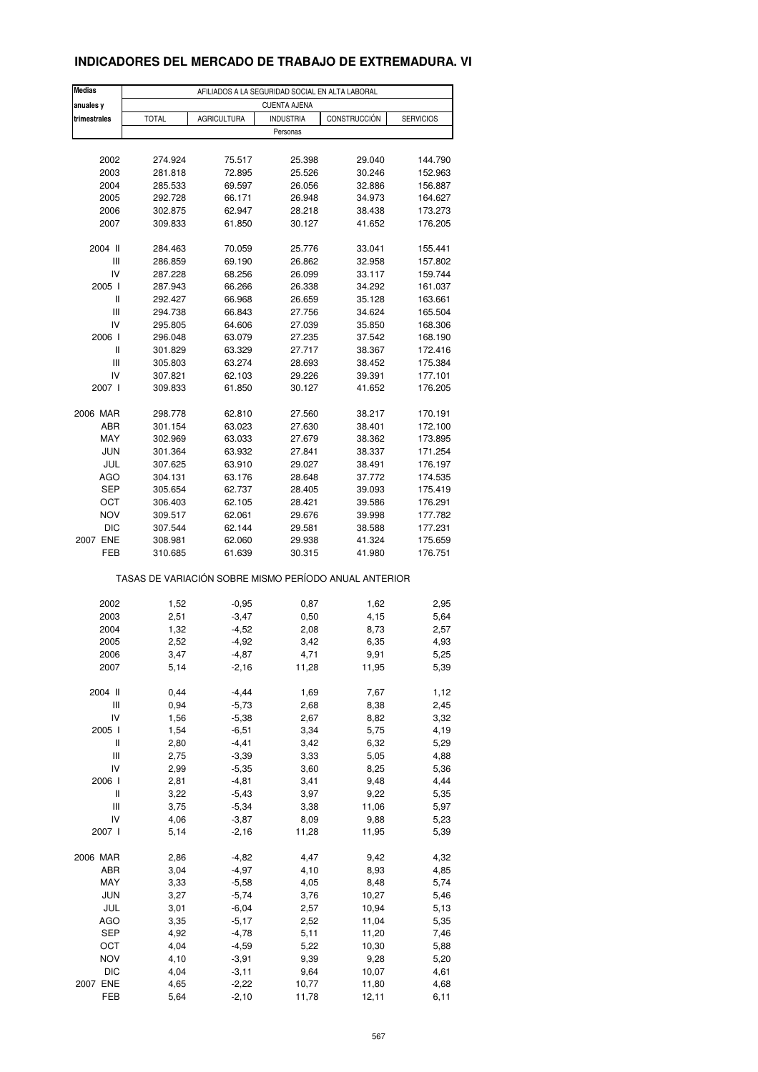# **INDICADORES DEL MERCADO DE TRABAJO DE EXTREMADURA. VI**

| <b>Medias</b> |                                                       | AFILIADOS A LA SEGURIDAD SOCIAL EN ALTA LABORAL |                     |                  |                    |
|---------------|-------------------------------------------------------|-------------------------------------------------|---------------------|------------------|--------------------|
| anuales y     |                                                       |                                                 | <b>CUENTA AJENA</b> |                  |                    |
| trimestrales  | <b>TOTAL</b>                                          | <b>AGRICULTURA</b>                              | <b>INDUSTRIA</b>    | CONSTRUCCIÓN     | <b>SERVICIOS</b>   |
|               |                                                       |                                                 | Personas            |                  |                    |
|               |                                                       |                                                 |                     |                  |                    |
| 2002          | 274.924                                               | 75.517                                          | 25.398              | 29.040           | 144.790            |
| 2003          | 281.818                                               | 72.895                                          | 25.526              | 30.246           | 152.963            |
| 2004          | 285.533                                               | 69.597                                          | 26.056              | 32.886           | 156.887            |
| 2005          | 292.728                                               | 66.171                                          | 26.948              | 34.973           | 164.627            |
| 2006<br>2007  | 302.875<br>309.833                                    | 62.947<br>61.850                                | 28.218<br>30.127    | 38.438<br>41.652 | 173.273<br>176.205 |
|               |                                                       |                                                 |                     |                  |                    |
| 2004 II       | 284.463                                               | 70.059                                          | 25.776              | 33.041           | 155.441            |
| Ш             | 286.859                                               | 69.190                                          | 26.862              | 32.958           | 157.802            |
| IV            | 287.228                                               | 68.256                                          | 26.099              | 33.117           | 159.744            |
| 2005 l        | 287.943                                               | 66.266                                          | 26.338              | 34.292           | 161.037            |
| Ш             | 292.427                                               | 66.968                                          | 26.659              | 35.128           | 163.661            |
| Ш             | 294.738                                               | 66.843                                          | 27.756              | 34.624           | 165.504            |
| IV            | 295.805                                               | 64.606                                          | 27.039              | 35.850           | 168.306            |
| 2006 l        | 296.048                                               | 63.079                                          | 27.235              | 37.542           | 168.190            |
| Ш             | 301.829                                               | 63.329                                          | 27.717              | 38.367           | 172.416            |
| Ш             | 305.803                                               | 63.274                                          | 28.693              | 38.452           | 175.384            |
| IV<br>2007 l  | 307.821<br>309.833                                    | 62.103<br>61.850                                | 29.226<br>30.127    | 39.391<br>41.652 | 177.101<br>176.205 |
|               |                                                       |                                                 |                     |                  |                    |
| 2006 MAR      | 298.778                                               | 62.810                                          | 27.560              | 38.217           | 170.191            |
| ABR           | 301.154                                               | 63.023                                          | 27.630              | 38.401           | 172.100            |
| MAY           | 302.969                                               | 63.033                                          | 27.679              | 38.362           | 173.895            |
| <b>JUN</b>    | 301.364                                               | 63.932                                          | 27.841              | 38.337           | 171.254            |
| JUL           | 307.625                                               | 63.910                                          | 29.027              | 38.491           | 176.197            |
| AGO           | 304.131                                               | 63.176                                          | 28.648              | 37.772           | 174.535            |
| <b>SEP</b>    | 305.654                                               | 62.737                                          | 28.405              | 39.093           | 175.419            |
| OCT           | 306.403                                               | 62.105                                          | 28.421              | 39.586           | 176.291            |
| <b>NOV</b>    | 309.517                                               | 62.061                                          | 29.676              | 39.998           | 177.782            |
| DIC           | 307.544                                               | 62.144                                          | 29.581              | 38.588           | 177.231            |
| 2007 ENE      | 308.981                                               | 62.060                                          | 29.938              | 41.324           | 175.659            |
| FEB           | 310.685                                               | 61.639                                          | 30.315              | 41.980           | 176.751            |
|               | TASAS DE VARIACIÓN SOBRE MISMO PERÍODO ANUAL ANTERIOR |                                                 |                     |                  |                    |
|               |                                                       |                                                 |                     |                  |                    |
| 2002          | 1,52                                                  | $-0,95$                                         | 0,87                | 1,62             | 2,95               |
| 2003          | 2,51                                                  | $-3,47$                                         | 0,50                | 4,15             | 5,64               |
| 2004<br>2005  | 1,32<br>2,52                                          | $-4,52$                                         | 2,08<br>3,42        | 8,73             | 2,57               |
|               | 3,47                                                  | $-4,92$<br>-4,87                                | 4,71                | 6,35             | 4,93               |
| 2006<br>2007  | 5,14                                                  | $-2,16$                                         | 11,28               | 9,91<br>11,95    | 5,25<br>5,39       |
|               |                                                       |                                                 |                     |                  |                    |
| 2004 II       | 0,44                                                  | $-4,44$                                         | 1,69                | 7,67             | 1,12               |
| Ш             | 0,94                                                  | $-5,73$                                         | 2,68                | 8,38             | 2,45               |
| IV            | 1,56                                                  | $-5,38$                                         | 2,67                | 8,82             | 3,32               |
| 2005 l        | 1,54                                                  | $-6,51$                                         | 3,34                | 5,75             | 4,19               |
| Ш             | 2,80                                                  | $-4,41$                                         | 3,42                | 6,32             | 5,29               |
| Ш             | 2,75                                                  | $-3,39$                                         | 3,33                | 5,05             | 4,88               |
| IV            | 2,99                                                  | $-5,35$                                         | 3,60                | 8,25             | 5,36               |
| 2006          | 2,81                                                  | $-4,81$                                         | 3,41                | 9,48             | 4,44               |
| Ш             | 3,22                                                  | $-5,43$                                         | 3,97                | 9,22             | 5,35               |
| Ш<br>IV       | 3,75<br>4,06                                          | $-5,34$<br>$-3,87$                              | 3,38                | 11,06<br>9,88    | 5,97               |
| 2007 l        | 5,14                                                  | $-2,16$                                         | 8,09<br>11,28       | 11,95            | 5,23<br>5,39       |
|               |                                                       |                                                 |                     |                  |                    |
| 2006 MAR      | 2,86                                                  | $-4,82$                                         | 4,47                | 9,42             | 4,32               |
| ABR           | 3,04                                                  | $-4,97$                                         | 4,10                | 8,93             | 4,85               |
| MAY           | 3,33                                                  | $-5,58$                                         | 4,05                | 8,48             | 5,74               |
| <b>JUN</b>    | 3,27                                                  | $-5,74$                                         | 3,76                | 10,27            | 5,46               |
| JUL           | 3,01                                                  | $-6,04$                                         | 2,57                | 10,94            | 5,13               |
| AGO           | 3,35                                                  | $-5,17$                                         | 2,52                | 11,04            | 5,35               |
| SEP           | 4,92                                                  | $-4,78$                                         | 5,11                | 11,20            | 7,46               |
| OCT           | 4,04                                                  | $-4,59$                                         | 5,22                | 10,30            | 5,88               |
| <b>NOV</b>    | 4,10                                                  | $-3,91$                                         | 9,39                | 9,28             | 5,20               |
| <b>DIC</b>    | 4,04                                                  | $-3, 11$                                        | 9,64                | 10,07            | 4,61               |
| 2007 ENE      | 4,65                                                  | $-2,22$                                         | 10,77               | 11,80            | 4,68               |
| FEB           | 5,64                                                  | $-2,10$                                         | 11,78               | 12, 11           | 6,11               |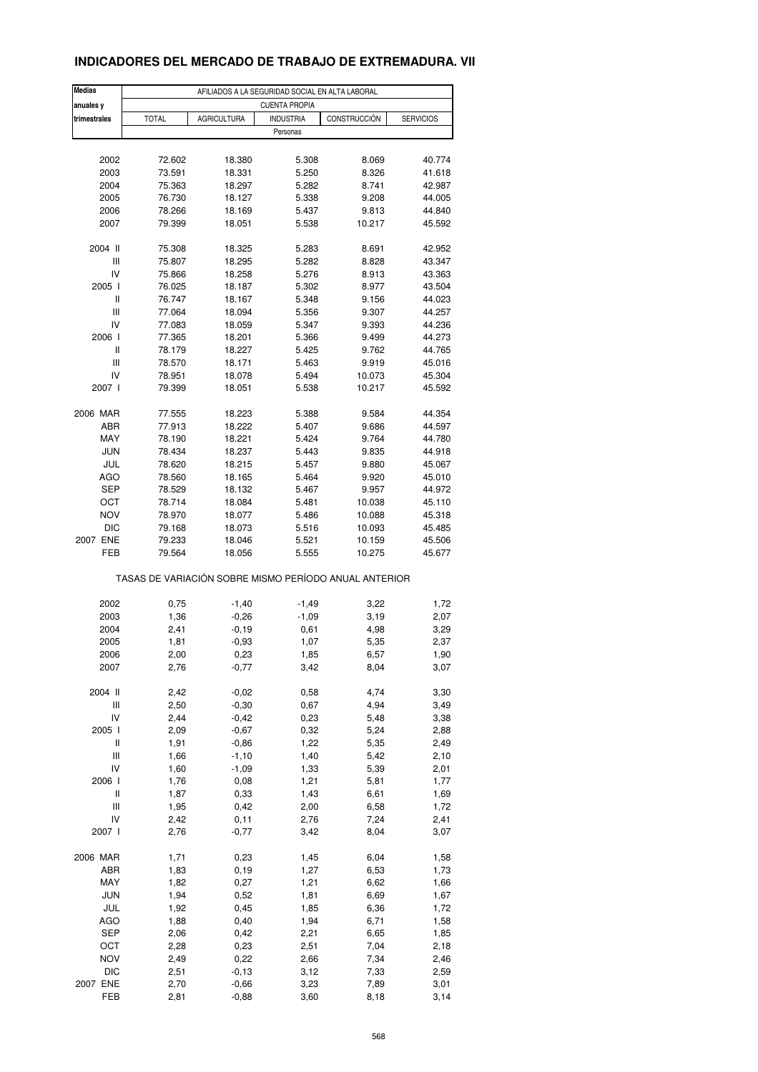# **INDICADORES DEL MERCADO DE TRABAJO DE EXTREMADURA. VII**

| <b>Medias</b> | AFILIADOS A LA SEGURIDAD SOCIAL EN ALTA LABORAL |                    |                                                       |              |                  |  |  |  |  |
|---------------|-------------------------------------------------|--------------------|-------------------------------------------------------|--------------|------------------|--|--|--|--|
| anuales y     | <b>CUENTA PROPIA</b>                            |                    |                                                       |              |                  |  |  |  |  |
| trimestrales  | <b>TOTAL</b>                                    | <b>AGRICULTURA</b> | <b>INDUSTRIA</b>                                      | CONSTRUCCIÓN | <b>SERVICIOS</b> |  |  |  |  |
|               |                                                 |                    | Personas                                              |              |                  |  |  |  |  |
|               |                                                 |                    |                                                       |              |                  |  |  |  |  |
| 2002          | 72.602                                          | 18.380             | 5.308                                                 | 8.069        | 40.774           |  |  |  |  |
| 2003          | 73.591                                          | 18.331             | 5.250                                                 | 8.326        | 41.618           |  |  |  |  |
| 2004          | 75.363                                          | 18.297             | 5.282                                                 | 8.741        | 42.987           |  |  |  |  |
| 2005          | 76.730                                          | 18.127             | 5.338                                                 | 9.208        | 44.005           |  |  |  |  |
| 2006          | 78.266                                          | 18.169             | 5.437                                                 | 9.813        | 44.840           |  |  |  |  |
| 2007          | 79.399                                          | 18.051             | 5.538                                                 | 10.217       | 45.592           |  |  |  |  |
| 2004 II       | 75.308                                          | 18.325             | 5.283                                                 | 8.691        | 42.952           |  |  |  |  |
| Ш             | 75.807                                          | 18.295             | 5.282                                                 | 8.828        | 43.347           |  |  |  |  |
| IV            | 75.866                                          | 18.258             | 5.276                                                 | 8.913        | 43.363           |  |  |  |  |
| 2005 l        | 76.025                                          | 18.187             | 5.302                                                 | 8.977        | 43.504           |  |  |  |  |
| Ш             | 76.747                                          | 18.167             | 5.348                                                 | 9.156        | 44.023           |  |  |  |  |
| Ш             | 77.064                                          | 18.094             | 5.356                                                 | 9.307        | 44.257           |  |  |  |  |
| IV            | 77.083                                          | 18.059             | 5.347                                                 | 9.393        | 44.236           |  |  |  |  |
| 2006          | 77.365                                          | 18.201             | 5.366                                                 | 9.499        | 44.273           |  |  |  |  |
| Ш             | 78.179                                          | 18.227             | 5.425                                                 | 9.762        | 44.765           |  |  |  |  |
| Ш             | 78.570                                          | 18.171             | 5.463                                                 | 9.919        | 45.016           |  |  |  |  |
| IV            | 78.951                                          | 18.078             | 5.494                                                 | 10.073       | 45.304           |  |  |  |  |
| 2007 l        | 79.399                                          | 18.051             | 5.538                                                 | 10.217       | 45.592           |  |  |  |  |
|               |                                                 |                    |                                                       |              |                  |  |  |  |  |
| 2006 MAR      | 77.555                                          | 18.223             | 5.388                                                 | 9.584        | 44.354           |  |  |  |  |
| ABR           | 77.913                                          | 18.222             | 5.407                                                 | 9.686        | 44.597           |  |  |  |  |
| MAY           | 78.190                                          | 18.221             | 5.424                                                 | 9.764        | 44.780           |  |  |  |  |
| <b>JUN</b>    | 78.434                                          | 18.237             | 5.443                                                 | 9.835        | 44.918           |  |  |  |  |
| JUL           | 78.620                                          | 18.215             | 5.457                                                 | 9.880        | 45.067           |  |  |  |  |
| AGO           | 78.560                                          | 18.165             | 5.464                                                 | 9.920        | 45.010           |  |  |  |  |
| <b>SEP</b>    | 78.529                                          | 18.132             | 5.467                                                 | 9.957        | 44.972           |  |  |  |  |
| OCT           | 78.714                                          | 18.084             | 5.481                                                 | 10.038       | 45.110           |  |  |  |  |
| NOV           | 78.970                                          | 18.077             | 5.486                                                 | 10.088       | 45.318           |  |  |  |  |
| DIC           | 79.168                                          | 18.073             | 5.516                                                 | 10.093       | 45.485           |  |  |  |  |
| 2007 ENE      | 79.233                                          | 18.046             | 5.521                                                 | 10.159       | 45.506           |  |  |  |  |
| FEB           | 79.564                                          | 18.056             | 5.555                                                 | 10.275       | 45.677           |  |  |  |  |
|               |                                                 |                    | TASAS DE VARIACIÓN SOBRE MISMO PERÍODO ANUAL ANTERIOR |              |                  |  |  |  |  |
| 2002          | 0,75                                            | $-1,40$            | $-1,49$                                               | 3,22         | 1,72             |  |  |  |  |
| 2003          | 1,36                                            | $-0,26$            | $-1,09$                                               | 3,19         | 2,07             |  |  |  |  |
| 2004          | 2,41                                            | $-0,19$            | 0,61                                                  | 4,98         | 3,29             |  |  |  |  |
| 2005          | 1,81                                            | $-0,93$            | 1,07                                                  | 5,35         | 2,37             |  |  |  |  |
| 2006          | 2,00                                            | 0,23               | 1,85                                                  | 6,57         | 1,90             |  |  |  |  |
| 2007          | 2,76                                            | $-0,77$            | 3,42                                                  | 8,04         | 3,07             |  |  |  |  |
|               |                                                 |                    |                                                       |              |                  |  |  |  |  |
| 2004 II       | 2,42                                            | $-0,02$            | 0,58                                                  | 4,74         | 3,30             |  |  |  |  |
| Ш             | 2,50                                            | $-0,30$            | 0,67                                                  | 4,94         | 3,49             |  |  |  |  |
| IV            | 2,44                                            | $-0,42$            | 0,23                                                  | 5,48         | 3,38             |  |  |  |  |
| 2005 l        | 2,09                                            | $-0,67$            | 0,32                                                  | 5,24         | 2,88             |  |  |  |  |
| Ш             | 1,91                                            | $-0,86$            | 1,22                                                  | 5,35         | 2,49             |  |  |  |  |
| Ш             | 1,66                                            | $-1,10$            | 1,40                                                  | 5,42         | 2,10             |  |  |  |  |
| IV            | 1,60                                            | $-1,09$            | 1,33                                                  | 5,39         | 2,01             |  |  |  |  |
| 2006          | 1,76                                            | 0,08               | 1,21                                                  | 5,81         | 1,77             |  |  |  |  |
| Ш             | 1,87                                            | 0,33               | 1,43                                                  | 6,61         | 1,69             |  |  |  |  |
| Ш             | 1,95                                            | 0,42               | 2,00                                                  | 6,58         | 1,72             |  |  |  |  |
| IV            | 2,42                                            | 0,11               | 2,76                                                  | 7,24         | 2,41             |  |  |  |  |
| 2007 l        | 2,76                                            | $-0,77$            | 3,42                                                  | 8,04         | 3,07             |  |  |  |  |
| 2006 MAR      | 1,71                                            | 0,23               | 1,45                                                  | 6,04         | 1,58             |  |  |  |  |
| ABR           | 1,83                                            | 0, 19              | 1,27                                                  | 6,53         | 1,73             |  |  |  |  |
| MAY           | 1,82                                            | 0,27               | 1,21                                                  | 6,62         | 1,66             |  |  |  |  |
| <b>JUN</b>    | 1,94                                            | 0,52               | 1,81                                                  | 6,69         | 1,67             |  |  |  |  |
| JUL           | 1,92                                            | 0,45               | 1,85                                                  | 6,36         | 1,72             |  |  |  |  |
| AGO           | 1,88                                            | 0,40               | 1,94                                                  | 6,71         | 1,58             |  |  |  |  |
| SEP           | 2,06                                            | 0,42               | 2,21                                                  | 6,65         | 1,85             |  |  |  |  |
| OCT           | 2,28                                            | 0,23               | 2,51                                                  | 7,04         | 2,18             |  |  |  |  |
| <b>NOV</b>    | 2,49                                            | 0,22               | 2,66                                                  | 7,34         | 2,46             |  |  |  |  |
| <b>DIC</b>    | 2,51                                            | $-0,13$            | 3,12                                                  | 7,33         | 2,59             |  |  |  |  |
| 2007 ENE      | 2,70                                            | $-0,66$            | 3,23                                                  | 7,89         | 3,01             |  |  |  |  |
| FEB           | 2,81                                            | $-0,88$            | 3,60                                                  | 8,18         | 3,14             |  |  |  |  |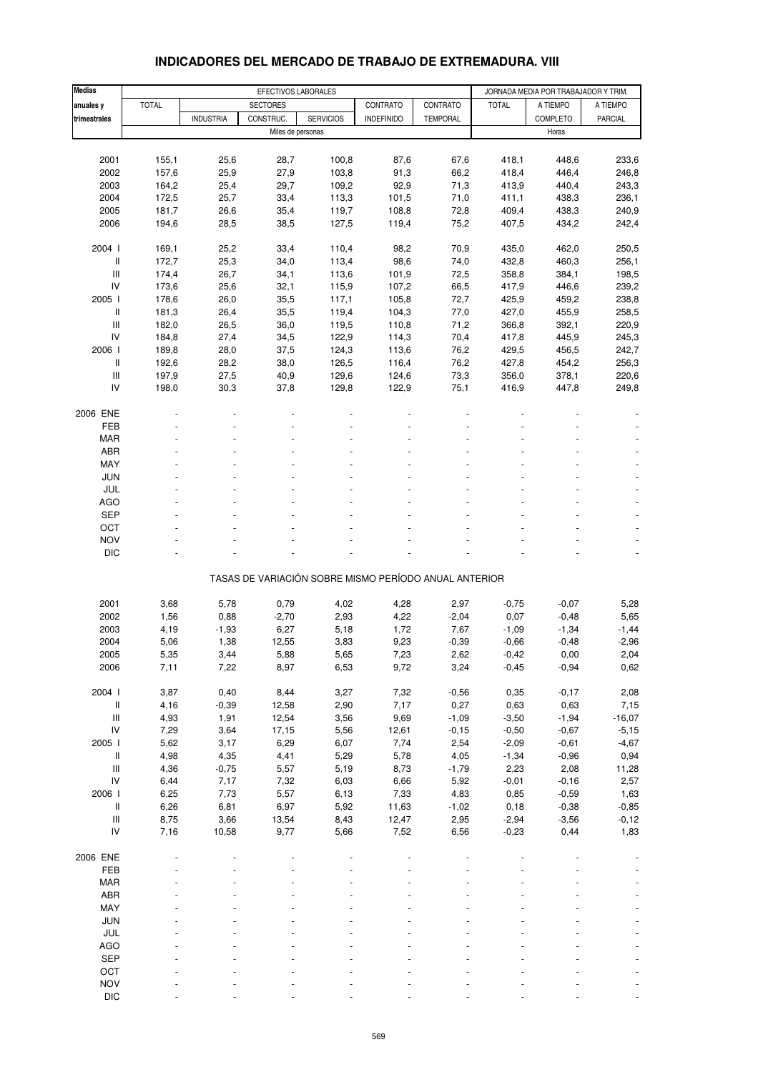| <b>Medias</b>                      | EFECTIVOS LABORALES |                  |                   |                  |                                                       |                 | JORNADA MEDIA POR TRABAJADOR Y TRIM. |                 |                          |
|------------------------------------|---------------------|------------------|-------------------|------------------|-------------------------------------------------------|-----------------|--------------------------------------|-----------------|--------------------------|
| anuales y                          | <b>TOTAL</b>        |                  | <b>SECTORES</b>   |                  | CONTRATO                                              | CONTRATO        | <b>TOTAL</b>                         | A TIEMPO        | A TIEMPO                 |
| trimestrales                       |                     | <b>INDUSTRIA</b> | CONSTRUC.         | <b>SERVICIOS</b> | <b>INDEFINIDO</b>                                     | <b>TEMPORAL</b> |                                      | COMPLETO        | PARCIAL                  |
|                                    |                     |                  | Miles de personas |                  |                                                       |                 |                                      | Horas           |                          |
|                                    |                     |                  |                   |                  |                                                       |                 |                                      |                 |                          |
| 2001                               | 155,1               | 25,6             | 28,7              | 100,8            | 87,6                                                  | 67,6            | 418,1                                | 448,6           | 233,6                    |
| 2002                               | 157,6               | 25,9             | 27,9              | 103,8            | 91,3                                                  | 66,2            | 418,4                                | 446,4           | 246,8                    |
| 2003                               | 164,2               | 25,4             | 29,7              | 109,2            | 92,9                                                  | 71,3            | 413,9                                | 440,4           | 243,3                    |
| 2004                               | 172,5               | 25,7             | 33,4              | 113,3            | 101,5                                                 | 71,0            | 411,1                                | 438,3           | 236,1                    |
| 2005                               | 181,7               | 26,6             | 35,4              | 119,7            | 108,8                                                 | 72,8            | 409,4                                | 438,3           | 240,9                    |
| 2006                               | 194,6               | 28,5             | 38,5              | 127,5            | 119,4                                                 | 75,2            | 407,5                                | 434,2           | 242,4                    |
| 2004 l                             | 169,1               | 25,2             | 33,4              | 110,4            | 98,2                                                  | 70,9            | 435,0                                | 462,0           | 250,5                    |
| Ш                                  | 172,7               | 25,3             | 34,0              | 113,4            | 98,6                                                  | 74,0            | 432,8                                | 460,3           | 256,1                    |
| Ш                                  | 174,4               | 26,7             | 34,1              | 113,6            | 101,9                                                 | 72,5            | 358,8                                | 384,1           | 198,5                    |
| IV                                 | 173,6               | 25,6             | 32,1              | 115,9            | 107,2                                                 | 66,5            | 417,9                                | 446,6           | 239,2                    |
| 2005 l                             | 178,6               | 26,0             | 35,5              | 117,1            | 105,8                                                 | 72,7            | 425,9                                | 459,2           | 238,8                    |
| Ш                                  | 181,3               | 26,4             | 35,5              | 119,4            | 104,3                                                 | 77,0            | 427,0                                | 455,9           | 258,5                    |
| Ш                                  | 182,0               | 26,5             | 36,0              | 119,5            | 110,8                                                 | 71,2            | 366,8                                | 392,1           | 220,9                    |
| IV                                 | 184,8               | 27,4             | 34,5              | 122,9            | 114,3                                                 | 70,4            | 417,8                                | 445,9           | 245,3                    |
| 2006                               | 189,8               | 28,0             | 37,5              | 124,3            | 113,6                                                 | 76,2            | 429,5                                | 456,5           | 242,7                    |
| $\, \parallel$                     | 192,6               | 28,2             | 38,0              | 126,5            | 116,4                                                 | 76,2            | 427,8                                | 454,2           | 256,3                    |
| Ш                                  | 197,9               | 27,5             | 40,9              | 129,6            | 124,6                                                 | 73,3            | 356,0                                | 378,1           | 220,6                    |
| IV                                 | 198,0               | 30,3             | 37,8              | 129,8            | 122,9                                                 | 75,1            | 416,9                                | 447,8           | 249,8                    |
|                                    |                     |                  |                   |                  |                                                       |                 |                                      |                 |                          |
| 2006 ENE<br>FEB                    |                     |                  |                   |                  |                                                       |                 |                                      |                 |                          |
| <b>MAR</b>                         |                     |                  |                   |                  |                                                       |                 |                                      |                 |                          |
| ABR                                |                     |                  |                   |                  |                                                       |                 |                                      |                 |                          |
| MAY                                |                     |                  |                   |                  |                                                       |                 |                                      |                 |                          |
| JUN                                |                     |                  |                   |                  |                                                       |                 |                                      |                 |                          |
| JUL                                |                     |                  |                   |                  |                                                       |                 |                                      |                 |                          |
| <b>AGO</b>                         |                     |                  |                   |                  |                                                       |                 |                                      |                 |                          |
| <b>SEP</b>                         |                     |                  |                   |                  |                                                       |                 |                                      |                 |                          |
| OCT                                |                     |                  |                   |                  |                                                       |                 |                                      |                 |                          |
| <b>NOV</b>                         |                     |                  |                   |                  |                                                       |                 |                                      |                 |                          |
| <b>DIC</b>                         |                     |                  |                   |                  |                                                       |                 |                                      |                 |                          |
|                                    |                     |                  |                   |                  | TASAS DE VARIACIÓN SOBRE MISMO PERÍODO ANUAL ANTERIOR |                 |                                      |                 |                          |
|                                    |                     |                  |                   |                  |                                                       |                 |                                      |                 |                          |
| 2001                               | 3,68                | 5,78             | 0,79              | 4,02             | 4,28                                                  | 2,97            | $-0,75$                              | $-0,07$         | 5,28                     |
| 2002                               | 1,56                | 0,88             | $-2,70$           | 2,93             | 4,22                                                  | $-2,04$         | 0,07                                 | $-0,48$         | 5,65                     |
| 2003                               | 4,19                | $-1,93$          | 6,27              | 5,18             | 1,72                                                  | 7,67            | $-1,09$                              | $-1,34$         | $-1,44$                  |
| 2004                               | 5,06                | 1,38             | 12,55             | 3,83             | 9,23                                                  | $-0,39$         | $-0,66$                              | $-0,48$         | $-2,96$                  |
| 2005                               | 5,35                | 3,44             | 5,88              | 5,65             | 7,23                                                  | 2,62            | $-0,42$                              | 0,00            | 2,04                     |
| 2006                               | 7,11                | 7,22             | 8,97              | 6,53             | 9,72                                                  | 3,24            | $-0,45$                              | $-0,94$         | 0,62                     |
|                                    |                     |                  |                   |                  |                                                       |                 |                                      |                 |                          |
| 2004 l                             | 3,87                | 0,40             | 8,44              | 3,27             | 7,32                                                  | $-0,56$         | 0,35                                 | $-0,17$         | 2,08                     |
| Ш<br>Ш                             | 4,16<br>4,93        | $-0,39$<br>1,91  | 12,58<br>12,54    | 2,90<br>3,56     | 7,17<br>9,69                                          | 0,27<br>$-1,09$ | 0,63<br>$-3,50$                      | 0,63<br>$-1,94$ | 7,15<br>$-16,07$         |
| IV                                 | 7,29                | 3,64             | 17,15             | 5,56             | 12,61                                                 | $-0,15$         | $-0,50$                              | $-0,67$         | $-5,15$                  |
| 2005 l                             | 5,62                | 3,17             | 6,29              | 6,07             | 7,74                                                  | 2,54            | $-2,09$                              | $-0,61$         | $-4,67$                  |
| $\, \parallel$                     | 4,98                | 4,35             | 4,41              | 5,29             | 5,78                                                  | 4,05            | $-1,34$                              | $-0,96$         | 0,94                     |
| $\ensuremath{\mathsf{III}}\xspace$ | 4,36                | $-0,75$          | 5,57              | 5,19             | 8,73                                                  | $-1,79$         | 2,23                                 | 2,08            | 11,28                    |
| IV                                 | 6,44                | 7,17             | 7,32              | 6,03             | 6,66                                                  | 5,92            | $-0,01$                              | $-0,16$         | 2,57                     |
| 2006                               | 6,25                | 7,73             | 5,57              | 6,13             | 7,33                                                  | 4,83            | 0,85                                 | $-0,59$         | 1,63                     |
| $\, \parallel$                     | 6,26                | 6,81             | 6,97              | 5,92             | 11,63                                                 | $-1,02$         | 0, 18                                | $-0,38$         | $-0,85$                  |
| Ш                                  | 8,75                | 3,66             | 13,54             | 8,43             | 12,47                                                 | 2,95            | $-2,94$                              | $-3,56$         | $-0,12$                  |
| IV                                 | 7,16                | 10,58            | 9,77              | 5,66             | 7,52                                                  | 6,56            | $-0,23$                              | 0,44            | 1,83                     |
|                                    |                     |                  |                   |                  |                                                       |                 |                                      |                 |                          |
| 2006 ENE<br>FEB                    |                     |                  |                   |                  |                                                       |                 |                                      |                 |                          |
| <b>MAR</b>                         |                     |                  |                   |                  |                                                       |                 |                                      |                 |                          |
| ABR                                |                     |                  |                   |                  |                                                       |                 |                                      |                 |                          |
| MAY                                |                     |                  |                   |                  |                                                       |                 |                                      |                 | $\blacksquare$           |
| JUN                                |                     |                  |                   |                  |                                                       |                 |                                      |                 |                          |
| JUL                                |                     |                  |                   |                  |                                                       |                 |                                      |                 |                          |
| AGO                                |                     |                  |                   |                  |                                                       |                 |                                      |                 | $\overline{\phantom{a}}$ |
| <b>SEP</b>                         |                     |                  |                   |                  |                                                       |                 |                                      |                 |                          |
| OCT                                |                     |                  |                   |                  |                                                       |                 |                                      |                 |                          |
| <b>NOV</b>                         |                     |                  |                   |                  |                                                       |                 |                                      |                 | $\blacksquare$           |

#### **INDICADORES DEL MERCADO DE TRABAJO DE EXTREMADURA. VIII**

DIC - - - - - - - - -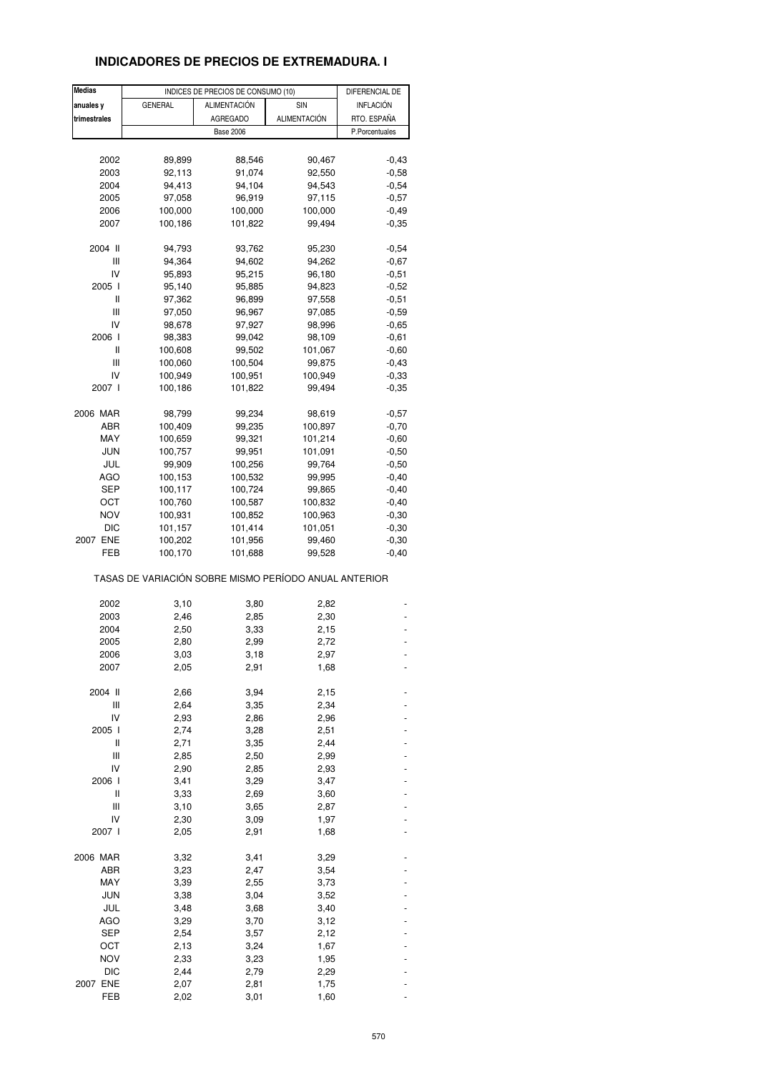## **INDICADORES DE PRECIOS DE EXTREMADURA. I**

| <b>Medias</b> | INDICES DE PRECIOS DE CONSUMO (10)                    |                  | DIFERENCIAL DE      |                |
|---------------|-------------------------------------------------------|------------------|---------------------|----------------|
| anuales y     | <b>GENERAL</b>                                        | ALIMENTACIÓN     | SIN                 | INFLACIÓN      |
| trimestrales  |                                                       | AGREGADO         | <b>ALIMENTACIÓN</b> | RTO. ESPAÑA    |
|               |                                                       | <b>Base 2006</b> |                     | P.Porcentuales |
|               |                                                       |                  |                     |                |
|               |                                                       | 88,546           |                     |                |
| 2002          | 89,899                                                |                  | 90,467              | $-0,43$        |
| 2003          | 92,113                                                | 91,074           | 92,550              | $-0,58$        |
| 2004          | 94,413                                                | 94,104           | 94,543              | $-0,54$        |
| 2005          | 97,058                                                | 96,919           | 97,115              | $-0,57$        |
| 2006          | 100,000                                               | 100,000          | 100,000             | $-0,49$        |
| 2007          | 100,186                                               | 101,822          | 99,494              | $-0,35$        |
| 2004 II       | 94,793                                                | 93,762           | 95,230              | $-0,54$        |
| Ш             | 94,364                                                | 94,602           | 94,262              | $-0,67$        |
| IV            | 95,893                                                | 95,215           | 96,180              | $-0,51$        |
| 2005 l        | 95,140                                                | 95,885           | 94,823              | $-0,52$        |
| Ш             | 97,362                                                | 96,899           | 97,558              | $-0,51$        |
| Ш             | 97,050                                                | 96,967           | 97,085              | $-0,59$        |
| IV            | 98,678                                                | 97,927           | 98,996              | $-0,65$        |
| 2006          | 98,383                                                | 99,042           | 98,109              | $-0,61$        |
| Ш             | 100,608                                               | 99,502           | 101,067             | $-0,60$        |
| Ш             | 100,060                                               | 100,504          | 99,875              | $-0,43$        |
| IV            | 100,949                                               | 100,951          | 100,949             | $-0,33$        |
| 2007 l        | 100,186                                               | 101,822          | 99,494              | $-0,35$        |
|               |                                                       |                  |                     |                |
| 2006 MAR      | 98,799                                                | 99,234           | 98,619              | $-0,57$        |
| ABR           | 100,409                                               | 99,235           | 100,897             | $-0,70$        |
| MAY           | 100,659                                               | 99,321           | 101,214             | $-0,60$        |
| JUN           | 100,757                                               | 99,951           | 101,091             | $-0,50$        |
| JUL           | 99,909                                                | 100,256          | 99,764              | $-0,50$        |
| AGO           | 100,153                                               | 100,532          | 99,995              | $-0,40$        |
| SEP           | 100,117                                               | 100,724          | 99,865              | $-0,40$        |
| OCT           | 100,760                                               | 100,587          | 100,832             | $-0,40$        |
| <b>NOV</b>    | 100,931                                               | 100,852          | 100,963             | $-0,30$        |
| DIC           | 101,157                                               | 101,414          | 101,051             | $-0,30$        |
| 2007 ENE      | 100,202                                               | 101,956          | 99,460              | $-0,30$        |
| FEB           | 100,170                                               | 101,688          | 99,528              | $-0,40$        |
|               | TASAS DE VARIACIÓN SOBRE MISMO PERÍODO ANUAL ANTERIOR |                  |                     |                |
| 2002          | 3,10                                                  | 3,80             | 2,82                |                |
| 2003          | 2,46                                                  | 2,85             | 2,30                |                |
| 2004          | 2,50                                                  | 3,33             | 2,15                |                |
| 2005          | 2,80                                                  | 2,99             | 2,72                |                |
| 2006          | 3,03                                                  | 3,18             | 2,97                |                |
| 2007          | 2,05                                                  | 2,91             | 1,68                |                |
|               |                                                       |                  |                     |                |
| 2004 II       | 2,66                                                  | 3,94             | 2,15                |                |
| Ш             | 2,64                                                  | 3,35             | 2,34                |                |
| IV            | 2,93                                                  | 2,86             | 2,96                |                |
| 2005 l        | 2,74                                                  | 3,28             | 2,51                |                |
| Ш             | 2,71                                                  | 3,35             | 2,44                |                |
| Ш             | 2,85                                                  | 2,50             | 2,99                |                |
| IV            | 2,90                                                  | 2,85             | 2,93                |                |
| 2006 l        | 3,41                                                  | 3,29             | 3,47                |                |
| Ш             | 3,33                                                  | 2,69             | 3,60                |                |
| Ш             | 3,10                                                  | 3,65             | 2,87                |                |
| IV            | 2,30                                                  | 3,09             | 1,97                |                |
| 2007 l        | 2,05                                                  | 2,91             | 1,68                |                |
| 2006 MAR      | 3,32                                                  | 3,41             | 3,29                |                |
| ABR           | 3,23                                                  | 2,47             | 3,54                |                |
| MAY           | 3,39                                                  | 2,55             | 3,73                |                |
| <b>JUN</b>    | 3,38                                                  | 3,04             | 3,52                |                |
| JUL           | 3,48                                                  | 3,68             | 3,40                |                |
| <b>AGO</b>    | 3,29                                                  | 3,70             | 3,12                |                |
| SEP           | 2,54                                                  | 3,57             | 2,12                |                |
| OCT           | 2,13                                                  | 3,24             | 1,67                |                |
| <b>NOV</b>    | 2,33                                                  | 3,23             | 1,95                |                |
| DIC           | 2,44                                                  | 2,79             | 2,29                |                |
| 2007 ENE      | 2,07                                                  | 2,81             | 1,75                |                |
| FEB           | 2,02                                                  | 3,01             | 1,60                |                |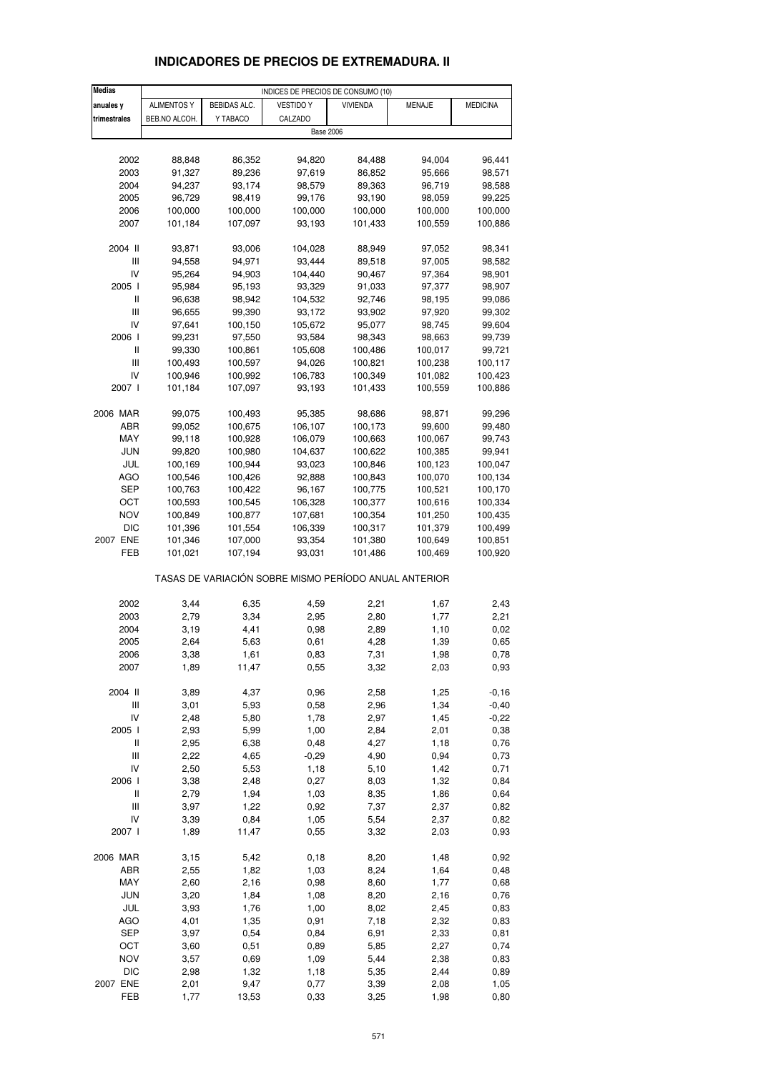| <b>Medias</b>            |                    |                    | INDICES DE PRECIOS DE CONSUMO (10)                    |                    |                    |                    |
|--------------------------|--------------------|--------------------|-------------------------------------------------------|--------------------|--------------------|--------------------|
| anuales y                | <b>ALIMENTOS Y</b> | BEBIDAS ALC.       | <b>VESTIDO Y</b>                                      | <b>VIVIENDA</b>    | MENAJE             | <b>MEDICINA</b>    |
| trimestrales             | BEB.NO ALCOH.      | Y TABACO           | CALZADO                                               |                    |                    |                    |
|                          |                    |                    | <b>Base 2006</b>                                      |                    |                    |                    |
|                          |                    |                    |                                                       |                    |                    |                    |
| 2002                     | 88,848             | 86,352             | 94,820                                                | 84,488             | 94,004             | 96,441             |
| 2003                     | 91,327             | 89,236             | 97,619                                                | 86,852             | 95,666             | 98,571             |
| 2004                     | 94,237             | 93,174             | 98,579                                                | 89,363             | 96,719             | 98,588             |
| 2005                     | 96,729             | 98,419             | 99,176                                                | 93,190             | 98,059             | 99,225             |
| 2006                     | 100,000            | 100,000            | 100,000                                               | 100,000            | 100,000            | 100,000            |
| 2007                     | 101,184            | 107,097            | 93,193                                                | 101,433            | 100,559            | 100,886            |
| 2004 II                  | 93,871             | 93,006             | 104,028                                               | 88,949             | 97,052             | 98,341             |
| Ш                        | 94,558             | 94,971             | 93,444                                                | 89,518             | 97,005             | 98,582             |
| IV                       | 95,264             | 94,903             | 104,440                                               | 90,467             | 97,364             | 98,901             |
| 2005 l                   | 95,984             | 95,193             | 93,329                                                | 91,033             | 97,377             | 98,907             |
| Ш                        | 96,638             | 98,942             | 104,532                                               | 92,746             | 98,195             | 99,086             |
| $\mathbf{III}$           | 96,655             | 99,390             | 93,172                                                | 93,902             | 97,920             | 99,302             |
| IV                       | 97,641             | 100,150            | 105,672                                               | 95,077             | 98,745             | 99,604             |
| 2006 l                   | 99,231             | 97,550             | 93,584                                                | 98,343             | 98,663             | 99,739             |
| Ш                        | 99,330             | 100,861            | 105,608                                               | 100,486            | 100,017            | 99,721             |
| Ш<br>IV                  | 100,493<br>100,946 | 100,597<br>100,992 | 94,026<br>106,783                                     | 100,821<br>100,349 | 100,238<br>101,082 | 100,117<br>100,423 |
| 2007 l                   | 101,184            | 107,097            | 93,193                                                | 101,433            | 100,559            | 100,886            |
|                          |                    |                    |                                                       |                    |                    |                    |
| 2006 MAR                 | 99,075             | 100,493            | 95,385                                                | 98,686             | 98,871             | 99,296             |
| ABR                      | 99,052             | 100,675            | 106,107                                               | 100,173            | 99,600             | 99,480             |
| MAY                      | 99,118             | 100,928            | 106,079                                               | 100,663            | 100,067            | 99,743             |
| <b>JUN</b>               | 99,820             | 100,980            | 104,637                                               | 100,622            | 100,385            | 99,941             |
| JUL                      | 100,169            | 100,944            | 93,023                                                | 100,846            | 100,123            | 100,047            |
| AGO                      | 100,546            | 100,426            | 92,888                                                | 100,843            | 100,070            | 100,134            |
| SEP                      | 100,763            | 100,422            | 96,167                                                | 100,775            | 100,521            | 100,170            |
| ОСТ                      | 100,593            | 100,545            | 106,328                                               | 100,377            | 100,616            | 100,334            |
| <b>NOV</b>               | 100,849            | 100,877            | 107,681                                               | 100,354            | 101,250            | 100,435            |
| DIC<br>2007 ENE          | 101,396<br>101,346 | 101,554<br>107,000 | 106,339<br>93,354                                     | 100,317<br>101,380 | 101,379<br>100,649 | 100,499<br>100,851 |
| FEB                      | 101,021            | 107,194            | 93,031                                                | 101,486            | 100,469            | 100,920            |
|                          |                    |                    |                                                       |                    |                    |                    |
|                          |                    |                    | TASAS DE VARIACIÓN SOBRE MISMO PERÍODO ANUAL ANTERIOR |                    |                    |                    |
| 2002                     | 3,44               | 6,35               | 4,59                                                  | 2,21               | 1,67               | 2,43               |
| 2003                     | 2,79               | 3,34               | 2,95                                                  | 2,80               | 1,77               | 2,21               |
| 2004                     | 3,19               | 4,41               | 0,98                                                  | 2,89               | 1,10               | 0,02               |
| 2005                     | 2,64               | 5,63               | 0,61                                                  | 4,28               | 1,39               | 0,65               |
| 2006                     | 3,38               | 1,61               | 0,83                                                  | 7,31               | 1,98               | 0,78               |
| 2007                     | 1,89               | 11,47              | 0,55                                                  | 3,32               | 2,03               | 0,93               |
| 2004 II                  | 3,89               | 4,37               | 0,96                                                  | 2,58               | 1,25               | $-0,16$            |
| Ш                        | 3,01               | 5,93               | 0,58                                                  | 2,96               | 1,34               | $-0,40$            |
| IV                       | 2,48               | 5,80               | 1,78                                                  | 2,97               | 1,45               | $-0,22$            |
| 2005 l                   | 2,93               | 5,99               | 1,00                                                  | 2,84               | 2,01               | 0,38               |
| $\sf II$                 | 2,95               | 6,38               | 0,48                                                  | 4,27               | 1,18               | 0,76               |
| $\mathsf{III}$           | 2,22               | 4,65               | $-0,29$                                               | 4,90               | 0,94               | 0,73               |
| IV                       | 2,50               | 5,53               | 1,18                                                  | 5,10               | 1,42               | 0,71               |
| 2006 l                   | 3,38               | 2,48               | 0,27                                                  | 8,03               | 1,32               | 0,84               |
| $\sf II$                 | 2,79               | 1,94               | 1,03                                                  | 8,35               | 1,86               | 0,64               |
| $\mathsf{III}$           | 3,97               | 1,22               | 0,92                                                  | 7,37               | 2,37               | 0,82               |
| IV                       | 3,39               | 0,84               | 1,05                                                  | 5,54               | 2,37               | 0,82               |
| 2007 l                   | 1,89               | 11,47              | 0,55                                                  | 3,32               | 2,03               | 0,93               |
| 2006 MAR                 | 3,15               | 5,42               | 0, 18                                                 | 8,20               | 1,48               | 0,92               |
| ABR                      | 2,55               | 1,82               | 1,03                                                  | 8,24               | 1,64               | 0,48               |
| MAY                      | 2,60               | 2,16               | 0,98                                                  | 8,60               | 1,77               | 0,68               |
| <b>JUN</b>               | 3,20               | 1,84               | 1,08                                                  | 8,20               | 2,16               | 0,76               |
| JUL                      | 3,93               | 1,76               | 1,00                                                  | 8,02               | 2,45               | 0,83               |
| AGO                      | 4,01               | 1,35               | 0,91                                                  | 7,18               | 2,32               | 0,83               |
| <b>SEP</b>               | 3,97               | 0,54               | 0,84                                                  | 6,91               | 2,33               | 0,81               |
| OCT                      | 3,60               | 0,51               | 0,89                                                  | 5,85               | 2,27               | 0,74               |
| <b>NOV</b><br><b>DIC</b> | 3,57<br>2,98       | 0,69<br>1,32       | 1,09<br>1,18                                          | 5,44<br>5,35       | 2,38<br>2,44       | 0,83<br>0,89       |
| 2007 ENE                 | 2,01               | 9,47               | 0,77                                                  | 3,39               | 2,08               | 1,05               |
| FEB                      | 1,77               | 13,53              | 0,33                                                  | 3,25               | 1,98               | 0,80               |

# **INDICADORES DE PRECIOS DE EXTREMADURA. II**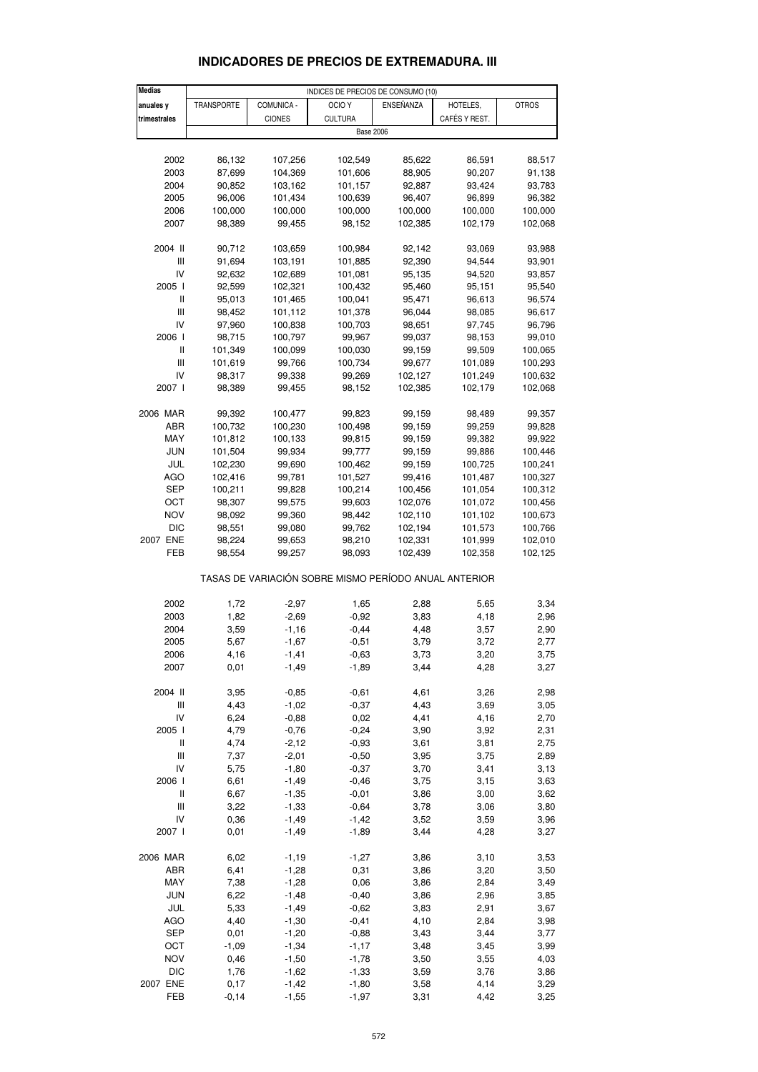| <b>Medias</b>                         | INDICES DE PRECIOS DE CONSUMO (10) |               |                                                       |           |               |              |  |
|---------------------------------------|------------------------------------|---------------|-------------------------------------------------------|-----------|---------------|--------------|--|
| anuales y                             | TRANSPORTE                         | COMUNICA -    | OCIO <sub>Y</sub>                                     | ENSEÑANZA | HOTELES,      | <b>OTROS</b> |  |
| trimestrales                          |                                    | <b>CIONES</b> | <b>CULTURA</b>                                        |           | CAFÉS Y REST. |              |  |
|                                       |                                    |               | <b>Base 2006</b>                                      |           |               |              |  |
|                                       |                                    |               |                                                       |           |               |              |  |
|                                       |                                    |               |                                                       |           |               |              |  |
| 2002                                  | 86,132                             | 107,256       | 102,549                                               | 85,622    | 86,591        | 88,517       |  |
| 2003                                  | 87,699                             | 104,369       | 101,606                                               | 88,905    | 90,207        | 91,138       |  |
| 2004                                  | 90,852                             | 103,162       | 101,157                                               | 92,887    | 93,424        | 93,783       |  |
| 2005                                  | 96,006                             | 101,434       | 100,639                                               | 96,407    | 96,899        | 96,382       |  |
| 2006                                  | 100,000                            | 100,000       | 100,000                                               | 100,000   | 100,000       | 100,000      |  |
| 2007                                  | 98,389                             | 99,455        | 98,152                                                | 102,385   | 102,179       | 102,068      |  |
|                                       |                                    |               |                                                       |           |               |              |  |
| 2004 II                               | 90,712                             | 103,659       | 100,984                                               | 92,142    | 93,069        | 93,988       |  |
|                                       |                                    |               |                                                       |           |               |              |  |
| Ш                                     | 91,694                             | 103,191       | 101,885                                               | 92,390    | 94,544        | 93,901       |  |
| IV                                    | 92,632                             | 102,689       | 101,081                                               | 95,135    | 94,520        | 93,857       |  |
| 2005 l                                | 92,599                             | 102,321       | 100,432                                               | 95,460    | 95,151        | 95,540       |  |
| $\sf II$                              | 95,013                             | 101,465       | 100,041                                               | 95,471    | 96,613        | 96,574       |  |
| $\begin{array}{c} \hline \end{array}$ | 98,452                             | 101,112       | 101,378                                               | 96,044    | 98,085        | 96,617       |  |
| IV                                    | 97,960                             | 100,838       | 100,703                                               | 98,651    | 97,745        | 96,796       |  |
| 2006                                  | 98,715                             | 100,797       | 99,967                                                | 99,037    | 98,153        | 99,010       |  |
| $\mathbf{I}$                          | 101,349                            | 100,099       | 100,030                                               | 99,159    | 99,509        | 100,065      |  |
| Ш                                     | 101,619                            | 99,766        | 100,734                                               | 99,677    | 101,089       | 100,293      |  |
| IV                                    | 98,317                             | 99,338        | 99,269                                                | 102,127   | 101,249       | 100,632      |  |
| 2007 l                                | 98,389                             | 99,455        | 98,152                                                | 102,385   | 102,179       | 102,068      |  |
|                                       |                                    |               |                                                       |           |               |              |  |
|                                       |                                    |               |                                                       |           |               |              |  |
| 2006 MAR                              | 99,392                             | 100,477       | 99,823                                                | 99,159    | 98,489        | 99,357       |  |
| ABR                                   | 100,732                            | 100,230       | 100,498                                               | 99,159    | 99,259        | 99,828       |  |
| MAY                                   | 101,812                            | 100,133       | 99,815                                                | 99,159    | 99,382        | 99,922       |  |
| <b>JUN</b>                            | 101,504                            | 99,934        | 99,777                                                | 99,159    | 99,886        | 100,446      |  |
| JUL                                   | 102,230                            | 99,690        | 100,462                                               | 99,159    | 100,725       | 100,241      |  |
| <b>AGO</b>                            | 102,416                            | 99,781        | 101,527                                               | 99,416    | 101,487       | 100,327      |  |
| SEP                                   | 100,211                            | 99,828        | 100,214                                               | 100,456   | 101,054       | 100,312      |  |
| OCT                                   | 98,307                             | 99,575        | 99,603                                                | 102,076   | 101,072       | 100,456      |  |
| <b>NOV</b>                            |                                    |               |                                                       | 102,110   |               |              |  |
|                                       | 98,092                             | 99,360        | 98,442                                                |           | 101,102       | 100,673      |  |
| DIC                                   | 98,551                             | 99,080        | 99,762                                                | 102,194   | 101,573       | 100,766      |  |
| 2007 ENE                              | 98,224                             | 99,653        | 98,210                                                | 102,331   | 101,999       | 102,010      |  |
| FEB                                   | 98,554                             | 99,257        | 98,093                                                | 102,439   | 102,358       | 102,125      |  |
|                                       |                                    |               | TASAS DE VARIACIÓN SOBRE MISMO PERÍODO ANUAL ANTERIOR |           |               |              |  |
|                                       |                                    |               |                                                       |           |               |              |  |
| 2002                                  | 1,72                               | $-2,97$       | 1,65                                                  | 2,88      | 5,65          | 3,34         |  |
| 2003                                  | 1,82                               | $-2,69$       | $-0,92$                                               | 3,83      | 4,18          | 2,96         |  |
| 2004                                  | 3,59                               | $-1,16$       | $-0,44$                                               | 4,48      | 3,57          | 2,90         |  |
| 2005                                  | 5,67                               | $-1,67$       | $-0,51$                                               | 3,79      | 3,72          | 2,77         |  |
| 2006                                  | 4,16                               | $-1,41$       | $-0,63$                                               | 3,73      | 3,20          | 3,75         |  |
| 2007                                  | 0,01                               | $-1,49$       | $-1,89$                                               | 3,44      | 4,28          | 3,27         |  |
|                                       |                                    |               |                                                       |           |               |              |  |
| 2004 II                               | 3,95                               | $-0,85$       | $-0,61$                                               | 4,61      | 3,26          | 2,98         |  |
| Ш                                     | 4,43                               | $-1,02$       | $-0,37$                                               | 4,43      | 3,69          | 3,05         |  |
| IV                                    | 6,24                               | $-0,88$       | 0,02                                                  | 4,41      | 4,16          |              |  |
| 2005 l                                | 4,79                               | $-0,76$       | $-0,24$                                               | 3,90      | 3,92          | 2,70<br>2,31 |  |
|                                       |                                    |               |                                                       |           |               |              |  |
| $\begin{array}{c} \hline \end{array}$ | 4,74                               | $-2,12$       | $-0,93$                                               | 3,61      | 3,81          | 2,75         |  |
| Ш                                     | 7,37                               | $-2,01$       | $-0,50$                                               | 3,95      | 3,75          | 2,89         |  |
| IV                                    | 5,75                               | $-1,80$       | $-0,37$                                               | 3,70      | 3,41          | 3,13         |  |
| 2006 l                                | 6,61                               | $-1,49$       | $-0,46$                                               | 3,75      | 3,15          | 3,63         |  |
| Ш                                     | 6,67                               | $-1,35$       | $-0,01$                                               | 3,86      | 3,00          | 3,62         |  |
| $\mathop{\rm III}\nolimits$           | 3,22                               | $-1,33$       | $-0,64$                                               | 3,78      | 3,06          | 3,80         |  |
| IV                                    | 0,36                               | $-1,49$       | $-1,42$                                               | 3,52      | 3,59          | 3,96         |  |
| 2007 l                                | 0,01                               | $-1,49$       | $-1,89$                                               | 3,44      | 4,28          | 3,27         |  |
|                                       |                                    |               |                                                       |           |               |              |  |
| 2006 MAR                              | 6,02                               | $-1,19$       | $-1,27$                                               | 3,86      | 3,10          | 3,53         |  |
| ABR                                   | 6,41                               | $-1,28$       | 0,31                                                  | 3,86      | 3,20          | 3,50         |  |
|                                       |                                    |               |                                                       |           |               |              |  |
| MAY                                   | 7,38                               | $-1,28$       | 0,06                                                  | 3,86      | 2,84          | 3,49         |  |
| <b>JUN</b>                            | 6,22                               | $-1,48$       | $-0,40$                                               | 3,86      | 2,96          | 3,85         |  |
| JUL                                   | 5,33                               | $-1,49$       | $-0,62$                                               | 3,83      | 2,91          | 3,67         |  |
| AGO                                   | 4,40                               | $-1,30$       | $-0,41$                                               | 4,10      | 2,84          | 3,98         |  |
| <b>SEP</b>                            | 0,01                               | $-1,20$       | $-0,88$                                               | 3,43      | 3,44          | 3,77         |  |
| OCT                                   | $-1,09$                            | $-1,34$       | $-1,17$                                               | 3,48      | 3,45          | 3,99         |  |
| <b>NOV</b>                            | 0,46                               | $-1,50$       | $-1,78$                                               | 3,50      | 3,55          | 4,03         |  |
| <b>DIC</b>                            | 1,76                               | $-1,62$       | $-1,33$                                               | 3,59      | 3,76          | 3,86         |  |
| 2007 ENE                              | 0,17                               | $-1,42$       | $-1,80$                                               | 3,58      | 4,14          | 3,29         |  |

# **INDICADORES DE PRECIOS DE EXTREMADURA. III**

FEB -0,14 -1,55 -1,97 3,31 4,42 3,25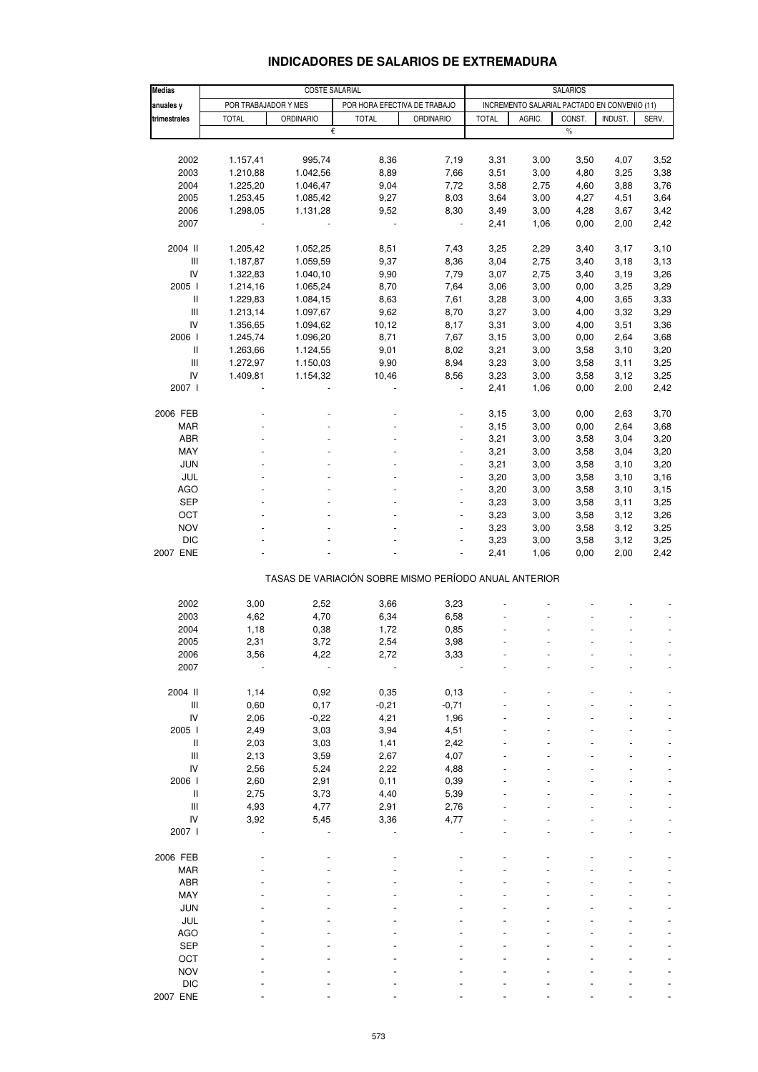# **INDICADORES DE SALARIOS DE EXTREMADURA**

| <b>Medias</b>                      | <b>COSTE SALARIAL</b> |                  |                                                       |                          |                                              | <b>SALARIOS</b> |        |         |       |  |
|------------------------------------|-----------------------|------------------|-------------------------------------------------------|--------------------------|----------------------------------------------|-----------------|--------|---------|-------|--|
| anuales y                          | POR TRABAJADOR Y MES  |                  | POR HORA EFECTIVA DE TRABAJO                          |                          | INCREMENTO SALARIAL PACTADO EN CONVENIO (11) |                 |        |         |       |  |
| trimestrales                       | <b>TOTAL</b>          | <b>ORDINARIO</b> | <b>TOTAL</b>                                          | <b>ORDINARIO</b>         | <b>TOTAL</b>                                 | AGRIC.          | CONST. | INDUST. | SERV. |  |
|                                    |                       | €                |                                                       |                          |                                              |                 | $\%$   |         |       |  |
|                                    |                       |                  |                                                       |                          |                                              |                 |        |         |       |  |
| 2002                               | 1.157,41              | 995,74           | 8,36                                                  | 7,19                     | 3,31                                         | 3,00            | 3,50   | 4,07    | 3,52  |  |
| 2003                               | 1.210,88              | 1.042,56         | 8,89                                                  | 7,66                     | 3,51                                         | 3,00            | 4,80   | 3,25    | 3,38  |  |
| 2004                               | 1.225,20              | 1.046,47         | 9,04                                                  | 7,72                     | 3,58                                         | 2,75            | 4,60   | 3,88    | 3,76  |  |
| 2005                               | 1.253,45              | 1.085,42         | 9,27                                                  | 8,03                     | 3,64                                         | 3,00            | 4,27   | 4,51    | 3,64  |  |
| 2006                               | 1.298,05              | 1.131,28         | 9,52                                                  | 8,30                     | 3,49                                         | 3,00            | 4,28   | 3,67    | 3,42  |  |
| 2007                               |                       |                  | $\overline{\phantom{a}}$                              | $\blacksquare$           | 2,41                                         | 1,06            | 0,00   | 2,00    | 2,42  |  |
| 2004 II                            | 1.205,42              | 1.052,25         | 8,51                                                  | 7,43                     | 3,25                                         | 2,29            | 3,40   | 3,17    | 3,10  |  |
| $\ensuremath{\mathsf{III}}\xspace$ | 1.187,87              | 1.059,59         | 9,37                                                  | 8,36                     | 3,04                                         | 2,75            | 3,40   | 3,18    | 3,13  |  |
| IV                                 | 1.322,83              | 1.040,10         | 9,90                                                  | 7,79                     | 3,07                                         | 2,75            | 3,40   | 3,19    | 3,26  |  |
| 2005                               | 1.214,16              | 1.065,24         | 8,70                                                  | 7,64                     | 3,06                                         | 3,00            | 0,00   | 3,25    | 3,29  |  |
| Ш                                  | 1.229,83              | 1.084,15         | 8,63                                                  | 7,61                     | 3,28                                         | 3,00            | 4,00   | 3,65    | 3,33  |  |
| Ш                                  | 1.213,14              | 1.097,67         | 9,62                                                  | 8,70                     | 3,27                                         | 3,00            | 4,00   | 3,32    | 3,29  |  |
| IV                                 | 1.356,65              | 1.094,62         | 10,12                                                 | 8,17                     | 3,31                                         | 3,00            | 4,00   | 3,51    | 3,36  |  |
| 2006                               | 1.245,74              | 1.096,20         | 8,71                                                  | 7,67                     | 3,15                                         | 3,00            | 0,00   | 2,64    | 3,68  |  |
| Ш                                  | 1.263,66              | 1.124,55         | 9,01                                                  | 8,02                     | 3,21                                         | 3,00            | 3,58   | 3,10    | 3,20  |  |
| $\ensuremath{\mathsf{III}}\xspace$ | 1.272,97              | 1.150,03         | 9,90                                                  | 8,94                     | 3,23                                         | 3,00            | 3,58   | 3,11    | 3,25  |  |
| IV                                 | 1.409,81              | 1.154,32         | 10,46                                                 | 8,56                     | 3,23                                         | 3,00            | 3,58   | 3,12    | 3,25  |  |
| 2007 l                             |                       |                  |                                                       |                          | 2,41                                         | 1,06            | 0,00   | 2,00    | 2,42  |  |
| 2006 FEB                           |                       |                  |                                                       |                          | 3,15                                         | 3,00            | 0,00   | 2,63    | 3,70  |  |
| <b>MAR</b>                         |                       |                  |                                                       |                          | 3,15                                         | 3,00            | 0,00   | 2,64    | 3,68  |  |
| ABR                                |                       |                  |                                                       |                          | 3,21                                         | 3,00            | 3,58   | 3,04    | 3,20  |  |
| MAY                                |                       |                  |                                                       | $\overline{\phantom{a}}$ | 3,21                                         | 3,00            | 3,58   | 3,04    | 3,20  |  |
| JUN                                |                       |                  |                                                       | $\overline{a}$           | 3,21                                         | 3,00            | 3,58   | 3,10    | 3,20  |  |
| JUL                                |                       |                  |                                                       |                          | 3,20                                         | 3,00            | 3,58   | 3,10    | 3,16  |  |
| <b>AGO</b>                         |                       |                  |                                                       | $\blacksquare$           | 3,20                                         | 3,00            | 3,58   | 3,10    | 3,15  |  |
| <b>SEP</b>                         |                       |                  |                                                       | $\overline{a}$           | 3,23                                         | 3,00            | 3,58   | 3,11    | 3,25  |  |
| OCT                                |                       |                  |                                                       |                          | 3,23                                         | 3,00            | 3,58   | 3,12    | 3,26  |  |
| <b>NOV</b>                         |                       |                  |                                                       | $\overline{\phantom{a}}$ | 3,23                                         | 3,00            | 3,58   | 3,12    | 3,25  |  |
| <b>DIC</b>                         |                       |                  |                                                       |                          | 3,23                                         | 3,00            | 3,58   | 3,12    | 3,25  |  |
| 2007 ENE                           |                       |                  |                                                       |                          | 2,41                                         | 1,06            | 0,00   | 2,00    | 2,42  |  |
|                                    |                       |                  | TASAS DE VARIACIÓN SOBRE MISMO PERÍODO ANUAL ANTERIOR |                          |                                              |                 |        |         |       |  |
|                                    |                       |                  |                                                       |                          |                                              |                 |        |         |       |  |
| 2002<br>2003                       | 3,00<br>4,62          | 2,52<br>4,70     | 3,66<br>6,34                                          | 3,23<br>6,58             |                                              |                 |        |         |       |  |
| 2004                               | 1,18                  | 0,38             | 1,72                                                  | 0,85                     |                                              |                 |        |         |       |  |
| 2005                               | 2,31                  | 3,72             | 2,54                                                  | 3,98                     |                                              |                 |        |         |       |  |
|                                    |                       | 4,22             |                                                       |                          |                                              |                 |        |         |       |  |
| 2006<br>2007                       | 3,56                  |                  | 2,72                                                  | 3,33                     |                                              |                 |        |         |       |  |
|                                    |                       |                  |                                                       |                          |                                              |                 |        |         |       |  |
| 2004 II                            | 1,14                  | 0,92             | 0,35                                                  | 0, 13                    |                                              |                 |        |         |       |  |
| $\mathop{\mathsf{III}}\nolimits$   | 0,60                  | 0,17             | $-0,21$                                               | $-0,71$                  |                                              |                 |        |         |       |  |
| IV                                 | 2,06                  | $-0,22$          | 4,21                                                  | 1,96                     |                                              |                 |        |         |       |  |
| 2005                               | 2,49                  | 3,03             | 3,94                                                  | 4,51                     |                                              |                 |        |         |       |  |
| $\mathbf{I}$                       | 2,03                  | 3,03             | 1,41                                                  | 2,42                     |                                              |                 |        |         |       |  |
| $\mathop{\mathsf{III}}\nolimits$   | 2,13                  | 3,59             | 2,67                                                  | 4,07                     |                                              |                 |        |         |       |  |
| ${\sf IV}$                         | 2,56                  | 5,24             | 2,22                                                  | 4,88                     |                                              |                 |        |         |       |  |
| 2006                               | 2,60                  | 2,91             | 0,11                                                  | 0,39                     |                                              |                 |        |         |       |  |
| Ш                                  | 2,75                  | 3,73             | 4,40                                                  | 5,39                     |                                              |                 |        |         |       |  |
| $\ensuremath{\mathsf{III}}\xspace$ | 4,93                  | 4,77             | 2,91                                                  | 2,76                     |                                              |                 |        |         |       |  |
| IV                                 | 3,92                  | 5,45             | 3,36                                                  | 4,77                     |                                              |                 |        |         |       |  |
| 2007 l                             |                       |                  |                                                       |                          |                                              |                 |        |         |       |  |
| 2006 FEB                           |                       |                  |                                                       |                          |                                              |                 |        |         |       |  |
| <b>MAR</b>                         |                       |                  |                                                       |                          |                                              |                 |        |         |       |  |
| ABR                                |                       |                  |                                                       |                          |                                              |                 |        |         |       |  |
| MAY                                |                       |                  |                                                       |                          |                                              |                 |        |         |       |  |
| <b>JUN</b>                         |                       |                  |                                                       |                          |                                              |                 |        |         |       |  |
| JUL                                |                       |                  |                                                       |                          |                                              |                 |        |         |       |  |
| <b>AGO</b>                         |                       |                  |                                                       |                          |                                              |                 |        |         |       |  |
| <b>SEP</b>                         |                       |                  |                                                       |                          |                                              |                 |        |         |       |  |
| OCT                                |                       |                  |                                                       |                          |                                              |                 |        |         |       |  |
| <b>NOV</b>                         |                       |                  |                                                       |                          |                                              |                 |        |         |       |  |
| <b>DIC</b>                         |                       |                  |                                                       |                          |                                              |                 |        |         |       |  |
| 2007 ENE                           |                       |                  |                                                       |                          |                                              |                 |        |         |       |  |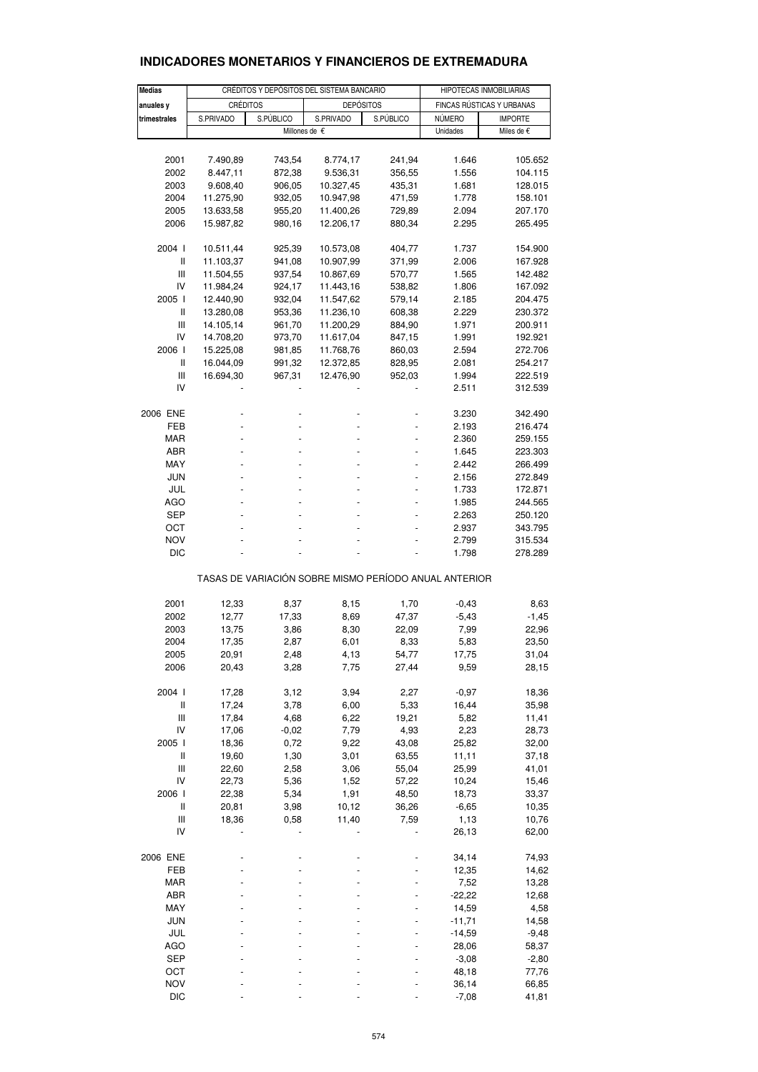| <b>Medias</b>             |                        | CRÉDITOS Y DEPÓSITOS DEL SISTEMA BANCARIO |                                                       | HIPOTECAS INMOBILIARIAS |                  |                           |
|---------------------------|------------------------|-------------------------------------------|-------------------------------------------------------|-------------------------|------------------|---------------------------|
|                           | <b>CRÉDITOS</b>        |                                           | <b>DEPÓSITOS</b>                                      |                         |                  | FINCAS RÚSTICAS Y URBANAS |
| anuales y<br>trimestrales | S.PRIVADO              | S.PÚBLICO                                 | S.PRIVADO                                             | S.PÚBLICO               | NÚMERO           | <b>IMPORTE</b>            |
|                           |                        |                                           | Millones de €                                         |                         | Unidades         | Miles de €                |
|                           |                        |                                           |                                                       |                         |                  |                           |
| 2001                      | 7.490,89               | 743,54                                    | 8.774,17                                              | 241,94                  | 1.646            | 105.652                   |
| 2002                      | 8.447,11               | 872,38                                    | 9.536,31                                              | 356,55                  | 1.556            | 104.115                   |
| 2003                      | 9.608,40               | 906,05                                    | 10.327,45                                             | 435,31                  | 1.681            | 128.015                   |
| 2004                      | 11.275,90              | 932,05                                    | 10.947,98                                             | 471,59                  | 1.778            | 158.101                   |
| 2005                      | 13.633,58              | 955,20                                    | 11.400,26                                             | 729,89                  | 2.094            | 207.170                   |
| 2006                      | 15.987,82              | 980,16                                    | 12.206,17                                             | 880,34                  | 2.295            | 265.495                   |
| 2004 l                    | 10.511,44              | 925,39                                    | 10.573,08                                             | 404,77                  | 1.737            | 154.900                   |
| Ш                         | 11.103,37              | 941,08                                    | 10.907,99                                             | 371,99                  | 2.006            | 167.928                   |
| Ш                         | 11.504,55              | 937,54                                    | 10.867,69                                             | 570,77                  | 1.565            | 142.482                   |
| IV                        | 11.984,24              | 924,17                                    | 11.443,16                                             | 538,82                  | 1.806            | 167.092                   |
| 2005 l                    | 12.440,90              | 932,04                                    | 11.547,62                                             | 579,14                  | 2.185            | 204.475                   |
| Ш                         | 13.280,08              | 953,36                                    | 11.236,10                                             | 608,38                  | 2.229            | 230.372                   |
| Ш                         | 14.105,14              | 961,70                                    | 11.200,29                                             | 884,90                  | 1.971            | 200.911                   |
| IV                        | 14.708,20              | 973,70                                    | 11.617,04                                             | 847,15                  | 1.991            | 192.921                   |
| 2006  <br>Ш               | 15.225,08<br>16.044,09 | 981,85<br>991,32                          | 11.768,76<br>12.372,85                                | 860,03<br>828,95        | 2.594<br>2.081   | 272.706<br>254.217        |
| Ш                         | 16.694,30              | 967,31                                    | 12.476,90                                             | 952,03                  | 1.994            | 222.519                   |
| IV                        |                        |                                           |                                                       |                         | 2.511            | 312.539                   |
|                           |                        |                                           |                                                       |                         |                  |                           |
| 2006 ENE                  |                        |                                           |                                                       |                         | 3.230            | 342.490                   |
| <b>FEB</b>                |                        |                                           |                                                       |                         | 2.193            | 216.474                   |
| MAR                       |                        |                                           |                                                       |                         | 2.360            | 259.155                   |
| ABR                       |                        |                                           |                                                       |                         | 1.645            | 223.303                   |
| MAY<br>JUN                |                        |                                           |                                                       |                         | 2.442<br>2.156   | 266.499<br>272.849        |
| JUL                       |                        |                                           |                                                       |                         | 1.733            | 172.871                   |
| <b>AGO</b>                |                        |                                           |                                                       |                         | 1.985            | 244.565                   |
| SEP                       |                        |                                           |                                                       |                         | 2.263            | 250.120                   |
| ост                       |                        |                                           |                                                       |                         | 2.937            | 343.795                   |
| <b>NOV</b>                |                        |                                           |                                                       |                         | 2.799            | 315.534                   |
| DIC                       |                        |                                           |                                                       |                         | 1.798            | 278.289                   |
|                           |                        |                                           | TASAS DE VARIACIÓN SOBRE MISMO PERÍODO ANUAL ANTERIOR |                         |                  |                           |
| 2001                      | 12,33                  | 8,37                                      | 8,15                                                  | 1,70                    | $-0,43$          | 8,63                      |
| 2002                      | 12,77                  | 17,33                                     | 8,69                                                  | 47,37                   | $-5,43$          | $-1,45$                   |
| 2003                      | 13,75                  | 3,86                                      | 8,30                                                  | 22,09                   | 7,99             | 22,96                     |
| 2004                      | 17,35                  | 2,87                                      | 6,01                                                  | 8,33                    | 5,83             | 23,50                     |
| 2005                      | 20,91                  | 2,48                                      | 4,13                                                  | 54,77                   | 17,75            | 31,04                     |
| 2006                      | 20,43                  | 3,28                                      | 7,75                                                  | 27,44                   | 9,59             | 28,15                     |
| 2004 l                    | 17,28                  | 3,12                                      | 3,94                                                  | 2,27                    | $-0,97$          | 18,36                     |
| $\sf II$                  | 17,24                  | 3,78                                      | 6,00                                                  | 5,33                    | 16,44            | 35,98                     |
| Ш                         | 17,84                  | 4,68                                      | 6,22                                                  | 19,21                   | 5,82             | 11,41                     |
| IV                        | 17,06                  | $-0,02$                                   | 7,79                                                  | 4,93                    | 2,23             | 28,73                     |
| 2005 l                    | 18,36                  | 0,72                                      | 9,22                                                  | 43,08                   | 25,82            | 32,00                     |
| $\sf II$                  | 19,60                  | 1,30                                      | 3,01                                                  | 63,55                   | 11,11            | 37,18                     |
| $\mathsf{III}$            | 22,60                  | 2,58                                      | 3,06                                                  | 55,04                   | 25,99            | 41,01                     |
| IV                        | 22,73                  | 5,36                                      | 1,52                                                  | 57,22                   | 10,24            | 15,46                     |
| 2006  <br>Ш               | 22,38<br>20,81         | 5,34<br>3,98                              | 1,91<br>10,12                                         | 48,50<br>36,26          | 18,73<br>$-6,65$ | 33,37                     |
| Ш                         | 18,36                  | 0,58                                      | 11,40                                                 | 7,59                    | 1,13             | 10,35<br>10,76            |
| IV                        |                        |                                           |                                                       |                         | 26,13            | 62,00                     |
|                           |                        |                                           |                                                       |                         |                  |                           |
| 2006 ENE<br>FEB           |                        |                                           |                                                       |                         | 34,14            | 74,93                     |
| MAR                       |                        |                                           |                                                       |                         | 12,35<br>7,52    | 14,62<br>13,28            |
| ABR                       |                        |                                           |                                                       |                         | $-22,22$         | 12,68                     |
| MAY                       |                        |                                           |                                                       |                         | 14,59            | 4,58                      |
| <b>JUN</b>                |                        |                                           |                                                       |                         | $-11,71$         | 14,58                     |
| JUL                       |                        |                                           |                                                       |                         | $-14,59$         | $-9,48$                   |
| <b>AGO</b>                |                        |                                           |                                                       |                         | 28,06            | 58,37                     |
| <b>SEP</b>                |                        |                                           |                                                       |                         | $-3,08$          | $-2,80$                   |
| OCT                       |                        |                                           |                                                       |                         | 48,18            | 77,76                     |
| <b>NOV</b>                |                        |                                           |                                                       |                         | 36,14            | 66,85                     |
| <b>DIC</b>                |                        |                                           |                                                       |                         | $-7,08$          | 41,81                     |

# **INDICADORES MONETARIOS Y FINANCIEROS DE EXTREMADURA**